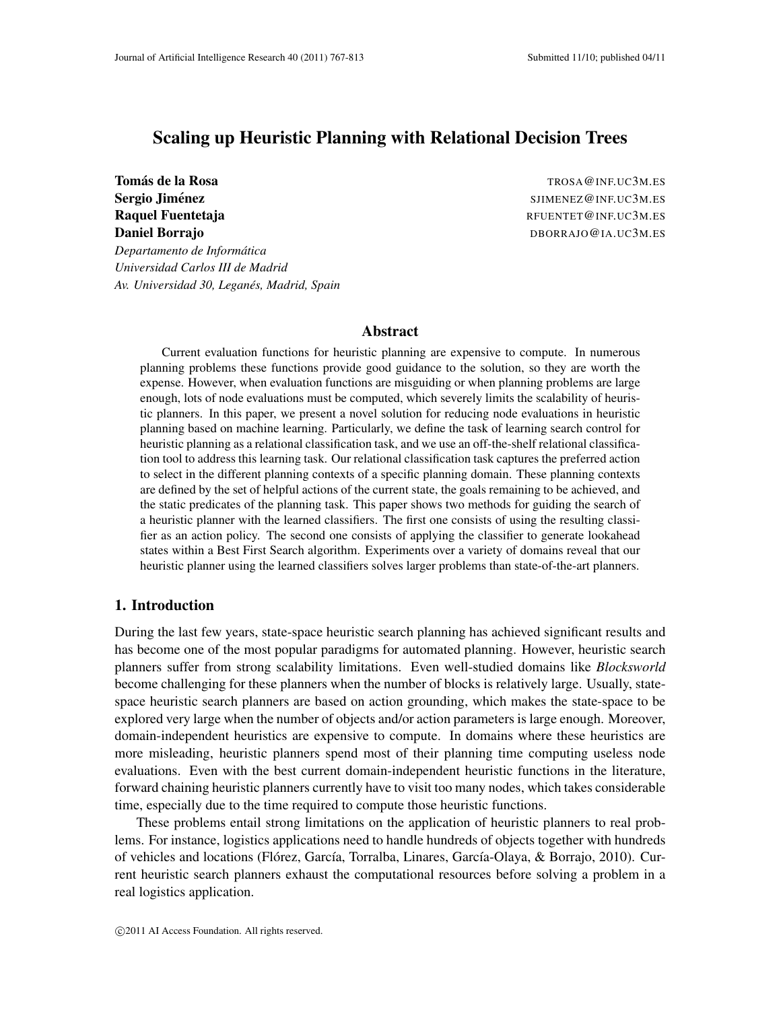# Scaling up Heuristic Planning with Relational Decision Trees

*Departamento de Informatica ´*

*Universidad Carlos III de Madrid*

*Av. Universidad 30, Leganes, Madrid, Spain ´*

Tomás de la Rosa  $\overline{C}$  TROSA@INF.UC3M.ES Sergio Jiménez ` SJIMENEZ@INF.UC3M.ES Raquel Fuentetaja Regularia Regularia Regularia Regularia Regularia Regularia Regularia Regularia Regularia Regularia Regularia Regularia Regularia Regularia Regularia Regularia Regularia Regularia Regularia Regularia Regu Daniel Borrajo **Daniel Borrajo Daniel Borrajo Daniel Borrajo Daniel Borrajo Daniel Borrajo Daniel Borrajo Daniel Borrajo Daniel Borrajo Daniel Borrajo Daniel Borrajo Daniel Borrajo Daniel Borrajo Daniel Borrajo Daniel Borr** 

#### Abstract

Current evaluation functions for heuristic planning are expensive to compute. In numerous planning problems these functions provide good guidance to the solution, so they are worth the expense. However, when evaluation functions are misguiding or when planning problems are large enough, lots of node evaluations must be computed, which severely limits the scalability of heuristic planners. In this paper, we present a novel solution for reducing node evaluations in heuristic planning based on machine learning. Particularly, we define the task of learning search control for heuristic planning as a relational classification task, and we use an off-the-shelf relational classification tool to address this learning task. Our relational classification task captures the preferred action to select in the different planning contexts of a specific planning domain. These planning contexts are defined by the set of helpful actions of the current state, the goals remaining to be achieved, and the static predicates of the planning task. This paper shows two methods for guiding the search of a heuristic planner with the learned classifiers. The first one consists of using the resulting classifier as an action policy. The second one consists of applying the classifier to generate lookahead states within a Best First Search algorithm. Experiments over a variety of domains reveal that our heuristic planner using the learned classifiers solves larger problems than state-of-the-art planners.

### 1. Introduction

During the last few years, state-space heuristic search planning has achieved significant results and has become one of the most popular paradigms for automated planning. However, heuristic search planners suffer from strong scalability limitations. Even well-studied domains like *Blocksworld* become challenging for these planners when the number of blocks is relatively large. Usually, statespace heuristic search planners are based on action grounding, which makes the state-space to be explored very large when the number of objects and/or action parameters is large enough. Moreover, domain-independent heuristics are expensive to compute. In domains where these heuristics are more misleading, heuristic planners spend most of their planning time computing useless node evaluations. Even with the best current domain-independent heuristic functions in the literature, forward chaining heuristic planners currently have to visit too many nodes, which takes considerable time, especially due to the time required to compute those heuristic functions.

These problems entail strong limitations on the application of heuristic planners to real problems. For instance, logistics applications need to handle hundreds of objects together with hundreds of vehicles and locations (Flórez, García, Torralba, Linares, García-Olaya, & Borrajo, 2010). Current heuristic search planners exhaust the computational resources before solving a problem in a real logistics application.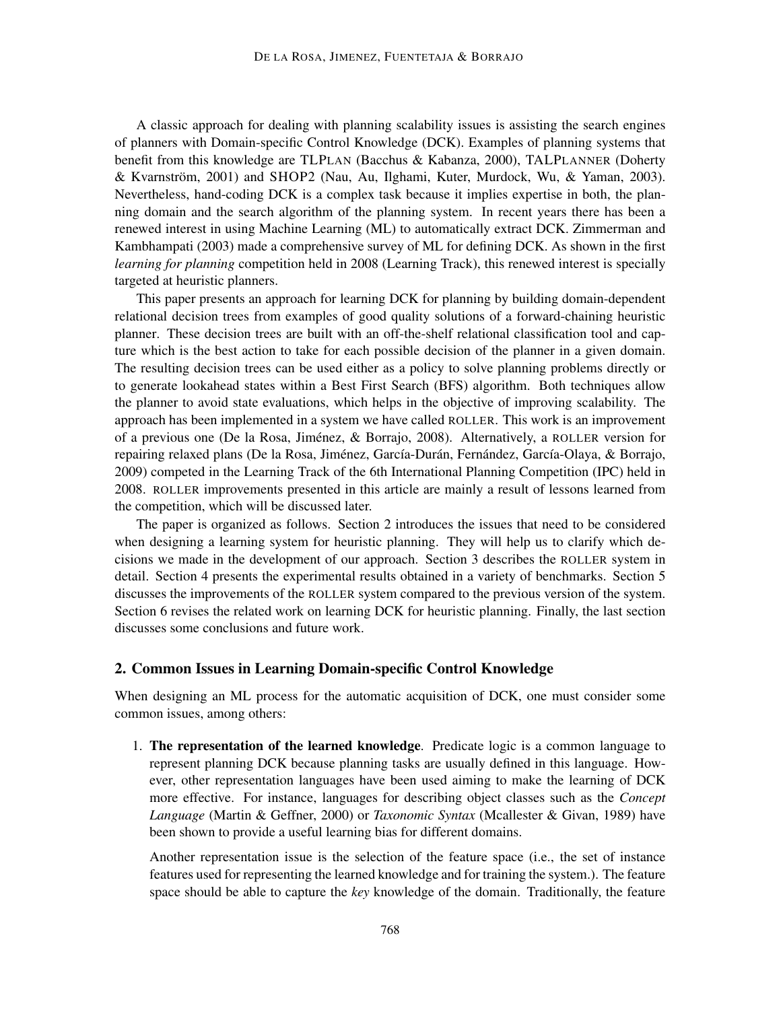A classic approach for dealing with planning scalability issues is assisting the search engines of planners with Domain-specific Control Knowledge (DCK). Examples of planning systems that benefit from this knowledge are TLPLAN (Bacchus & Kabanza, 2000), TALPLANNER (Doherty & Kvarnström, 2001) and SHOP2 (Nau, Au, Ilghami, Kuter, Murdock, Wu, & Yaman, 2003). Nevertheless, hand-coding DCK is a complex task because it implies expertise in both, the planning domain and the search algorithm of the planning system. In recent years there has been a renewed interest in using Machine Learning (ML) to automatically extract DCK. Zimmerman and Kambhampati (2003) made a comprehensive survey of ML for defining DCK. As shown in the first *learning for planning* competition held in 2008 (Learning Track), this renewed interest is specially targeted at heuristic planners.

This paper presents an approach for learning DCK for planning by building domain-dependent relational decision trees from examples of good quality solutions of a forward-chaining heuristic planner. These decision trees are built with an off-the-shelf relational classification tool and capture which is the best action to take for each possible decision of the planner in a given domain. The resulting decision trees can be used either as a policy to solve planning problems directly or to generate lookahead states within a Best First Search (BFS) algorithm. Both techniques allow the planner to avoid state evaluations, which helps in the objective of improving scalability. The approach has been implemented in a system we have called ROLLER. This work is an improvement of a previous one (De la Rosa, Jiménez, & Borrajo, 2008). Alternatively, a ROLLER version for repairing relaxed plans (De la Rosa, Jiménez, García-Durán, Fernández, García-Olaya, & Borrajo, 2009) competed in the Learning Track of the 6th International Planning Competition (IPC) held in 2008. ROLLER improvements presented in this article are mainly a result of lessons learned from the competition, which will be discussed later.

The paper is organized as follows. Section 2 introduces the issues that need to be considered when designing a learning system for heuristic planning. They will help us to clarify which decisions we made in the development of our approach. Section 3 describes the ROLLER system in detail. Section 4 presents the experimental results obtained in a variety of benchmarks. Section 5 discusses the improvements of the ROLLER system compared to the previous version of the system. Section 6 revises the related work on learning DCK for heuristic planning. Finally, the last section discusses some conclusions and future work.

## 2. Common Issues in Learning Domain-specific Control Knowledge

When designing an ML process for the automatic acquisition of DCK, one must consider some common issues, among others:

1. The representation of the learned knowledge. Predicate logic is a common language to represent planning DCK because planning tasks are usually defined in this language. However, other representation languages have been used aiming to make the learning of DCK more effective. For instance, languages for describing object classes such as the *Concept Language* (Martin & Geffner, 2000) or *Taxonomic Syntax* (Mcallester & Givan, 1989) have been shown to provide a useful learning bias for different domains.

Another representation issue is the selection of the feature space (i.e., the set of instance features used for representing the learned knowledge and for training the system.). The feature space should be able to capture the *key* knowledge of the domain. Traditionally, the feature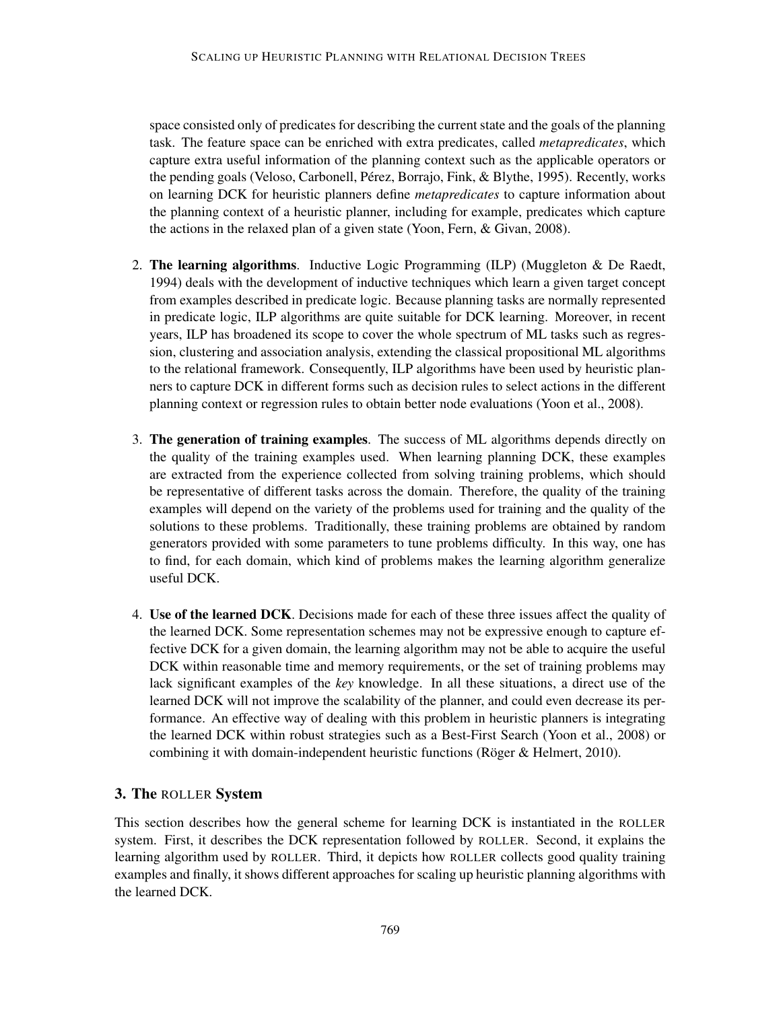space consisted only of predicates for describing the current state and the goals of the planning task. The feature space can be enriched with extra predicates, called *metapredicates*, which capture extra useful information of the planning context such as the applicable operators or the pending goals (Veloso, Carbonell, Pérez, Borrajo, Fink, & Blythe, 1995). Recently, works on learning DCK for heuristic planners define *metapredicates* to capture information about the planning context of a heuristic planner, including for example, predicates which capture the actions in the relaxed plan of a given state (Yoon, Fern, & Givan, 2008).

- 2. The learning algorithms. Inductive Logic Programming (ILP) (Muggleton  $\&$  De Raedt, 1994) deals with the development of inductive techniques which learn a given target concept from examples described in predicate logic. Because planning tasks are normally represented in predicate logic, ILP algorithms are quite suitable for DCK learning. Moreover, in recent years, ILP has broadened its scope to cover the whole spectrum of ML tasks such as regression, clustering and association analysis, extending the classical propositional ML algorithms to the relational framework. Consequently, ILP algorithms have been used by heuristic planners to capture DCK in different forms such as decision rules to select actions in the different planning context or regression rules to obtain better node evaluations (Yoon et al., 2008).
- 3. The generation of training examples. The success of ML algorithms depends directly on the quality of the training examples used. When learning planning DCK, these examples are extracted from the experience collected from solving training problems, which should be representative of different tasks across the domain. Therefore, the quality of the training examples will depend on the variety of the problems used for training and the quality of the solutions to these problems. Traditionally, these training problems are obtained by random generators provided with some parameters to tune problems difficulty. In this way, one has to find, for each domain, which kind of problems makes the learning algorithm generalize useful DCK.
- 4. Use of the learned DCK. Decisions made for each of these three issues affect the quality of the learned DCK. Some representation schemes may not be expressive enough to capture effective DCK for a given domain, the learning algorithm may not be able to acquire the useful DCK within reasonable time and memory requirements, or the set of training problems may lack significant examples of the *key* knowledge. In all these situations, a direct use of the learned DCK will not improve the scalability of the planner, and could even decrease its performance. An effective way of dealing with this problem in heuristic planners is integrating the learned DCK within robust strategies such as a Best-First Search (Yoon et al., 2008) or combining it with domain-independent heuristic functions (Röger  $&$  Helmert, 2010).

## 3. The ROLLER System

This section describes how the general scheme for learning DCK is instantiated in the ROLLER system. First, it describes the DCK representation followed by ROLLER. Second, it explains the learning algorithm used by ROLLER. Third, it depicts how ROLLER collects good quality training examples and finally, it shows different approaches for scaling up heuristic planning algorithms with the learned DCK.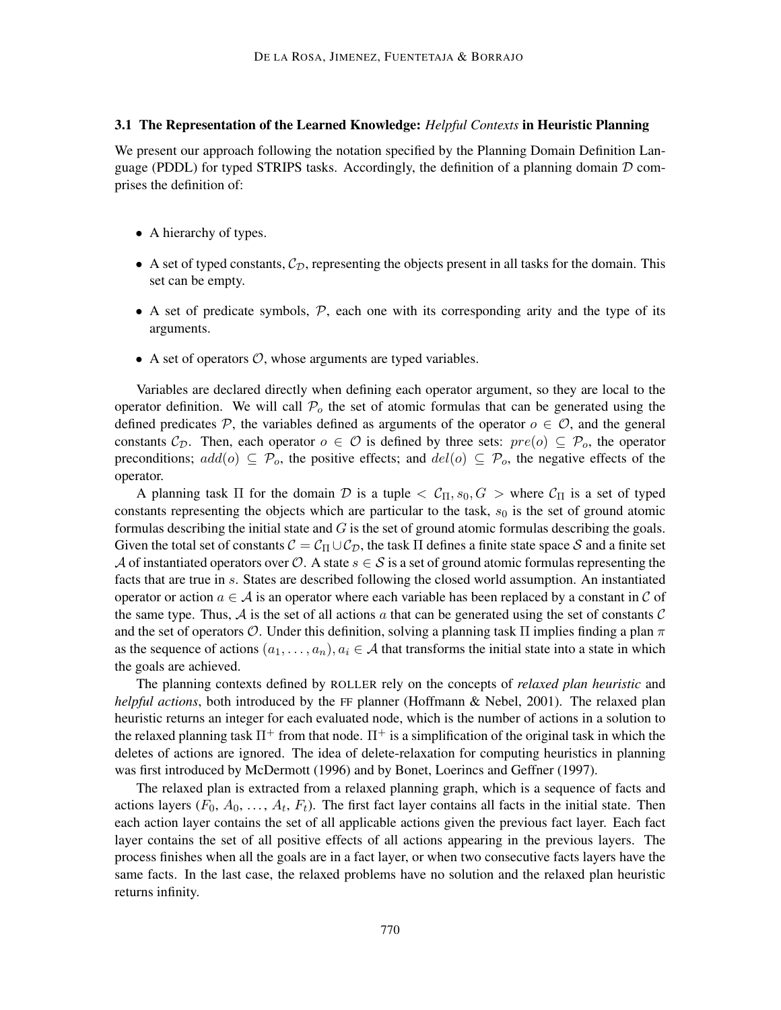#### 3.1 The Representation of the Learned Knowledge: *Helpful Contexts* in Heuristic Planning

We present our approach following the notation specified by the Planning Domain Definition Language (PDDL) for typed STRIPS tasks. Accordingly, the definition of a planning domain  $D$  comprises the definition of:

- A hierarchy of types.
- A set of typed constants,  $C_{\mathcal{D}}$ , representing the objects present in all tasks for the domain. This set can be empty.
- A set of predicate symbols,  $P$ , each one with its corresponding arity and the type of its arguments.
- A set of operators  $\mathcal{O}$ , whose arguments are typed variables.

Variables are declared directly when defining each operator argument, so they are local to the operator definition. We will call  $\mathcal{P}_o$  the set of atomic formulas that can be generated using the defined predicates P, the variables defined as arguments of the operator  $o \in \mathcal{O}$ , and the general constants  $C_{\mathcal{D}}$ . Then, each operator  $o \in \mathcal{O}$  is defined by three sets:  $pre(o) \subseteq \mathcal{P}_o$ , the operator preconditions;  $add(o) \subseteq P_o$ , the positive effects; and  $del(o) \subseteq P_o$ , the negative effects of the operator.

A planning task  $\Pi$  for the domain  $D$  is a tuple  $\langle C_{\Pi}, s_0, G \rangle$  where  $C_{\Pi}$  is a set of typed constants representing the objects which are particular to the task,  $s<sub>0</sub>$  is the set of ground atomic formulas describing the initial state and  $G$  is the set of ground atomic formulas describing the goals. Given the total set of constants  $C = C_{\Pi} \cup C_{\mathcal{D}}$ , the task  $\Pi$  defines a finite state space S and a finite set A of instantiated operators over  $\mathcal{O}$ . A state  $s \in \mathcal{S}$  is a set of ground atomic formulas representing the facts that are true in s. States are described following the closed world assumption. An instantiated operator or action  $a \in A$  is an operator where each variable has been replaced by a constant in C of the same type. Thus,  $A$  is the set of all actions a that can be generated using the set of constants  $C$ and the set of operators O. Under this definition, solving a planning task  $\Pi$  implies finding a plan  $\pi$ as the sequence of actions  $(a_1, \ldots, a_n), a_i \in \mathcal{A}$  that transforms the initial state into a state in which the goals are achieved.

The planning contexts defined by ROLLER rely on the concepts of *relaxed plan heuristic* and *helpful actions*, both introduced by the FF planner (Hoffmann & Nebel, 2001). The relaxed plan heuristic returns an integer for each evaluated node, which is the number of actions in a solution to the relaxed planning task  $\Pi^+$  from that node.  $\Pi^+$  is a simplification of the original task in which the deletes of actions are ignored. The idea of delete-relaxation for computing heuristics in planning was first introduced by McDermott (1996) and by Bonet, Loerincs and Geffner (1997).

The relaxed plan is extracted from a relaxed planning graph, which is a sequence of facts and actions layers  $(F_0, A_0, \ldots, A_t, F_t)$ . The first fact layer contains all facts in the initial state. Then each action layer contains the set of all applicable actions given the previous fact layer. Each fact layer contains the set of all positive effects of all actions appearing in the previous layers. The process finishes when all the goals are in a fact layer, or when two consecutive facts layers have the same facts. In the last case, the relaxed problems have no solution and the relaxed plan heuristic returns infinity.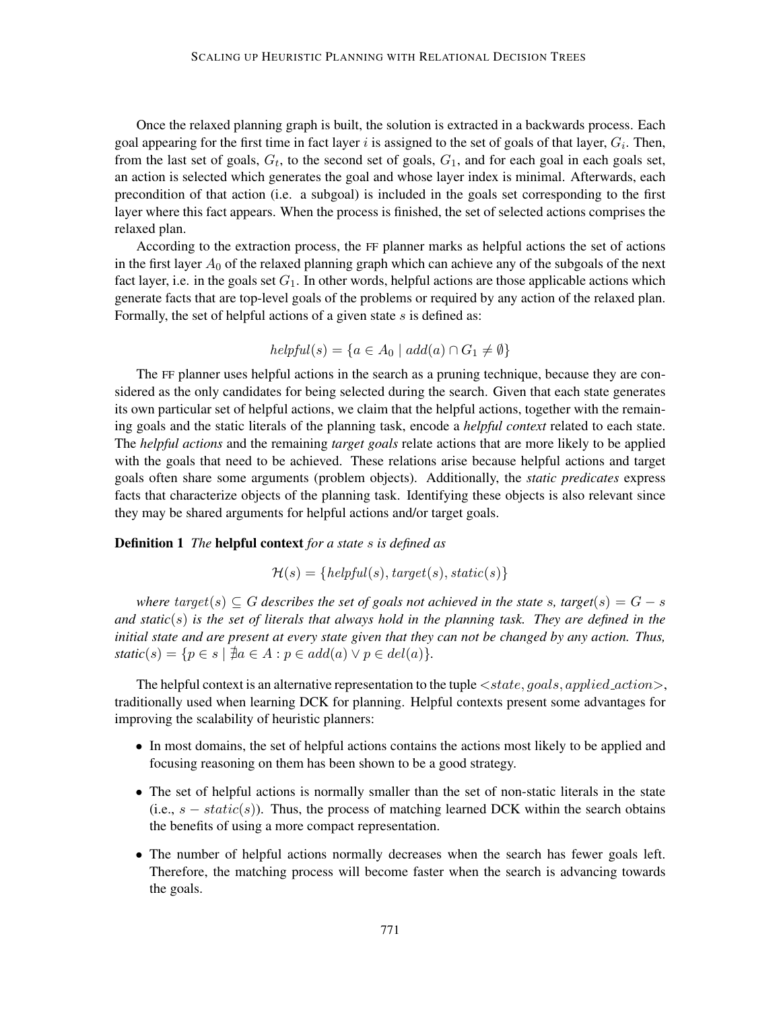Once the relaxed planning graph is built, the solution is extracted in a backwards process. Each goal appearing for the first time in fact layer  $i$  is assigned to the set of goals of that layer,  $G_i$ . Then, from the last set of goals,  $G_t$ , to the second set of goals,  $G_1$ , and for each goal in each goals set, an action is selected which generates the goal and whose layer index is minimal. Afterwards, each precondition of that action (i.e. a subgoal) is included in the goals set corresponding to the first layer where this fact appears. When the process is finished, the set of selected actions comprises the relaxed plan.

According to the extraction process, the FF planner marks as helpful actions the set of actions in the first layer  $A_0$  of the relaxed planning graph which can achieve any of the subgoals of the next fact layer, i.e. in the goals set  $G_1$ . In other words, helpful actions are those applicable actions which generate facts that are top-level goals of the problems or required by any action of the relaxed plan. Formally, the set of helpful actions of a given state  $s$  is defined as:

$$
helpful(s) = \{a \in A_0 \mid add(a) \cap G_1 \neq \emptyset\}
$$

The FF planner uses helpful actions in the search as a pruning technique, because they are considered as the only candidates for being selected during the search. Given that each state generates its own particular set of helpful actions, we claim that the helpful actions, together with the remaining goals and the static literals of the planning task, encode a *helpful context* related to each state. The *helpful actions* and the remaining *target goals* relate actions that are more likely to be applied with the goals that need to be achieved. These relations arise because helpful actions and target goals often share some arguments (problem objects). Additionally, the *static predicates* express facts that characterize objects of the planning task. Identifying these objects is also relevant since they may be shared arguments for helpful actions and/or target goals.

#### Definition 1 *The* helpful context *for a state* s *is defined as*

$$
\mathcal{H}(s) = \{helpful(s), target(s), static(s)\}
$$

*where*  $target(s) \subseteq G$  *describes the set of goals not achieved in the state* s, target $(s) = G - s$ *and static*(s) *is the set of literals that always hold in the planning task. They are defined in the initial state and are present at every state given that they can not be changed by any action. Thus,*  $static(s) = \{p \in s \mid \nexists a \in A : p \in add(a) \lor p \in del(a)\}.$ 

The helpful context is an alternative representation to the tuple  $\langle state, goals, applied\_action \rangle$ , traditionally used when learning DCK for planning. Helpful contexts present some advantages for improving the scalability of heuristic planners:

- In most domains, the set of helpful actions contains the actions most likely to be applied and focusing reasoning on them has been shown to be a good strategy.
- The set of helpful actions is normally smaller than the set of non-static literals in the state (i.e.,  $s - static(s)$ ). Thus, the process of matching learned DCK within the search obtains the benefits of using a more compact representation.
- The number of helpful actions normally decreases when the search has fewer goals left. Therefore, the matching process will become faster when the search is advancing towards the goals.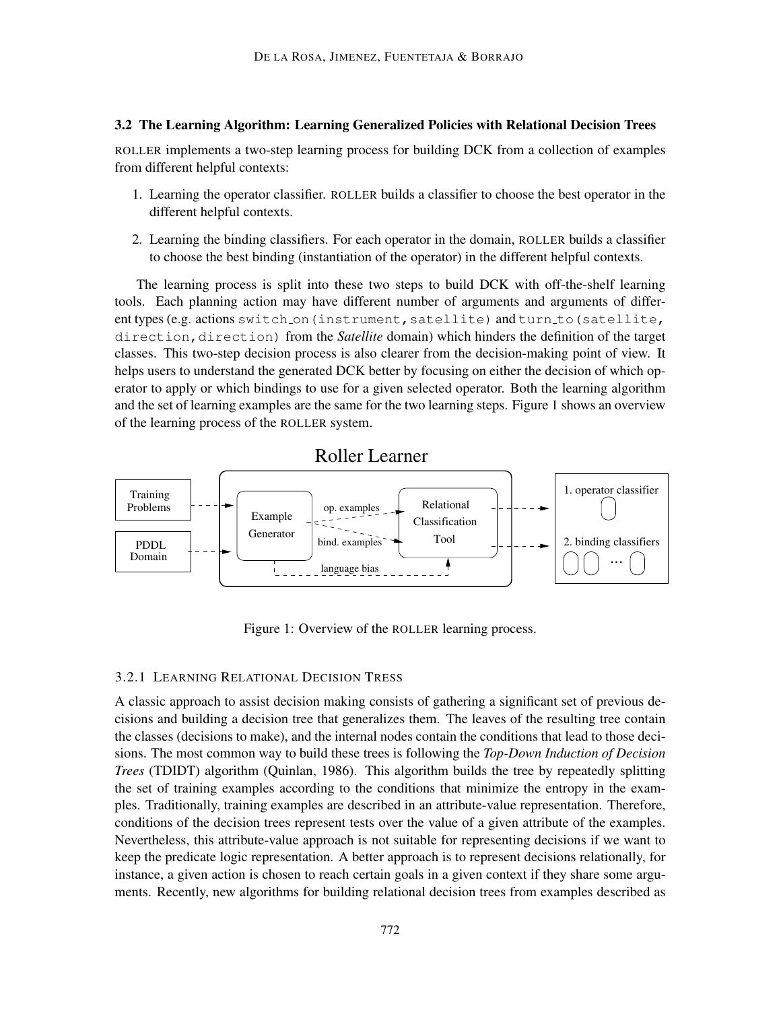#### 3.2 The Learning Algorithm: Learning Generalized Policies with Relational Decision Trees

ROLLER implements a two-step learning process for building DCK from a collection of examples from different helpful contexts:

- 1. Learning the operator classifier. ROLLER builds a classifier to choose the best operator in the different helpful contexts.
- 2. Learning the binding classifiers. For each operator in the domain, ROLLER builds a classifier to choose the best binding (instantiation of the operator) in the different helpful contexts.

The learning process is split into these two steps to build DCK with off-the-shelf learning tools. Each planning action may have different number of arguments and arguments of different types (e.g. actions switch\_on(instrument, satellite) and turn\_to(satellite, direction, direction) from the *Satellite* domain) which hinders the definition of the target classes. This two-step decision process is also clearer from the decision-making point of view. It helps users to understand the generated DCK better by focusing on either the decision of which operator to apply or which bindings to use for a given selected operator. Both the learning algorithm and the set of learning examples are the same for the two learning steps. Figure 1 shows an overview of the learning process of the ROLLER system.





Figure 1: Overview of the ROLLER learning process.

## 3.2.1 LEARNING RELATIONAL DECISION TRESS

A classic approach to assist decision making consists of gathering a significant set of previous decisions and building a decision tree that generalizes them. The leaves of the resulting tree contain the classes (decisions to make), and the internal nodes contain the conditions that lead to those decisions. The most common way to build these trees is following the *Top-Down Induction of Decision Trees* (TDIDT) algorithm (Quinlan, 1986). This algorithm builds the tree by repeatedly splitting the set of training examples according to the conditions that minimize the entropy in the examples. Traditionally, training examples are described in an attribute-value representation. Therefore, conditions of the decision trees represent tests over the value of a given attribute of the examples. Nevertheless, this attribute-value approach is not suitable for representing decisions if we want to keep the predicate logic representation. A better approach is to represent decisions relationally, for instance, a given action is chosen to reach certain goals in a given context if they share some arguments. Recently, new algorithms for building relational decision trees from examples described as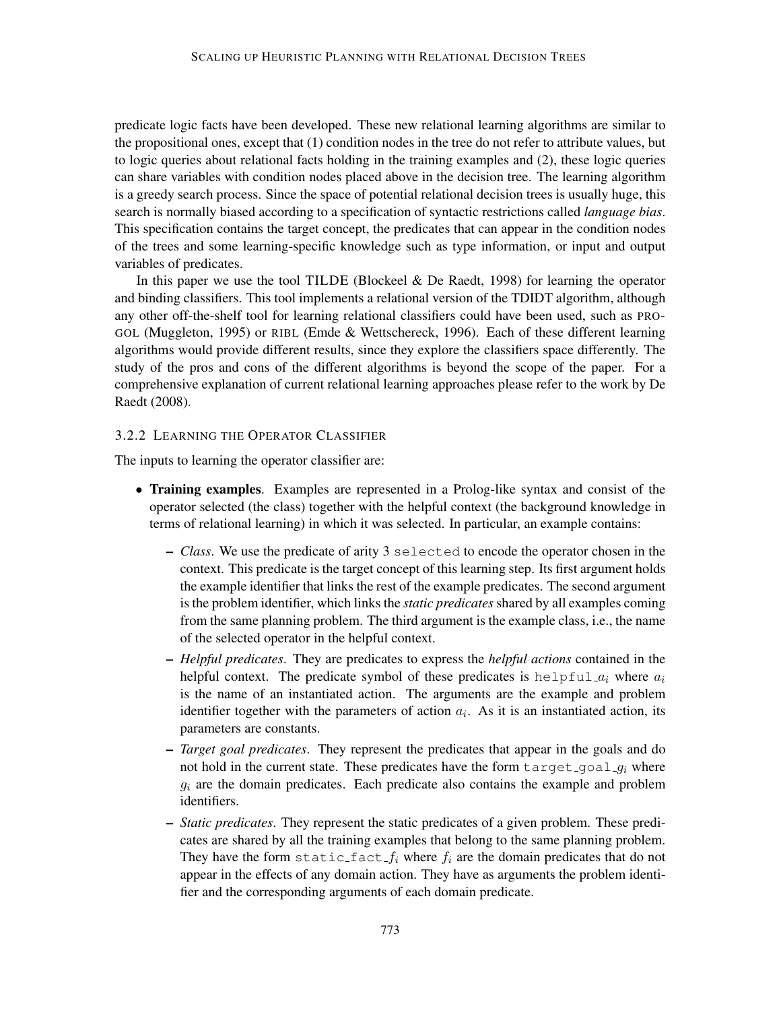predicate logic facts have been developed. These new relational learning algorithms are similar to the propositional ones, except that (1) condition nodes in the tree do not refer to attribute values, but to logic queries about relational facts holding in the training examples and (2), these logic queries can share variables with condition nodes placed above in the decision tree. The learning algorithm is a greedy search process. Since the space of potential relational decision trees is usually huge, this search is normally biased according to a specification of syntactic restrictions called *language bias*. This specification contains the target concept, the predicates that can appear in the condition nodes of the trees and some learning-specific knowledge such as type information, or input and output variables of predicates.

In this paper we use the tool TILDE (Blockeel  $\&$  De Raedt, 1998) for learning the operator and binding classifiers. This tool implements a relational version of the TDIDT algorithm, although any other off-the-shelf tool for learning relational classifiers could have been used, such as PRO-GOL (Muggleton, 1995) or RIBL (Emde & Wettschereck, 1996). Each of these different learning algorithms would provide different results, since they explore the classifiers space differently. The study of the pros and cons of the different algorithms is beyond the scope of the paper. For a comprehensive explanation of current relational learning approaches please refer to the work by De Raedt (2008).

#### 3.2.2 LEARNING THE OPERATOR CLASSIFIER

The inputs to learning the operator classifier are:

- Training examples. Examples are represented in a Prolog-like syntax and consist of the operator selected (the class) together with the helpful context (the background knowledge in terms of relational learning) in which it was selected. In particular, an example contains:
	- *Class*. We use the predicate of arity 3 selected to encode the operator chosen in the context. This predicate is the target concept of this learning step. Its first argument holds the example identifier that links the rest of the example predicates. The second argument is the problem identifier, which links the *static predicates* shared by all examples coming from the same planning problem. The third argument is the example class, i.e., the name of the selected operator in the helpful context.
	- *Helpful predicates*. They are predicates to express the *helpful actions* contained in the helpful context. The predicate symbol of these predicates is helpful  $a_i$  where  $a_i$ is the name of an instantiated action. The arguments are the example and problem identifier together with the parameters of action  $a_i$ . As it is an instantiated action, its parameters are constants.
	- *Target goal predicates*. They represent the predicates that appear in the goals and do not hold in the current state. These predicates have the form  $\text{target\_goal}_q_i$  where  $g_i$  are the domain predicates. Each predicate also contains the example and problem identifiers.
	- *Static predicates*. They represent the static predicates of a given problem. These predicates are shared by all the training examples that belong to the same planning problem. They have the form static fact  $f_i$  where  $f_i$  are the domain predicates that do not appear in the effects of any domain action. They have as arguments the problem identifier and the corresponding arguments of each domain predicate.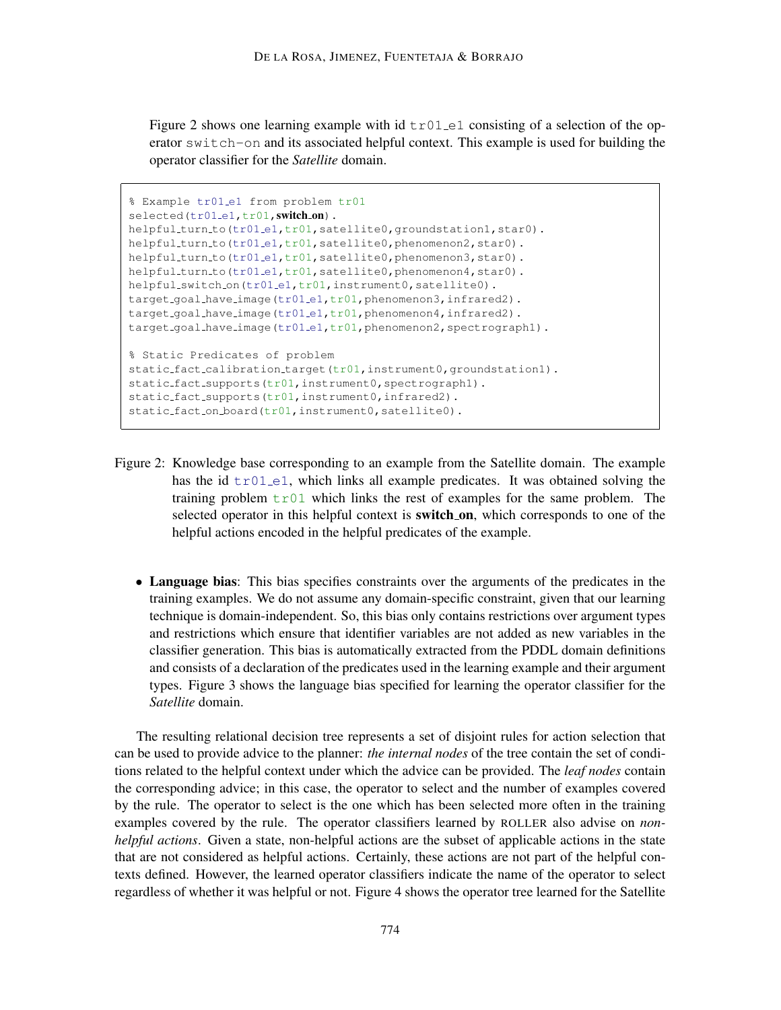Figure 2 shows one learning example with id  $\text{tr01}$  e1 consisting of a selection of the operator switch-on and its associated helpful context. This example is used for building the operator classifier for the *Satellite* domain.

```
% Example tr01 e1 from problem tr01
selected(tr01_e1,tr01,switch_on).
helpful_turn_to(tr01_e1,tr01,satellite0,groundstation1,star0).
helpful_turn_to(tr01_e1,tr01,satellite0,phenomenon2,star0).
helpful_turn_to(tr01_e1,tr01,satellite0,phenomenon3,star0).
helpful_turn_to(tr01_e1,tr01,satellite0,phenomenon4,star0).
helpful_switch_on(tr01_e1,tr01,instrument0,satellite0).
target_goal_have_image(tr01_e1,tr01,phenomenon3,infrared2).
target_goal_have_image(tr01_e1,tr01,phenomenon4,infrared2).
target_goal_have_image(tr01_e1,tr01,phenomenon2,spectrograph1).
% Static Predicates of problem
static_fact_calibration_target(tr01,instrument0,groundstation1).
static_fact_supports(tr01,instrument0,spectrograph1).
static_fact_supports(tr01,instrument0,infrared2).
static_fact_on_board(tr01,instrument0,satellite0).
```
- Figure 2: Knowledge base corresponding to an example from the Satellite domain. The example has the id  $\text{tr}(0.1 - e1)$ , which links all example predicates. It was obtained solving the training problem  $\text{tr}01$  which links the rest of examples for the same problem. The selected operator in this helpful context is **switch on**, which corresponds to one of the helpful actions encoded in the helpful predicates of the example.
	- Language bias: This bias specifies constraints over the arguments of the predicates in the training examples. We do not assume any domain-specific constraint, given that our learning technique is domain-independent. So, this bias only contains restrictions over argument types and restrictions which ensure that identifier variables are not added as new variables in the classifier generation. This bias is automatically extracted from the PDDL domain definitions and consists of a declaration of the predicates used in the learning example and their argument types. Figure 3 shows the language bias specified for learning the operator classifier for the *Satellite* domain.

The resulting relational decision tree represents a set of disjoint rules for action selection that can be used to provide advice to the planner: *the internal nodes* of the tree contain the set of conditions related to the helpful context under which the advice can be provided. The *leaf nodes* contain the corresponding advice; in this case, the operator to select and the number of examples covered by the rule. The operator to select is the one which has been selected more often in the training examples covered by the rule. The operator classifiers learned by ROLLER also advise on *nonhelpful actions*. Given a state, non-helpful actions are the subset of applicable actions in the state that are not considered as helpful actions. Certainly, these actions are not part of the helpful contexts defined. However, the learned operator classifiers indicate the name of the operator to select regardless of whether it was helpful or not. Figure 4 shows the operator tree learned for the Satellite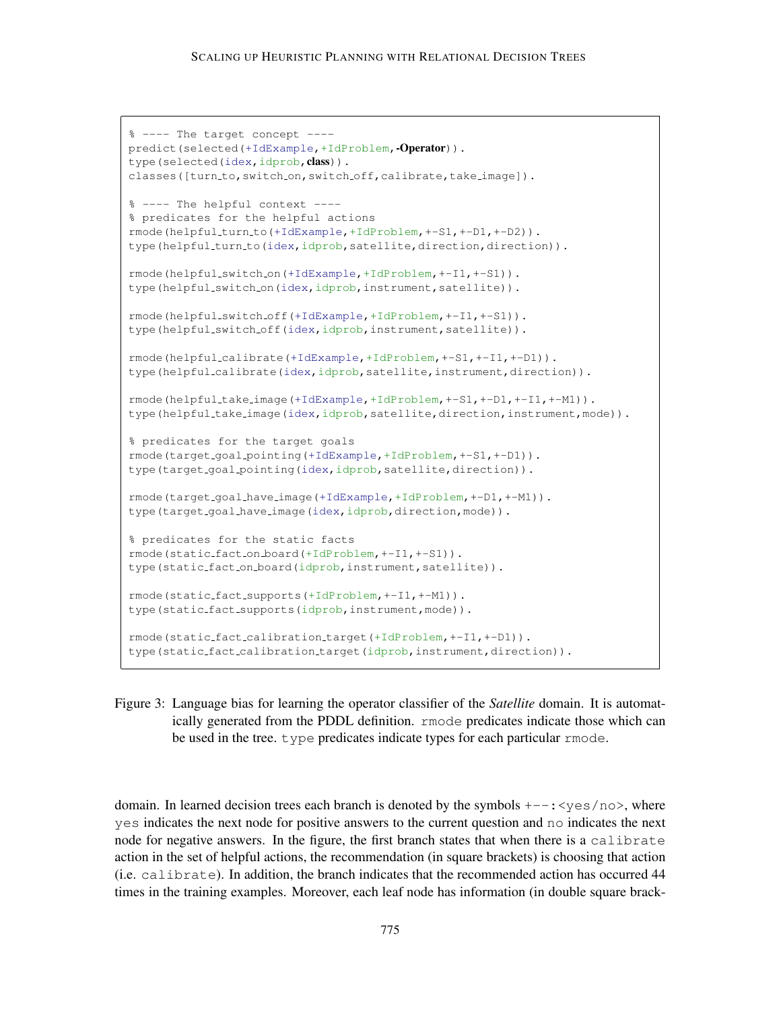#### SCALING UP HEURISTIC PLANNING WITH RELATIONAL DECISION TREES

```
% ---- The target concept ----
predict(selected(+IdExample,+IdProblem,-Operator)).
type(selected(idex,idprob, class)).
classes([turn_to,switch_on,switch_off,calibrate,take_image]).
% ---- The helpful context ----
% predicates for the helpful actions
rmode(helpful turn to(+IdExample,+IdProblem,+-S1,+-D1,+-D2)).
type(helpful_turn_to(idex,idprob,satellite,direction,direction)).
rmode(helpful switch on(+IdExample,+IdProblem,+-I1,+-S1)).
type(helpful_switch_on(idex,idprob,instrument,satellite)).
rmode(helpful switch off(+IdExample,+IdProblem,+-I1,+-S1)).
type(helpful_switch_off(idex,idprob,instrument,satellite)).
rmode(helpful calibrate(+IdExample,+IdProblem,+-S1,+-I1,+-D1)).
type(helpful_calibrate(idex,idprob,satellite,instrument,direction)).
rmode(helpful take image(+IdExample,+IdProblem,+-S1,+-D1,+-I1,+-M1)).
type(helpful_take_image(idex,idprob,satellite,direction,instrument,mode)).
% predicates for the target goals
rmode(target goal pointing(+IdExample,+IdProblem,+-S1,+-D1)).
type(target_goal_pointing(idex,idprob,satellite,direction)).
rmode(target goal have image(+IdExample,+IdProblem,+-D1,+-M1)).
type(target_goal_have_image(idex,idprob,direction,mode)).
% predicates for the static facts
rmode(static fact on board(+IdProblem,+-I1,+-S1)).
type(static_fact_on_board(idprob,instrument,satellite)).
rmode(static fact supports(+IdProblem,+-I1,+-M1)).
type(static_fact_supports(idprob,instrument,mode)).
rmode(static fact calibration target(+IdProblem,+-I1,+-D1)).
type(static_fact_calibration_target(idprob,instrument,direction)).
```
Figure 3: Language bias for learning the operator classifier of the *Satellite* domain. It is automatically generated from the PDDL definition. rmode predicates indicate those which can be used in the tree. type predicates indicate types for each particular rmode.

domain. In learned decision trees each branch is denoted by the symbols  $+--:$   $\leq$ yes/no>, where yes indicates the next node for positive answers to the current question and no indicates the next node for negative answers. In the figure, the first branch states that when there is a calibrate action in the set of helpful actions, the recommendation (in square brackets) is choosing that action (i.e. calibrate). In addition, the branch indicates that the recommended action has occurred 44 times in the training examples. Moreover, each leaf node has information (in double square brack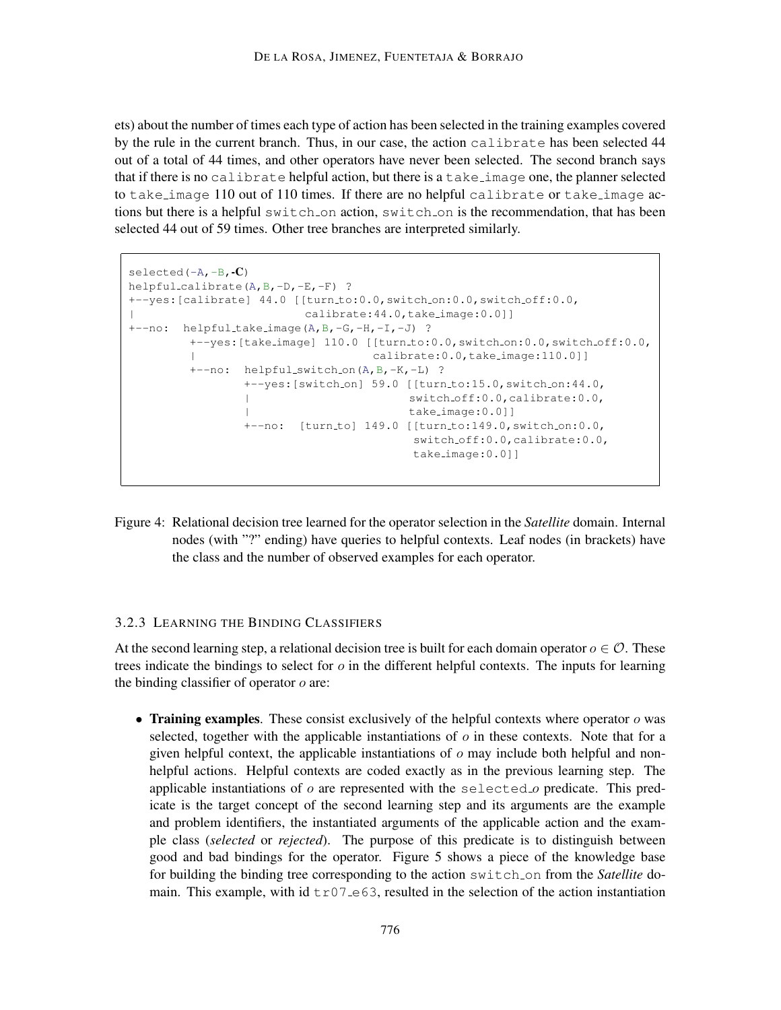ets) about the number of times each type of action has been selected in the training examples covered by the rule in the current branch. Thus, in our case, the action calibrate has been selected 44 out of a total of 44 times, and other operators have never been selected. The second branch says that if there is no calibrate helpful action, but there is a take image one, the planner selected to take image 110 out of 110 times. If there are no helpful calibrate or take image actions but there is a helpful switch on action, switch on is the recommendation, that has been selected 44 out of 59 times. Other tree branches are interpreted similarly.

```
selected(-A, -B, -C)helpful calibrate(A,B,-D,-E,-F) ?
+--yes:[calibrate] 44.0 [[turn_to:0.0,switch_on:0.0,switch_off:0.0,
| calibrate:44.0,take image:0.0]]
+--no: helpful_take_image(A, B, -G, -H, -I, -J) ?
       +--yes:[take_image] 110.0 [[turn_to:0.0,switch_on:0.0,switch_off:0.0,
       | calibrate:0.0,take image:110.0]]
       +--no: helpful_switch_on(A,B,-K,-L) ?
              +--yes: [switch_on] 59.0 [[turn_to:15.0, switch_on:44.0,
               | switch off:0.0,calibrate:0.0,
               | take image:0.0]]
              +--no: [turn_to] 149.0 [[turn_to:149.0, switch_on:0.0,
                                    switch off:0.0,calibrate:0.0,
                                    take image:0.0]]
```
Figure 4: Relational decision tree learned for the operator selection in the *Satellite* domain. Internal nodes (with "?" ending) have queries to helpful contexts. Leaf nodes (in brackets) have the class and the number of observed examples for each operator.

### 3.2.3 LEARNING THE BINDING CLASSIFIERS

At the second learning step, a relational decision tree is built for each domain operator  $o \in \mathcal{O}$ . These trees indicate the bindings to select for  $o$  in the different helpful contexts. The inputs for learning the binding classifier of operator  $o$  are:

• Training examples. These consist exclusively of the helpful contexts where operator  $\sigma$  was selected, together with the applicable instantiations of  $o$  in these contexts. Note that for a given helpful context, the applicable instantiations of  $\sigma$  may include both helpful and nonhelpful actions. Helpful contexts are coded exactly as in the previous learning step. The applicable instantiations of  $o$  are represented with the selected  $o$  predicate. This predicate is the target concept of the second learning step and its arguments are the example and problem identifiers, the instantiated arguments of the applicable action and the example class (*selected* or *rejected*). The purpose of this predicate is to distinguish between good and bad bindings for the operator. Figure 5 shows a piece of the knowledge base for building the binding tree corresponding to the action switch on from the *Satellite* domain. This example, with id  $tr07 \text{ e}63$ , resulted in the selection of the action instantiation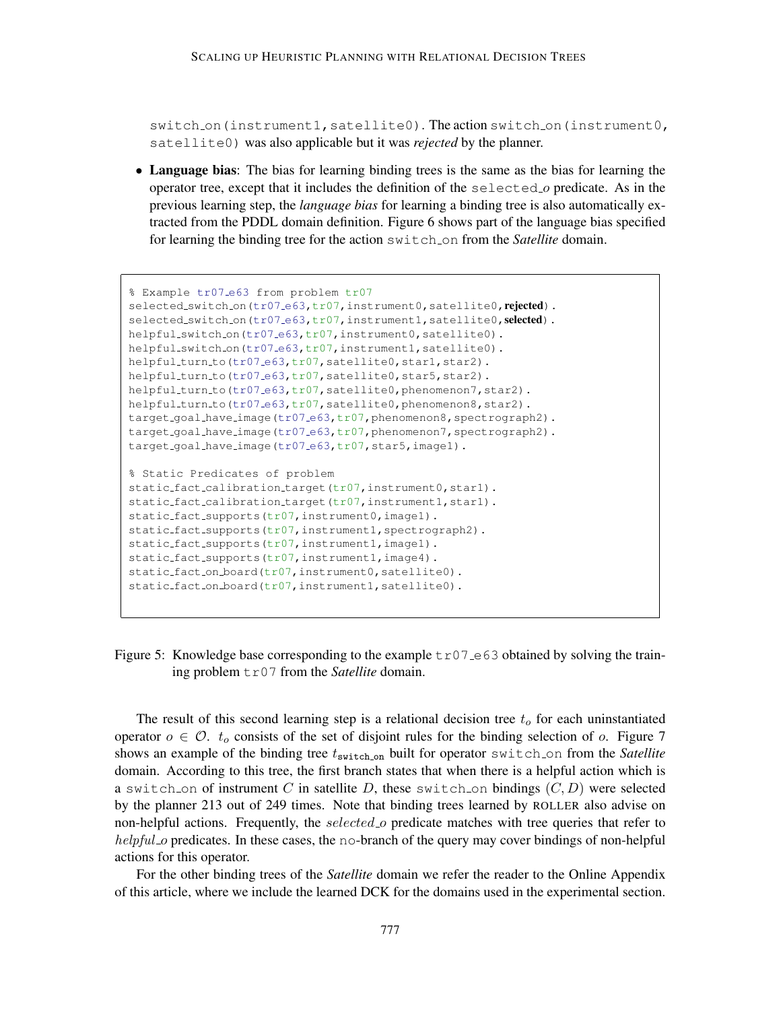switch on(instrument1, satellite0). The action switch on(instrument0, satellite0) was also applicable but it was *rejected* by the planner.

• Language bias: The bias for learning binding trees is the same as the bias for learning the operator tree, except that it includes the definition of the selected o predicate. As in the previous learning step, the *language bias* for learning a binding tree is also automatically extracted from the PDDL domain definition. Figure 6 shows part of the language bias specified for learning the binding tree for the action switch on from the *Satellite* domain.

```
% Example tr07 e63 from problem tr07
selected_switch_on(tr07_e63,tr07,instrument0,satellite0,rejected).
selected_switch_on(tr07_e63,tr07,instrument1,satellite0,selected).
helpful_switch_on(tr07_e63,tr07,instrument0,satellite0).
helpful_switch_on(tr07_e63,tr07,instrument1,satellite0).
helpful_turn_to(tr07_e63,tr07,satellite0,star1,star2).
helpful_turn_to(tr07_e63,tr07,satellite0,star5,star2).
helpful_turn_to(tr07_e63,tr07,satellite0,phenomenon7,star2).
helpful_turn_to(tr07_e63,tr07,satellite0,phenomenon8,star2).
target_goal_have_image(tr07_e63,tr07,phenomenon8,spectrograph2).
target goal have image (tr07 e63, tr07, phenomenon7, spectrograph2).
target_goal_have_image(tr07_e63,tr07,star5,image1).
% Static Predicates of problem
static_fact_calibration_target(tr07,instrument0,star1).
static fact calibration target (tr07, instrument1, star1).
static_fact_supports(tr07,instrument0,image1).
static_fact_supports(tr07,instrument1,spectrograph2).
static_fact_supports(tr07,instrument1,image1).
static_fact_supports(tr07,instrument1,image4).
static_fact_on_board(tr07,instrument0,satellite0).
static_fact_on_board(tr07,instrument1,satellite0).
```
Figure 5: Knowledge base corresponding to the example  $\text{tr}07 \text{ -e}63$  obtained by solving the training problem tr07 from the *Satellite* domain.

The result of this second learning step is a relational decision tree  $t<sub>o</sub>$  for each uninstantiated operator  $o \in \mathcal{O}$ .  $t_o$  consists of the set of disjoint rules for the binding selection of o. Figure 7 shows an example of the binding tree  $t_{\text{switch\_on}}$  built for operator switch\_on from the *Satellite* domain. According to this tree, the first branch states that when there is a helpful action which is a switch on of instrument C in satellite D, these switch on bindings  $(C, D)$  were selected by the planner 213 out of 249 times. Note that binding trees learned by ROLLER also advise on non-helpful actions. Frequently, the selected  $o$  predicate matches with tree queries that refer to helpful o predicates. In these cases, the no-branch of the query may cover bindings of non-helpful actions for this operator.

For the other binding trees of the *Satellite* domain we refer the reader to the Online Appendix of this article, where we include the learned DCK for the domains used in the experimental section.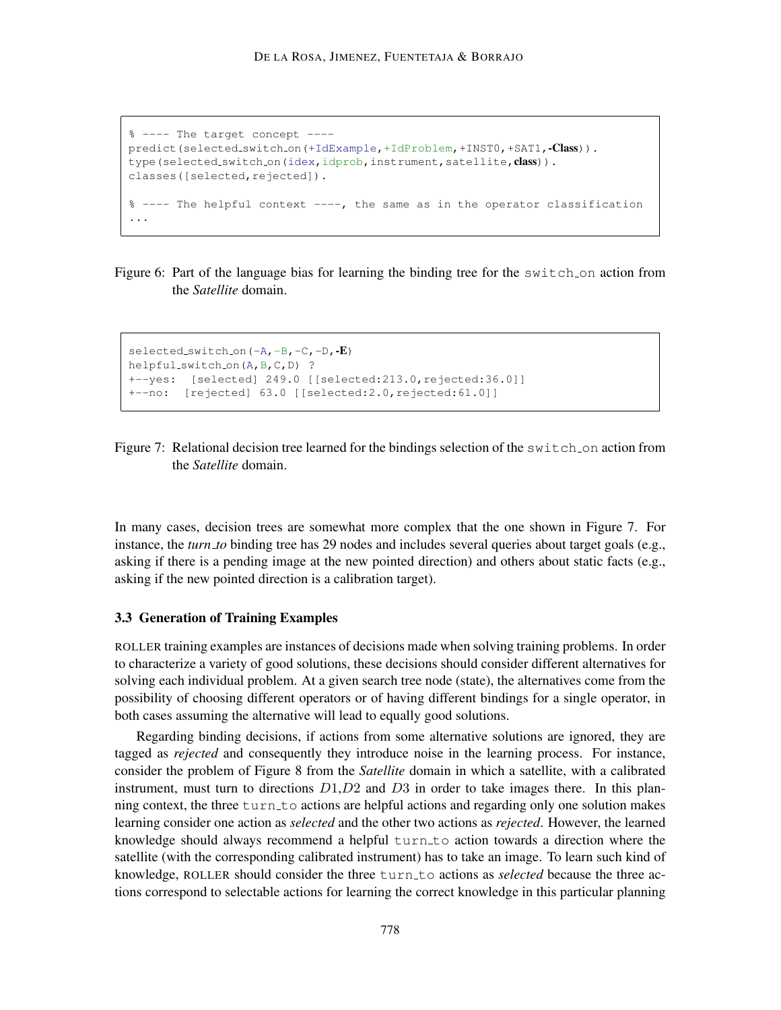```
% ---- The target concept ----
predict(selected_switch_on(+IdExample,+IdProblem,+INST0,+SAT1,-Class)).
type(selected_switch_on(idex,idprob,instrument,satellite, class)).
classes([selected,rejected]).
% ---- The helpful context ----, the same as in the operator classification
...
```
Figure 6: Part of the language bias for learning the binding tree for the switch on action from the *Satellite* domain.

```
selected_switch_on(-A,-B,-C,-D,-E)
helpful_switch_on(A,B,C,D) ?
+--yes: [selected] 249.0 [[selected:213.0,rejected:36.0]]
+--no: [rejected] 63.0 [[selected:2.0,rejected:61.0]]
```


In many cases, decision trees are somewhat more complex that the one shown in Figure 7. For instance, the *turn to* binding tree has 29 nodes and includes several queries about target goals (e.g., asking if there is a pending image at the new pointed direction) and others about static facts (e.g., asking if the new pointed direction is a calibration target).

#### 3.3 Generation of Training Examples

ROLLER training examples are instances of decisions made when solving training problems. In order to characterize a variety of good solutions, these decisions should consider different alternatives for solving each individual problem. At a given search tree node (state), the alternatives come from the possibility of choosing different operators or of having different bindings for a single operator, in both cases assuming the alternative will lead to equally good solutions.

Regarding binding decisions, if actions from some alternative solutions are ignored, they are tagged as *rejected* and consequently they introduce noise in the learning process. For instance, consider the problem of Figure 8 from the *Satellite* domain in which a satellite, with a calibrated instrument, must turn to directions  $D1, D2$  and  $D3$  in order to take images there. In this planning context, the three  $turn_to$  actions are helpful actions and regarding only one solution makes learning consider one action as *selected* and the other two actions as *rejected*. However, the learned knowledge should always recommend a helpful turn to action towards a direction where the satellite (with the corresponding calibrated instrument) has to take an image. To learn such kind of knowledge, ROLLER should consider the three turn to actions as *selected* because the three actions correspond to selectable actions for learning the correct knowledge in this particular planning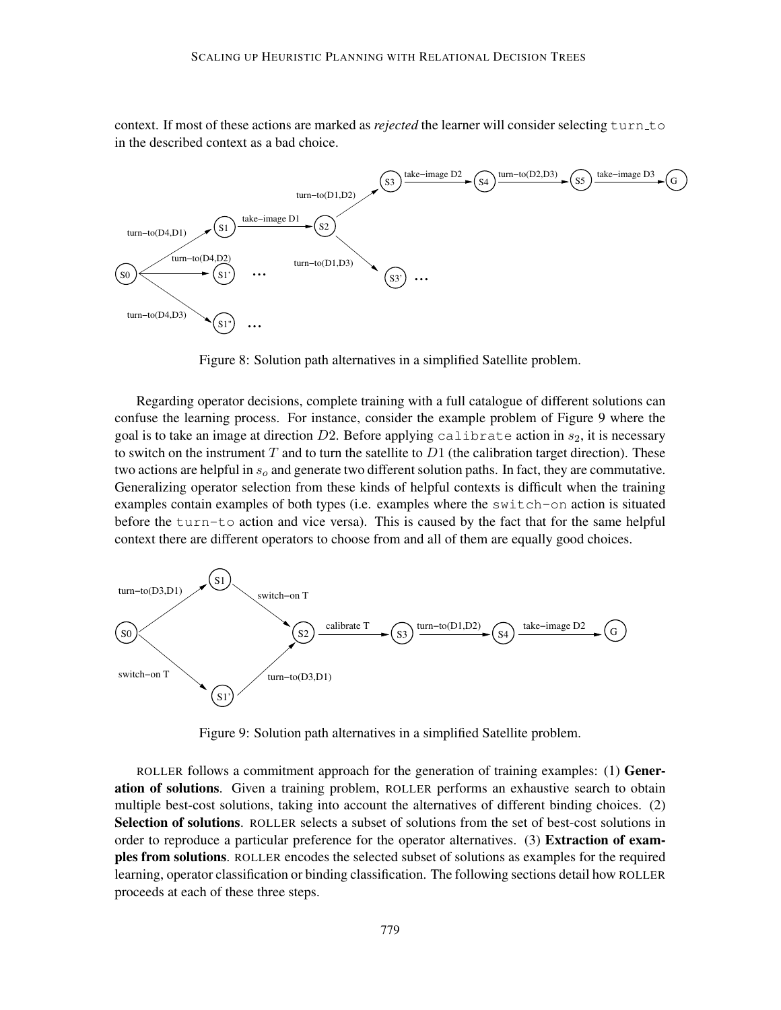context. If most of these actions are marked as *rejected* the learner will consider selecting turn to in the described context as a bad choice.



Figure 8: Solution path alternatives in a simplified Satellite problem.

Regarding operator decisions, complete training with a full catalogue of different solutions can confuse the learning process. For instance, consider the example problem of Figure 9 where the goal is to take an image at direction  $D2$ . Before applying calibrate action in  $s_2$ , it is necessary to switch on the instrument T and to turn the satellite to  $D1$  (the calibration target direction). These two actions are helpful in  $s_0$  and generate two different solution paths. In fact, they are commutative. Generalizing operator selection from these kinds of helpful contexts is difficult when the training examples contain examples of both types (i.e. examples where the switch-on action is situated before the turn-to action and vice versa). This is caused by the fact that for the same helpful context there are different operators to choose from and all of them are equally good choices.



Figure 9: Solution path alternatives in a simplified Satellite problem.

ROLLER follows a commitment approach for the generation of training examples: (1) Generation of solutions. Given a training problem, ROLLER performs an exhaustive search to obtain multiple best-cost solutions, taking into account the alternatives of different binding choices. (2) Selection of solutions. ROLLER selects a subset of solutions from the set of best-cost solutions in order to reproduce a particular preference for the operator alternatives. (3) Extraction of examples from solutions. ROLLER encodes the selected subset of solutions as examples for the required learning, operator classification or binding classification. The following sections detail how ROLLER proceeds at each of these three steps.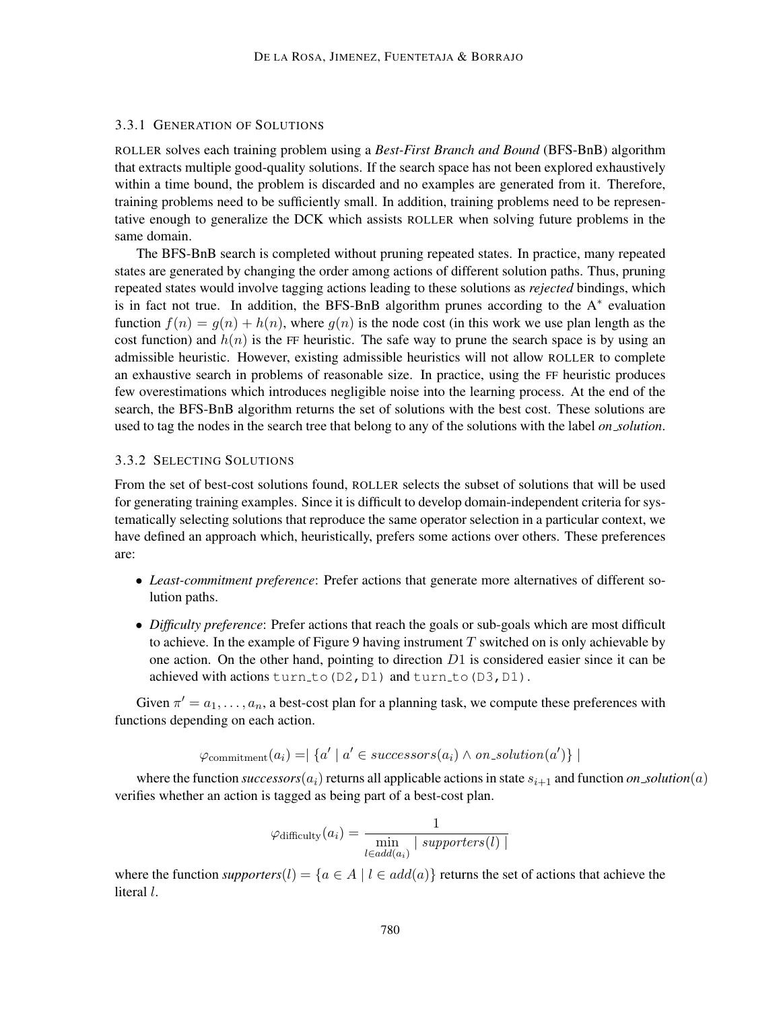#### 3.3.1 GENERATION OF SOLUTIONS

ROLLER solves each training problem using a *Best-First Branch and Bound* (BFS-BnB) algorithm that extracts multiple good-quality solutions. If the search space has not been explored exhaustively within a time bound, the problem is discarded and no examples are generated from it. Therefore, training problems need to be sufficiently small. In addition, training problems need to be representative enough to generalize the DCK which assists ROLLER when solving future problems in the same domain.

The BFS-BnB search is completed without pruning repeated states. In practice, many repeated states are generated by changing the order among actions of different solution paths. Thus, pruning repeated states would involve tagging actions leading to these solutions as *rejected* bindings, which is in fact not true. In addition, the BFS-BnB algorithm prunes according to the  $A^*$  evaluation function  $f(n) = g(n) + h(n)$ , where  $g(n)$  is the node cost (in this work we use plan length as the cost function) and  $h(n)$  is the FF heuristic. The safe way to prune the search space is by using an admissible heuristic. However, existing admissible heuristics will not allow ROLLER to complete an exhaustive search in problems of reasonable size. In practice, using the FF heuristic produces few overestimations which introduces negligible noise into the learning process. At the end of the search, the BFS-BnB algorithm returns the set of solutions with the best cost. These solutions are used to tag the nodes in the search tree that belong to any of the solutions with the label *on solution*.

#### 3.3.2 SELECTING SOLUTIONS

From the set of best-cost solutions found, ROLLER selects the subset of solutions that will be used for generating training examples. Since it is difficult to develop domain-independent criteria for systematically selecting solutions that reproduce the same operator selection in a particular context, we have defined an approach which, heuristically, prefers some actions over others. These preferences are:

- *Least-commitment preference*: Prefer actions that generate more alternatives of different solution paths.
- *Difficulty preference*: Prefer actions that reach the goals or sub-goals which are most difficult to achieve. In the example of Figure 9 having instrument  $T$  switched on is only achievable by one action. On the other hand, pointing to direction  $D1$  is considered easier since it can be achieved with actions turn\_to(D2,D1) and turn\_to(D3,D1).

Given  $\pi' = a_1, \dots, a_n$ , a best-cost plan for a planning task, we compute these preferences with functions depending on each action.

$$
\varphi_{\text{commitment}}(a_i) = \n \vert \n \lbrace a' \vert a' \in successors(a_i) \land on\_solution(a') \rbrace \mid
$$

where the function *successors*( $a_i$ ) returns all applicable actions in state  $s_{i+1}$  and function *on\_solution*( $a$ ) verifies whether an action is tagged as being part of a best-cost plan.

$$
\varphi_{\text{difficulty}}(a_i) = \frac{1}{\min_{l \in add(a_i)} | \: \text{supporters}(l) \mid}
$$

where the function *supporters*(l) = { $a \in A \mid l \in add(a)$ } returns the set of actions that achieve the literal l.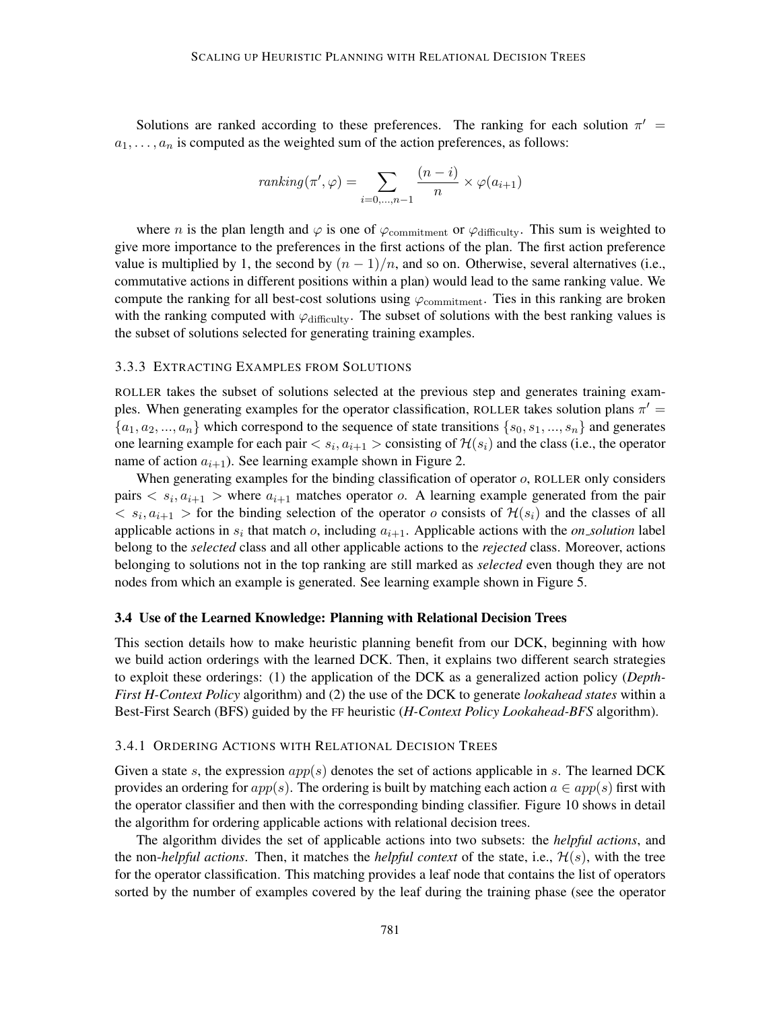Solutions are ranked according to these preferences. The ranking for each solution  $\pi'$  =  $a_1, \ldots, a_n$  is computed as the weighted sum of the action preferences, as follows:

$$
ranking(\pi', \varphi) = \sum_{i=0,\dots,n-1} \frac{(n-i)}{n} \times \varphi(a_{i+1})
$$

where *n* is the plan length and  $\varphi$  is one of  $\varphi$ <sub>commitment</sub> or  $\varphi$ <sub>difficulty</sub>. This sum is weighted to give more importance to the preferences in the first actions of the plan. The first action preference value is multiplied by 1, the second by  $(n - 1)/n$ , and so on. Otherwise, several alternatives (i.e., commutative actions in different positions within a plan) would lead to the same ranking value. We compute the ranking for all best-cost solutions using  $\varphi$ <sub>commitment</sub>. Ties in this ranking are broken with the ranking computed with  $\varphi$ <sub>difficulty</sub>. The subset of solutions with the best ranking values is the subset of solutions selected for generating training examples.

#### 3.3.3 EXTRACTING EXAMPLES FROM SOLUTIONS

ROLLER takes the subset of solutions selected at the previous step and generates training examples. When generating examples for the operator classification, ROLLER takes solution plans  $\pi'$  =  ${a_1, a_2, ..., a_n}$  which correspond to the sequence of state transitions  ${s_0, s_1, ..., s_n}$  and generates one learning example for each pair  $\langle s_i, a_{i+1} \rangle$  consisting of  $\mathcal{H}(s_i)$  and the class (i.e., the operator name of action  $a_{i+1}$ ). See learning example shown in Figure 2.

When generating examples for the binding classification of operator  $o$ , ROLLER only considers pairs  $\langle s_i, a_{i+1} \rangle$  where  $a_{i+1}$  matches operator  $o$ . A learning example generated from the pair  $\langle s_i, a_{i+1} \rangle$  for the binding selection of the operator *o* consists of  $\mathcal{H}(s_i)$  and the classes of all applicable actions in  $s_i$  that match  $o$ , including  $a_{i+1}$ . Applicable actions with the *on solution* label belong to the *selected* class and all other applicable actions to the *rejected* class. Moreover, actions belonging to solutions not in the top ranking are still marked as *selected* even though they are not nodes from which an example is generated. See learning example shown in Figure 5.

#### 3.4 Use of the Learned Knowledge: Planning with Relational Decision Trees

This section details how to make heuristic planning benefit from our DCK, beginning with how we build action orderings with the learned DCK. Then, it explains two different search strategies to exploit these orderings: (1) the application of the DCK as a generalized action policy (*Depth-First H-Context Policy* algorithm) and (2) the use of the DCK to generate *lookahead states* within a Best-First Search (BFS) guided by the FF heuristic (*H-Context Policy Lookahead-BFS* algorithm).

#### 3.4.1 ORDERING ACTIONS WITH RELATIONAL DECISION TREES

Given a state s, the expression  $app(s)$  denotes the set of actions applicable in s. The learned DCK provides an ordering for  $app(s)$ . The ordering is built by matching each action  $a \in app(s)$  first with the operator classifier and then with the corresponding binding classifier. Figure 10 shows in detail the algorithm for ordering applicable actions with relational decision trees.

The algorithm divides the set of applicable actions into two subsets: the *helpful actions*, and the non-*helpful actions*. Then, it matches the *helpful context* of the state, i.e.,  $\mathcal{H}(s)$ , with the tree for the operator classification. This matching provides a leaf node that contains the list of operators sorted by the number of examples covered by the leaf during the training phase (see the operator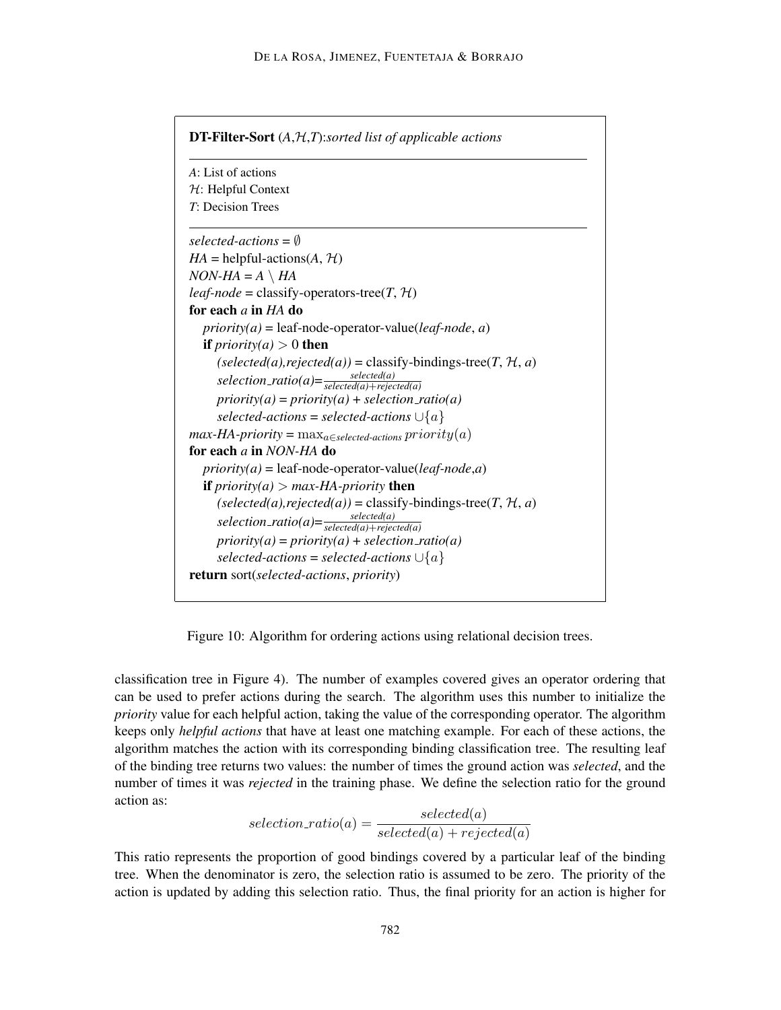| A: List of actions                                                                                                                                        |  |
|-----------------------------------------------------------------------------------------------------------------------------------------------------------|--|
| $H$ : Helpful Context                                                                                                                                     |  |
| T: Decision Trees                                                                                                                                         |  |
| selected-actions = $\emptyset$                                                                                                                            |  |
| $HA = \text{helpful-actions}(A, \mathcal{H})$                                                                                                             |  |
| $NON-HA = A \setminus HA$                                                                                                                                 |  |
| <i>leaf-node</i> = classify-operators-tree( $T$ , $H$ )                                                                                                   |  |
| for each $a$ in $HA$ do                                                                                                                                   |  |
| $priority(a) = leaf-node-operator-value(leaf-node, a)$                                                                                                    |  |
| <b>if</b> <i>priority(a)</i> > 0 <b>then</b>                                                                                                              |  |
| $(selected(a), rejected(a)) = classify-binding-free(T, H, a)$<br>selection_ratio(a)= $\frac{selected(a)}{selected(a) + rejected(a)}$                      |  |
| $priority(a) = priority(a) + selection\_ratio(a)$                                                                                                         |  |
| selected-actions = selected-actions $\cup \{a\}$                                                                                                          |  |
| $max-HA$ -priority = $max_{a \in selected\text{-}actions} priority(a)$                                                                                    |  |
| for each a in NON-HA do                                                                                                                                   |  |
| $priority(a) = leaf-node-operator-value(leaf-node,a)$                                                                                                     |  |
| <b>if</b> $priority(a) > max-HA-priority$ <b>then</b>                                                                                                     |  |
| $(selected(a), rejected(a)) = classify-bindingstree(T, H, a)$<br>selection_ratio(a)= $\frac{\text{selected}(a)}{\text{selected}(a) + \text{rejected}(a)}$ |  |
|                                                                                                                                                           |  |
| $priority(a) = priority(a) + selection\_ratio(a)$                                                                                                         |  |
| selected-actions = selected-actions $\cup \{a\}$                                                                                                          |  |
| <b>return</b> sort(selected-actions, priority)                                                                                                            |  |

Figure 10: Algorithm for ordering actions using relational decision trees.

classification tree in Figure 4). The number of examples covered gives an operator ordering that can be used to prefer actions during the search. The algorithm uses this number to initialize the *priority* value for each helpful action, taking the value of the corresponding operator. The algorithm keeps only *helpful actions* that have at least one matching example. For each of these actions, the algorithm matches the action with its corresponding binding classification tree. The resulting leaf of the binding tree returns two values: the number of times the ground action was *selected*, and the number of times it was *rejected* in the training phase. We define the selection ratio for the ground action as:

$$
selection\_ratio(a) = \frac{selected(a)}{selected(a) + rejected(a)}
$$

This ratio represents the proportion of good bindings covered by a particular leaf of the binding tree. When the denominator is zero, the selection ratio is assumed to be zero. The priority of the action is updated by adding this selection ratio. Thus, the final priority for an action is higher for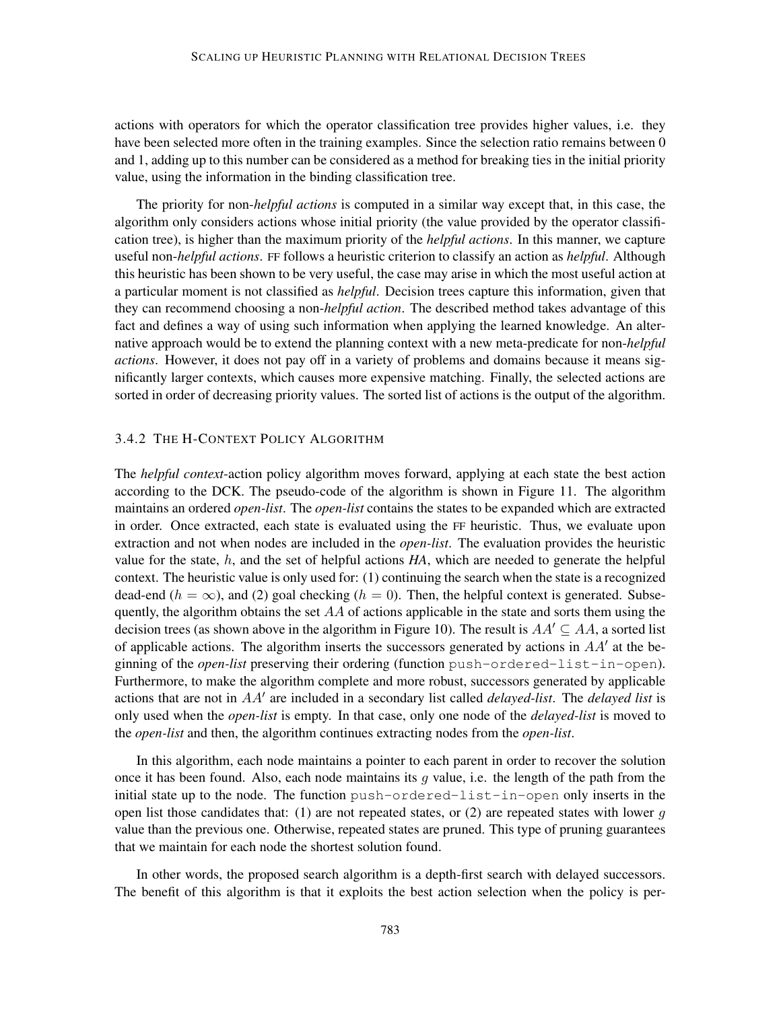actions with operators for which the operator classification tree provides higher values, i.e. they have been selected more often in the training examples. Since the selection ratio remains between 0 and 1, adding up to this number can be considered as a method for breaking ties in the initial priority value, using the information in the binding classification tree.

The priority for non-*helpful actions* is computed in a similar way except that, in this case, the algorithm only considers actions whose initial priority (the value provided by the operator classification tree), is higher than the maximum priority of the *helpful actions*. In this manner, we capture useful non-*helpful actions*. FF follows a heuristic criterion to classify an action as *helpful*. Although this heuristic has been shown to be very useful, the case may arise in which the most useful action at a particular moment is not classified as *helpful*. Decision trees capture this information, given that they can recommend choosing a non-*helpful action*. The described method takes advantage of this fact and defines a way of using such information when applying the learned knowledge. An alternative approach would be to extend the planning context with a new meta-predicate for non-*helpful actions*. However, it does not pay off in a variety of problems and domains because it means significantly larger contexts, which causes more expensive matching. Finally, the selected actions are sorted in order of decreasing priority values. The sorted list of actions is the output of the algorithm.

## 3.4.2 THE H-CONTEXT POLICY ALGORITHM

The *helpful context*-action policy algorithm moves forward, applying at each state the best action according to the DCK. The pseudo-code of the algorithm is shown in Figure 11. The algorithm maintains an ordered *open-list*. The *open-list* contains the states to be expanded which are extracted in order. Once extracted, each state is evaluated using the FF heuristic. Thus, we evaluate upon extraction and not when nodes are included in the *open-list*. The evaluation provides the heuristic value for the state, h, and the set of helpful actions *HA*, which are needed to generate the helpful context. The heuristic value is only used for: (1) continuing the search when the state is a recognized dead-end ( $h = \infty$ ), and (2) goal checking ( $h = 0$ ). Then, the helpful context is generated. Subsequently, the algorithm obtains the set  $AA$  of actions applicable in the state and sorts them using the decision trees (as shown above in the algorithm in Figure 10). The result is  $AA' \subseteq AA$ , a sorted list of applicable actions. The algorithm inserts the successors generated by actions in  $AA'$  at the beginning of the *open-list* preserving their ordering (function push-ordered-list-in-open). Furthermore, to make the algorithm complete and more robust, successors generated by applicable actions that are not in AA' are included in a secondary list called *delayed-list*. The *delayed list* is only used when the *open-list* is empty. In that case, only one node of the *delayed-list* is moved to the *open-list* and then, the algorithm continues extracting nodes from the *open-list*.

In this algorithm, each node maintains a pointer to each parent in order to recover the solution once it has been found. Also, each node maintains its  $g$  value, i.e. the length of the path from the initial state up to the node. The function push-ordered-list-in-open only inserts in the open list those candidates that: (1) are not repeated states, or (2) are repeated states with lower  $g$ value than the previous one. Otherwise, repeated states are pruned. This type of pruning guarantees that we maintain for each node the shortest solution found.

In other words, the proposed search algorithm is a depth-first search with delayed successors. The benefit of this algorithm is that it exploits the best action selection when the policy is per-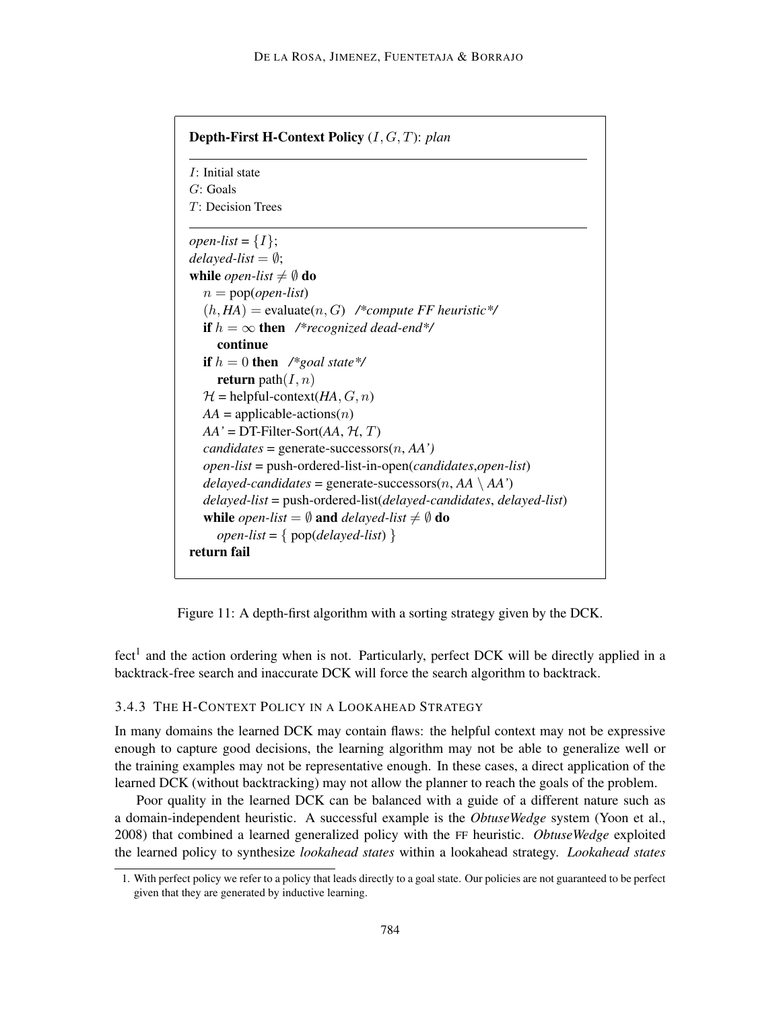| <i>I</i> : Initial state                                                         |
|----------------------------------------------------------------------------------|
| $G:$ Goals                                                                       |
| $T$ : Decision Trees                                                             |
| <i>open-list</i> = $\{I\}$ ;                                                     |
| delayed-list = $\emptyset$ ;                                                     |
| while <i>open-list</i> $\neq \emptyset$ do                                       |
| $n = \text{pop}(\text{open-list})$                                               |
| $(h, HA)$ = evaluate $(n, G)$ /*compute FF heuristic*/                           |
| <b>if</b> $h = \infty$ then /*recognized dead-end*/                              |
| continue                                                                         |
| if $h = 0$ then /*goal state*/                                                   |
| <b>return</b> path $(I, n)$                                                      |
| $\mathcal{H}$ = helpful-context( <i>HA</i> , <i>G</i> , <i>n</i> )               |
| $AA =$ applicable-actions( <i>n</i> )                                            |
| $AA'$ = DT-Filter-Sort( $AA$ , $H$ , $T$ )                                       |
| $candidates = generate-successors(n, AA')$                                       |
| $open-list = push-ordered-list-in-open(candidates, open-list)$                   |
| <i>delayed-candidates</i> = generate-successors( <i>n</i> , $AA \setminus AA'$ ) |
| $delayed-list = push-ordered-list (delayed-candidates, delayed-list)$            |
| while <i>open-list</i> = $\emptyset$ and <i>delayed-list</i> $\neq \emptyset$ do |
| open-list = { $pop(delayed-list)$ }                                              |
| return fail                                                                      |

Figure 11: A depth-first algorithm with a sorting strategy given by the DCK.

fect<sup>1</sup> and the action ordering when is not. Particularly, perfect DCK will be directly applied in a backtrack-free search and inaccurate DCK will force the search algorithm to backtrack.

### 3.4.3 THE H-CONTEXT POLICY IN A LOOKAHEAD STRATEGY

In many domains the learned DCK may contain flaws: the helpful context may not be expressive enough to capture good decisions, the learning algorithm may not be able to generalize well or the training examples may not be representative enough. In these cases, a direct application of the learned DCK (without backtracking) may not allow the planner to reach the goals of the problem.

Poor quality in the learned DCK can be balanced with a guide of a different nature such as a domain-independent heuristic. A successful example is the *ObtuseWedge* system (Yoon et al., 2008) that combined a learned generalized policy with the FF heuristic. *ObtuseWedge* exploited the learned policy to synthesize *lookahead states* within a lookahead strategy. *Lookahead states*

<sup>1.</sup> With perfect policy we refer to a policy that leads directly to a goal state. Our policies are not guaranteed to be perfect given that they are generated by inductive learning.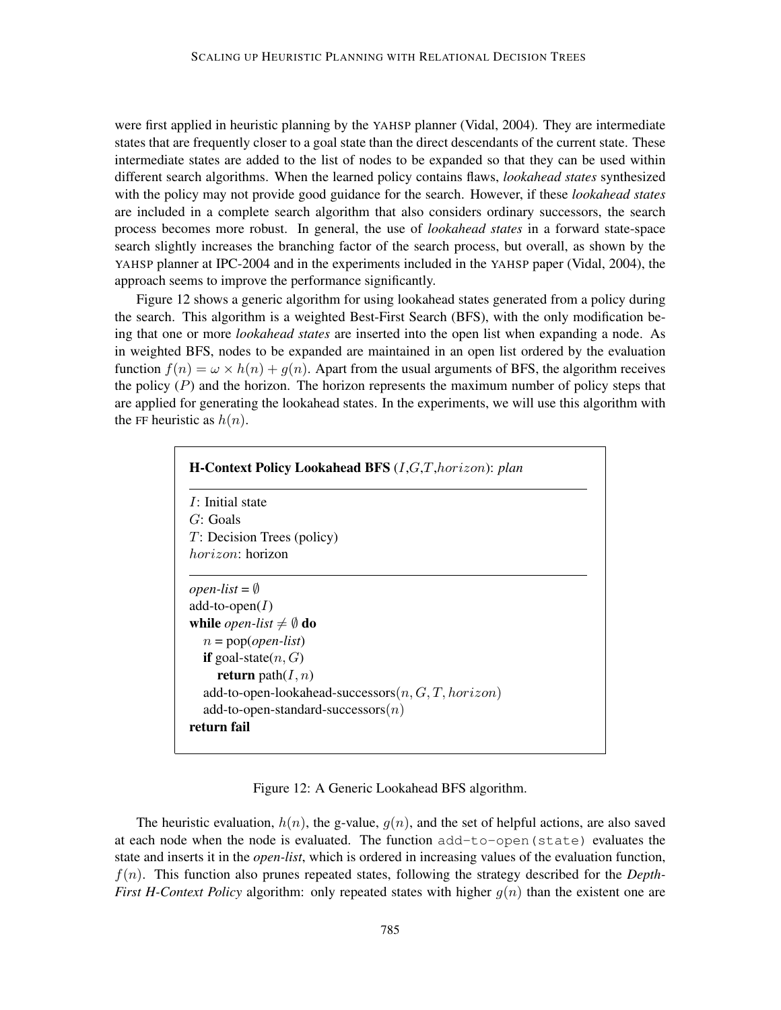were first applied in heuristic planning by the YAHSP planner (Vidal, 2004). They are intermediate states that are frequently closer to a goal state than the direct descendants of the current state. These intermediate states are added to the list of nodes to be expanded so that they can be used within different search algorithms. When the learned policy contains flaws, *lookahead states* synthesized with the policy may not provide good guidance for the search. However, if these *lookahead states* are included in a complete search algorithm that also considers ordinary successors, the search process becomes more robust. In general, the use of *lookahead states* in a forward state-space search slightly increases the branching factor of the search process, but overall, as shown by the YAHSP planner at IPC-2004 and in the experiments included in the YAHSP paper (Vidal, 2004), the approach seems to improve the performance significantly.

Figure 12 shows a generic algorithm for using lookahead states generated from a policy during the search. This algorithm is a weighted Best-First Search (BFS), with the only modification being that one or more *lookahead states* are inserted into the open list when expanding a node. As in weighted BFS, nodes to be expanded are maintained in an open list ordered by the evaluation function  $f(n) = \omega \times h(n) + g(n)$ . Apart from the usual arguments of BFS, the algorithm receives the policy  $(P)$  and the horizon. The horizon represents the maximum number of policy steps that are applied for generating the lookahead states. In the experiments, we will use this algorithm with the FF heuristic as  $h(n)$ .

| <i>I</i> : Initial state                   |                                                       |  |
|--------------------------------------------|-------------------------------------------------------|--|
| G: Goals                                   |                                                       |  |
| $T$ : Decision Trees (policy)              |                                                       |  |
| <i>horizon:</i> horizon                    |                                                       |  |
|                                            |                                                       |  |
| <i>open-list</i> = $\emptyset$             |                                                       |  |
| add-to-open $(I)$                          |                                                       |  |
| while <i>open-list</i> $\neq \emptyset$ do |                                                       |  |
| $n = \text{pop}(\text{open-list})$         |                                                       |  |
| <b>if</b> goal-state $(n, G)$              |                                                       |  |
| <b>return</b> path $(I, n)$                |                                                       |  |
|                                            | add-to-open-lookahead-successors $(n, G, T, horizon)$ |  |
|                                            | add-to-open-standard-successors $(n)$                 |  |
| return fail                                |                                                       |  |

Figure 12: A Generic Lookahead BFS algorithm.

The heuristic evaluation,  $h(n)$ , the g-value,  $g(n)$ , and the set of helpful actions, are also saved at each node when the node is evaluated. The function add-to-open(state) evaluates the state and inserts it in the *open-list*, which is ordered in increasing values of the evaluation function, f(n). This function also prunes repeated states, following the strategy described for the *Depth-First H-Context Policy* algorithm: only repeated states with higher  $q(n)$  than the existent one are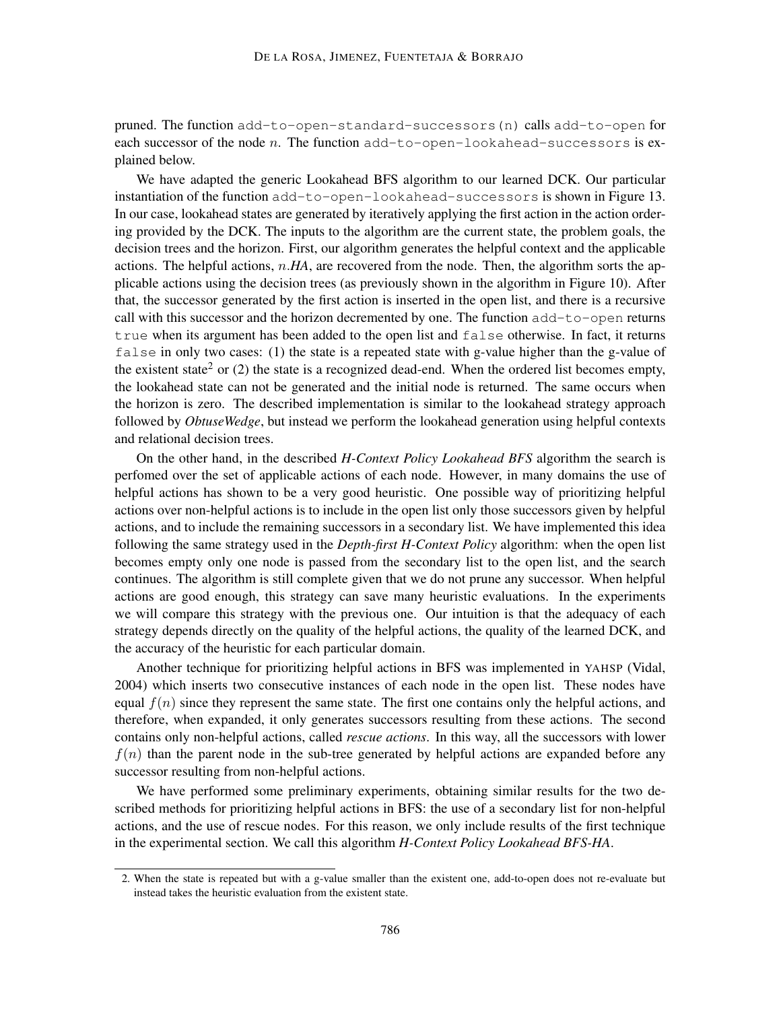pruned. The function add-to-open-standard-successors(n) calls add-to-open for each successor of the node n. The function  $add-to-open-look ahead-successors$  is explained below.

We have adapted the generic Lookahead BFS algorithm to our learned DCK. Our particular instantiation of the function add-to-open-lookahead-successors is shown in Figure 13. In our case, lookahead states are generated by iteratively applying the first action in the action ordering provided by the DCK. The inputs to the algorithm are the current state, the problem goals, the decision trees and the horizon. First, our algorithm generates the helpful context and the applicable actions. The helpful actions, n.*HA*, are recovered from the node. Then, the algorithm sorts the applicable actions using the decision trees (as previously shown in the algorithm in Figure 10). After that, the successor generated by the first action is inserted in the open list, and there is a recursive call with this successor and the horizon decremented by one. The function  $add-to-open$  returns true when its argument has been added to the open list and  $false$  otherwise. In fact, it returns false in only two cases: (1) the state is a repeated state with g-value higher than the g-value of the existent state<sup>2</sup> or (2) the state is a recognized dead-end. When the ordered list becomes empty, the lookahead state can not be generated and the initial node is returned. The same occurs when the horizon is zero. The described implementation is similar to the lookahead strategy approach followed by *ObtuseWedge*, but instead we perform the lookahead generation using helpful contexts and relational decision trees.

On the other hand, in the described *H-Context Policy Lookahead BFS* algorithm the search is perfomed over the set of applicable actions of each node. However, in many domains the use of helpful actions has shown to be a very good heuristic. One possible way of prioritizing helpful actions over non-helpful actions is to include in the open list only those successors given by helpful actions, and to include the remaining successors in a secondary list. We have implemented this idea following the same strategy used in the *Depth-first H-Context Policy* algorithm: when the open list becomes empty only one node is passed from the secondary list to the open list, and the search continues. The algorithm is still complete given that we do not prune any successor. When helpful actions are good enough, this strategy can save many heuristic evaluations. In the experiments we will compare this strategy with the previous one. Our intuition is that the adequacy of each strategy depends directly on the quality of the helpful actions, the quality of the learned DCK, and the accuracy of the heuristic for each particular domain.

Another technique for prioritizing helpful actions in BFS was implemented in YAHSP (Vidal, 2004) which inserts two consecutive instances of each node in the open list. These nodes have equal  $f(n)$  since they represent the same state. The first one contains only the helpful actions, and therefore, when expanded, it only generates successors resulting from these actions. The second contains only non-helpful actions, called *rescue actions*. In this way, all the successors with lower  $f(n)$  than the parent node in the sub-tree generated by helpful actions are expanded before any successor resulting from non-helpful actions.

We have performed some preliminary experiments, obtaining similar results for the two described methods for prioritizing helpful actions in BFS: the use of a secondary list for non-helpful actions, and the use of rescue nodes. For this reason, we only include results of the first technique in the experimental section. We call this algorithm *H-Context Policy Lookahead BFS-HA*.

<sup>2.</sup> When the state is repeated but with a g-value smaller than the existent one, add-to-open does not re-evaluate but instead takes the heuristic evaluation from the existent state.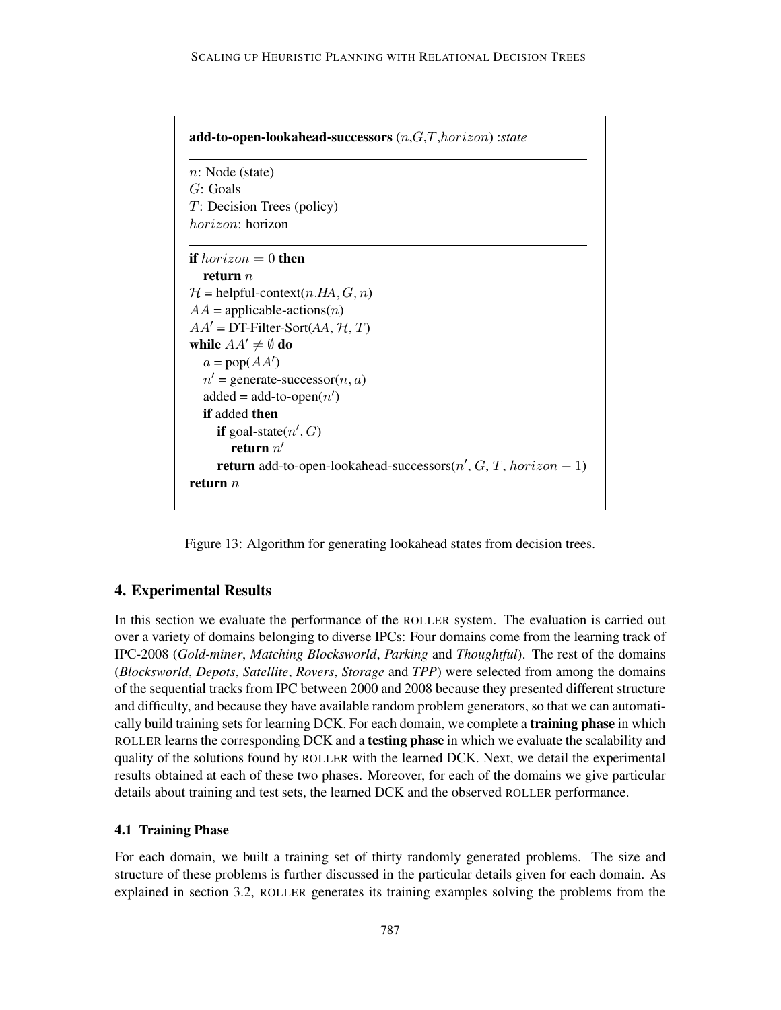| n: Node (state)                                                          |  |
|--------------------------------------------------------------------------|--|
| $G:$ Goals                                                               |  |
| $T$ : Decision Trees (policy)                                            |  |
| <i>horizon:</i> horizon                                                  |  |
| <b>if</b> horizon $= 0$ then                                             |  |
| return $n$                                                               |  |
| $\mathcal{H}$ = helpful-context(n.HA, $G$ , n)                           |  |
| $AA =$ applicable-actions( <i>n</i> )                                    |  |
| $AA'$ = DT-Filter-Sort(AA, $H, T$ )                                      |  |
| while $AA' \neq \emptyset$ do                                            |  |
| $a = pop(AA')$                                                           |  |
| $n'$ = generate-successor( <i>n</i> , <i>a</i> )                         |  |
| $added = add-to-open(n')$                                                |  |
| <b>if</b> added then                                                     |  |
| <b>if</b> goal-state $(n', G)$                                           |  |
| return $n'$                                                              |  |
| <b>return</b> add-to-open-lookahead-successors $(n', G, T, horizon - 1)$ |  |
| return $n$                                                               |  |

Figure 13: Algorithm for generating lookahead states from decision trees.

### 4. Experimental Results

In this section we evaluate the performance of the ROLLER system. The evaluation is carried out over a variety of domains belonging to diverse IPCs: Four domains come from the learning track of IPC-2008 (*Gold-miner*, *Matching Blocksworld*, *Parking* and *Thoughtful*). The rest of the domains (*Blocksworld*, *Depots*, *Satellite*, *Rovers*, *Storage* and *TPP*) were selected from among the domains of the sequential tracks from IPC between 2000 and 2008 because they presented different structure and difficulty, and because they have available random problem generators, so that we can automatically build training sets for learning DCK. For each domain, we complete a **training phase** in which ROLLER learns the corresponding DCK and a testing phase in which we evaluate the scalability and quality of the solutions found by ROLLER with the learned DCK. Next, we detail the experimental results obtained at each of these two phases. Moreover, for each of the domains we give particular details about training and test sets, the learned DCK and the observed ROLLER performance.

#### 4.1 Training Phase

For each domain, we built a training set of thirty randomly generated problems. The size and structure of these problems is further discussed in the particular details given for each domain. As explained in section 3.2, ROLLER generates its training examples solving the problems from the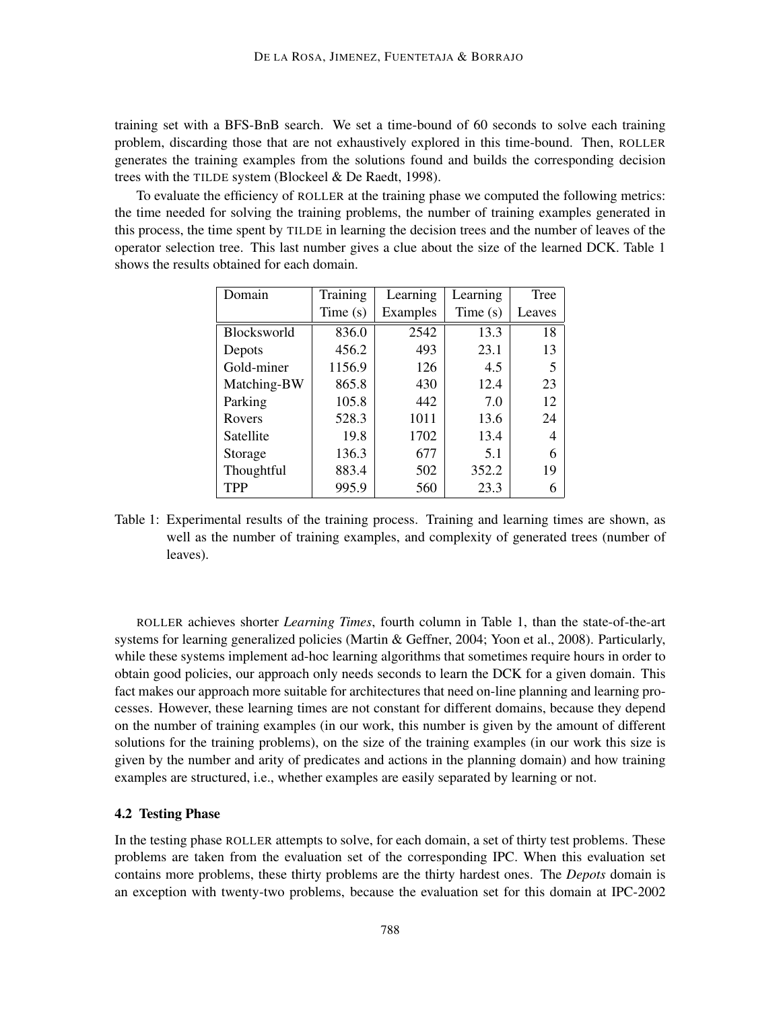training set with a BFS-BnB search. We set a time-bound of 60 seconds to solve each training problem, discarding those that are not exhaustively explored in this time-bound. Then, ROLLER generates the training examples from the solutions found and builds the corresponding decision trees with the TILDE system (Blockeel & De Raedt, 1998).

To evaluate the efficiency of ROLLER at the training phase we computed the following metrics: the time needed for solving the training problems, the number of training examples generated in this process, the time spent by TILDE in learning the decision trees and the number of leaves of the operator selection tree. This last number gives a clue about the size of the learned DCK. Table 1 shows the results obtained for each domain.

| Domain      | Training | Learning | Learning | <b>Tree</b> |  |
|-------------|----------|----------|----------|-------------|--|
|             | Time(s)  | Examples | Time(s)  | Leaves      |  |
| Blocksworld | 836.0    | 2542     | 13.3     | 18          |  |
| Depots      | 456.2    | 493      | 23.1     | 13          |  |
| Gold-miner  | 1156.9   | 126      | 4.5      | 5           |  |
| Matching-BW | 865.8    | 430      | 12.4     | 23          |  |
| Parking     | 105.8    | 442      | 7.0      | 12          |  |
| Rovers      | 528.3    | 1011     | 13.6     | 24          |  |
| Satellite   | 19.8     | 1702     | 13.4     | 4           |  |
| Storage     | 136.3    | 677      | 5.1      | 6           |  |
| Thoughtful  | 883.4    | 502      | 352.2    | 19          |  |
| <b>TPP</b>  | 995.9    | 560      | 23.3     | 6           |  |

Table 1: Experimental results of the training process. Training and learning times are shown, as well as the number of training examples, and complexity of generated trees (number of leaves).

ROLLER achieves shorter *Learning Times*, fourth column in Table 1, than the state-of-the-art systems for learning generalized policies (Martin & Geffner, 2004; Yoon et al., 2008). Particularly, while these systems implement ad-hoc learning algorithms that sometimes require hours in order to obtain good policies, our approach only needs seconds to learn the DCK for a given domain. This fact makes our approach more suitable for architectures that need on-line planning and learning processes. However, these learning times are not constant for different domains, because they depend on the number of training examples (in our work, this number is given by the amount of different solutions for the training problems), on the size of the training examples (in our work this size is given by the number and arity of predicates and actions in the planning domain) and how training examples are structured, i.e., whether examples are easily separated by learning or not.

### 4.2 Testing Phase

In the testing phase ROLLER attempts to solve, for each domain, a set of thirty test problems. These problems are taken from the evaluation set of the corresponding IPC. When this evaluation set contains more problems, these thirty problems are the thirty hardest ones. The *Depots* domain is an exception with twenty-two problems, because the evaluation set for this domain at IPC-2002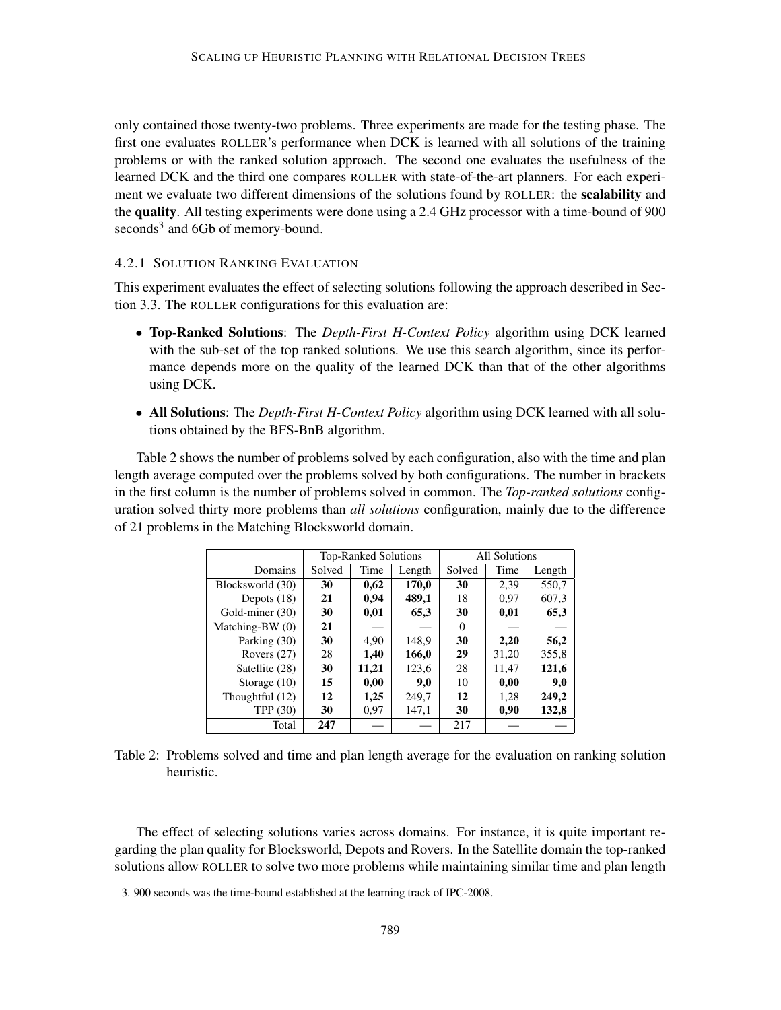only contained those twenty-two problems. Three experiments are made for the testing phase. The first one evaluates ROLLER's performance when DCK is learned with all solutions of the training problems or with the ranked solution approach. The second one evaluates the usefulness of the learned DCK and the third one compares ROLLER with state-of-the-art planners. For each experiment we evaluate two different dimensions of the solutions found by ROLLER: the scalability and the quality. All testing experiments were done using a 2.4 GHz processor with a time-bound of 900 seconds<sup>3</sup> and 6Gb of memory-bound.

### 4.2.1 SOLUTION RANKING EVALUATION

This experiment evaluates the effect of selecting solutions following the approach described in Section 3.3. The ROLLER configurations for this evaluation are:

- Top-Ranked Solutions: The *Depth-First H-Context Policy* algorithm using DCK learned with the sub-set of the top ranked solutions. We use this search algorithm, since its performance depends more on the quality of the learned DCK than that of the other algorithms using DCK.
- All Solutions: The *Depth-First H-Context Policy* algorithm using DCK learned with all solutions obtained by the BFS-BnB algorithm.

Table 2 shows the number of problems solved by each configuration, also with the time and plan length average computed over the problems solved by both configurations. The number in brackets in the first column is the number of problems solved in common. The *Top-ranked solutions* configuration solved thirty more problems than *all solutions* configuration, mainly due to the difference of 21 problems in the Matching Blocksworld domain.

|                   |        | <b>Top-Ranked Solutions</b> |        | <b>All Solutions</b> |       |        |  |
|-------------------|--------|-----------------------------|--------|----------------------|-------|--------|--|
| Domains           | Solved | Time                        | Length | Solved               | Time  | Length |  |
| Blocksworld (30)  | 30     | 0,62                        | 170,0  | 30                   | 2,39  | 550,7  |  |
| Depots $(18)$     | 21     | 0,94                        | 489,1  | 18                   | 0.97  | 607,3  |  |
| Gold-miner (30)   | 30     | 0,01                        | 65,3   | 30                   | 0,01  | 65,3   |  |
| Matching-BW $(0)$ | 21     |                             |        | 0                    |       |        |  |
| Parking (30)      | 30     | 4,90                        | 148,9  | 30                   | 2,20  | 56,2   |  |
| Rovers $(27)$     | 28     | 1,40                        | 166,0  | 29                   | 31,20 | 355,8  |  |
| Satellite (28)    | 30     | 11,21                       | 123,6  | 28                   | 11,47 | 121,6  |  |
| Storage $(10)$    | 15     | 0,00                        | 9,0    | 10                   | 0,00  | 9,0    |  |
| Thoughtful (12)   | 12     | 1,25                        | 249,7  | 12                   | 1,28  | 249,2  |  |
| TPP $(30)$        | 30     | 0.97                        | 147,1  | 30                   | 0,90  | 132,8  |  |
| Total             | 247    |                             |        | 217                  |       |        |  |

Table 2: Problems solved and time and plan length average for the evaluation on ranking solution heuristic.

The effect of selecting solutions varies across domains. For instance, it is quite important regarding the plan quality for Blocksworld, Depots and Rovers. In the Satellite domain the top-ranked solutions allow ROLLER to solve two more problems while maintaining similar time and plan length

<sup>3. 900</sup> seconds was the time-bound established at the learning track of IPC-2008.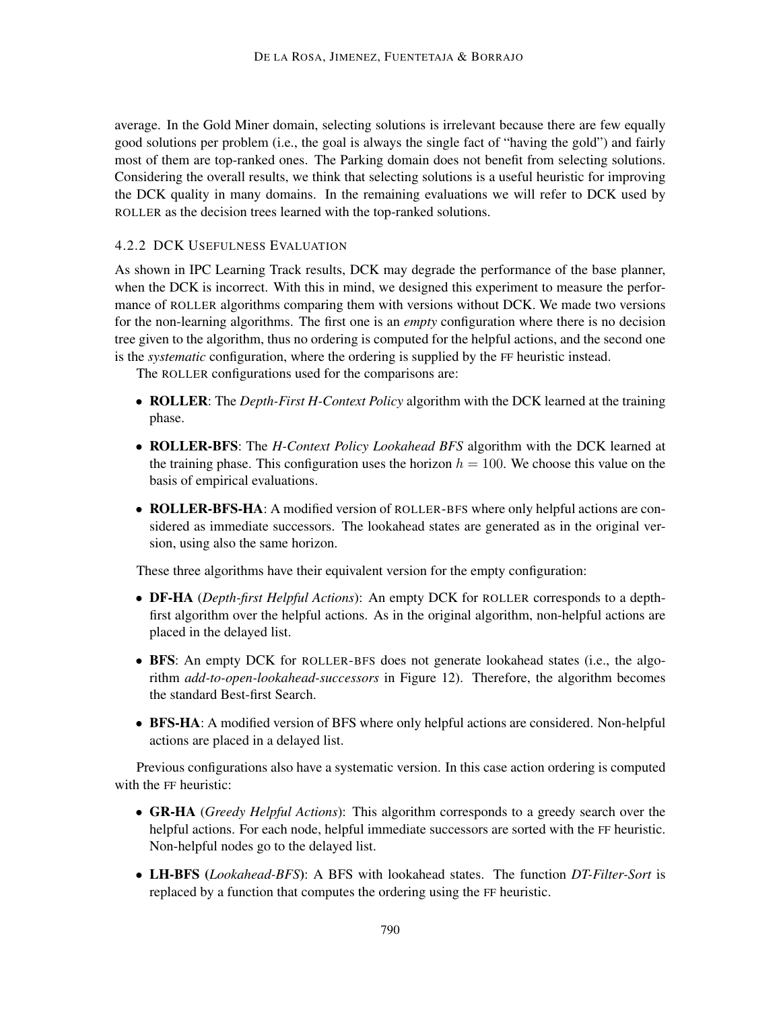average. In the Gold Miner domain, selecting solutions is irrelevant because there are few equally good solutions per problem (i.e., the goal is always the single fact of "having the gold") and fairly most of them are top-ranked ones. The Parking domain does not benefit from selecting solutions. Considering the overall results, we think that selecting solutions is a useful heuristic for improving the DCK quality in many domains. In the remaining evaluations we will refer to DCK used by ROLLER as the decision trees learned with the top-ranked solutions.

## 4.2.2 DCK USEFULNESS EVALUATION

As shown in IPC Learning Track results, DCK may degrade the performance of the base planner, when the DCK is incorrect. With this in mind, we designed this experiment to measure the performance of ROLLER algorithms comparing them with versions without DCK. We made two versions for the non-learning algorithms. The first one is an *empty* configuration where there is no decision tree given to the algorithm, thus no ordering is computed for the helpful actions, and the second one is the *systematic* configuration, where the ordering is supplied by the FF heuristic instead.

The ROLLER configurations used for the comparisons are:

- ROLLER: The *Depth-First H-Context Policy* algorithm with the DCK learned at the training phase.
- ROLLER-BFS: The *H-Context Policy Lookahead BFS* algorithm with the DCK learned at the training phase. This configuration uses the horizon  $h = 100$ . We choose this value on the basis of empirical evaluations.
- ROLLER-BFS-HA: A modified version of ROLLER-BFS where only helpful actions are considered as immediate successors. The lookahead states are generated as in the original version, using also the same horizon.

These three algorithms have their equivalent version for the empty configuration:

- DF-HA (*Depth-first Helpful Actions*): An empty DCK for ROLLER corresponds to a depthfirst algorithm over the helpful actions. As in the original algorithm, non-helpful actions are placed in the delayed list.
- BFS: An empty DCK for ROLLER-BFS does not generate lookahead states (i.e., the algorithm *add-to-open-lookahead-successors* in Figure 12). Therefore, the algorithm becomes the standard Best-first Search.
- BFS-HA: A modified version of BFS where only helpful actions are considered. Non-helpful actions are placed in a delayed list.

Previous configurations also have a systematic version. In this case action ordering is computed with the FF heuristic:

- GR-HA (*Greedy Helpful Actions*): This algorithm corresponds to a greedy search over the helpful actions. For each node, helpful immediate successors are sorted with the FF heuristic. Non-helpful nodes go to the delayed list.
- LH-BFS (*Lookahead-BFS*): A BFS with lookahead states. The function *DT-Filter-Sort* is replaced by a function that computes the ordering using the FF heuristic.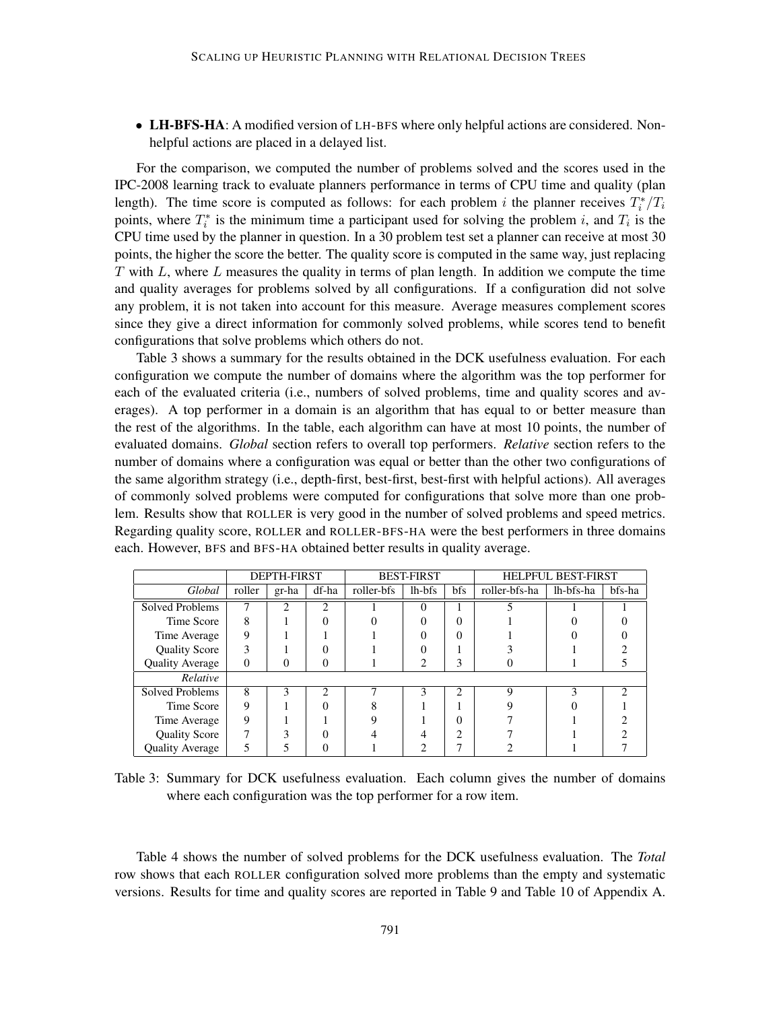• LH-BFS-HA: A modified version of LH-BFS where only helpful actions are considered. Nonhelpful actions are placed in a delayed list.

For the comparison, we computed the number of problems solved and the scores used in the IPC-2008 learning track to evaluate planners performance in terms of CPU time and quality (plan length). The time score is computed as follows: for each problem i the planner receives  $T_i^*/T_i$ points, where  $T_i^*$  is the minimum time a participant used for solving the problem i, and  $T_i$  is the CPU time used by the planner in question. In a 30 problem test set a planner can receive at most 30 points, the higher the score the better. The quality score is computed in the same way, just replacing  $T$  with  $L$ , where  $L$  measures the quality in terms of plan length. In addition we compute the time and quality averages for problems solved by all configurations. If a configuration did not solve any problem, it is not taken into account for this measure. Average measures complement scores since they give a direct information for commonly solved problems, while scores tend to benefit configurations that solve problems which others do not.

Table 3 shows a summary for the results obtained in the DCK usefulness evaluation. For each configuration we compute the number of domains where the algorithm was the top performer for each of the evaluated criteria (i.e., numbers of solved problems, time and quality scores and averages). A top performer in a domain is an algorithm that has equal to or better measure than the rest of the algorithms. In the table, each algorithm can have at most 10 points, the number of evaluated domains. *Global* section refers to overall top performers. *Relative* section refers to the number of domains where a configuration was equal or better than the other two configurations of the same algorithm strategy (i.e., depth-first, best-first, best-first with helpful actions). All averages of commonly solved problems were computed for configurations that solve more than one problem. Results show that ROLLER is very good in the number of solved problems and speed metrics. Regarding quality score, ROLLER and ROLLER-BFS-HA were the best performers in three domains each. However, BFS and BFS-HA obtained better results in quality average.

|                        |        | <b>DEPTH-FIRST</b><br><b>BEST-FIRST</b><br><b>HELPFUL BEST-FIRST</b> |                |            |          |                |               |           |   |
|------------------------|--------|----------------------------------------------------------------------|----------------|------------|----------|----------------|---------------|-----------|---|
| Global                 | roller | gr-ha                                                                | df-ha          | roller-bfs | lh-bfs   | bfs            | roller-bfs-ha | lh-bfs-ha |   |
| <b>Solved Problems</b> | 7      | $\mathcal{D}$                                                        | $\mathfrak{D}$ |            | $\theta$ |                |               |           |   |
| Time Score             | 8      |                                                                      |                |            | $\Omega$ | 0              |               |           |   |
| Time Average           | 9      |                                                                      |                |            |          | 0              |               |           |   |
| <b>Quality Score</b>   | 3      |                                                                      |                |            |          |                |               |           |   |
| <b>Quality Average</b> | 0      | 0                                                                    |                |            | 2        | 3              |               |           |   |
| Relative               |        |                                                                      |                |            |          |                |               |           |   |
| Solved Problems        | 8      | 3                                                                    | $\mathcal{D}$  | ┑          | 3        | $\mathfrak{D}$ | $\mathbf Q$   | 3         | ∍ |
| Time Score             | 9      |                                                                      |                |            |          |                |               |           |   |
| Time Average           | 9      |                                                                      |                | Q          |          | 0              |               |           |   |
| <b>Quality Score</b>   | 7      | ٩                                                                    |                |            |          | ◠              |               |           |   |
| <b>Ouality Average</b> | 5      |                                                                      |                |            |          |                |               |           |   |

Table 3: Summary for DCK usefulness evaluation. Each column gives the number of domains where each configuration was the top performer for a row item.

Table 4 shows the number of solved problems for the DCK usefulness evaluation. The *Total* row shows that each ROLLER configuration solved more problems than the empty and systematic versions. Results for time and quality scores are reported in Table 9 and Table 10 of Appendix A.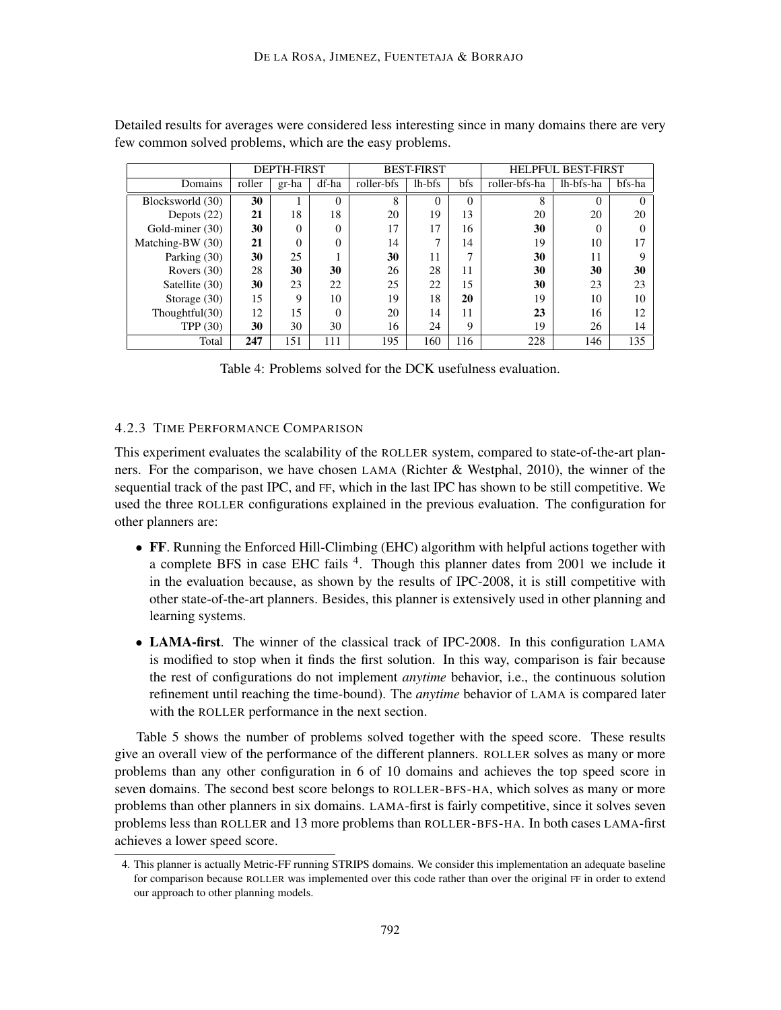|                   |        | <b>DEPTH-FIRST</b> |          |            | <b>BEST-FIRST</b> |              | <b>HELPFUL BEST-FIRST</b> |           |        |  |
|-------------------|--------|--------------------|----------|------------|-------------------|--------------|---------------------------|-----------|--------|--|
| Domains           | roller | gr-ha              | df-ha    | roller-bfs | lh-bfs            | bfs          | roller-bfs-ha             | lh-bfs-ha | bfs-ha |  |
| Blocksworld (30)  | 30     |                    | $\Omega$ | 8          | $\theta$          | $\Omega$     | 8                         | $\theta$  |        |  |
| Depots $(22)$     | 21     | 18                 | 18       | 20         | 19                | 13           | 20                        | 20        | 20     |  |
| Gold-miner (30)   | 30     | $\theta$           | $\theta$ | 17         | 17                | 16           | 30                        | 0         |        |  |
| Matching-BW (30)  | 21     | $\Omega$           | $\theta$ | 14         | 7                 | 14           | 19                        | 10        | 17     |  |
| Parking (30)      | 30     | 25                 |          | 30         | 11                | $\mathbf{r}$ | 30                        | 11        | Q      |  |
| Rovers $(30)$     | 28     | 30                 | 30       | 26         | 28                | 11           | 30                        | 30        | 30     |  |
| Satellite (30)    | 30     | 23                 | 22       | 25         | 22                | 15           | 30                        | 23        | 23     |  |
| Storage $(30)$    | 15     | 9                  | 10       | 19         | 18                | 20           | 19                        | 10        | 10     |  |
| Thoughtful $(30)$ | 12     | 15                 | $\Omega$ | 20         | 14                | 11           | 23                        | 16        | 12     |  |
| TPP $(30)$        | 30     | 30                 | 30       | 16         | 24                | 9            | 19                        | 26        | 14     |  |
| Total             | 247    | 151                | 111      | 195        | 160               | 116          | 228                       | 146       | 135    |  |

Detailed results for averages were considered less interesting since in many domains there are very few common solved problems, which are the easy problems.

Table 4: Problems solved for the DCK usefulness evaluation.

### 4.2.3 TIME PERFORMANCE COMPARISON

This experiment evaluates the scalability of the ROLLER system, compared to state-of-the-art planners. For the comparison, we have chosen LAMA (Richter & Westphal, 2010), the winner of the sequential track of the past IPC, and FF, which in the last IPC has shown to be still competitive. We used the three ROLLER configurations explained in the previous evaluation. The configuration for other planners are:

- FF. Running the Enforced Hill-Climbing (EHC) algorithm with helpful actions together with a complete BFS in case EHC fails <sup>4</sup>. Though this planner dates from 2001 we include it in the evaluation because, as shown by the results of IPC-2008, it is still competitive with other state-of-the-art planners. Besides, this planner is extensively used in other planning and learning systems.
- LAMA-first. The winner of the classical track of IPC-2008. In this configuration LAMA is modified to stop when it finds the first solution. In this way, comparison is fair because the rest of configurations do not implement *anytime* behavior, i.e., the continuous solution refinement until reaching the time-bound). The *anytime* behavior of LAMA is compared later with the ROLLER performance in the next section.

Table 5 shows the number of problems solved together with the speed score. These results give an overall view of the performance of the different planners. ROLLER solves as many or more problems than any other configuration in 6 of 10 domains and achieves the top speed score in seven domains. The second best score belongs to ROLLER-BFS-HA, which solves as many or more problems than other planners in six domains. LAMA-first is fairly competitive, since it solves seven problems less than ROLLER and 13 more problems than ROLLER-BFS-HA. In both cases LAMA-first achieves a lower speed score.

<sup>4.</sup> This planner is actually Metric-FF running STRIPS domains. We consider this implementation an adequate baseline for comparison because ROLLER was implemented over this code rather than over the original FF in order to extend our approach to other planning models.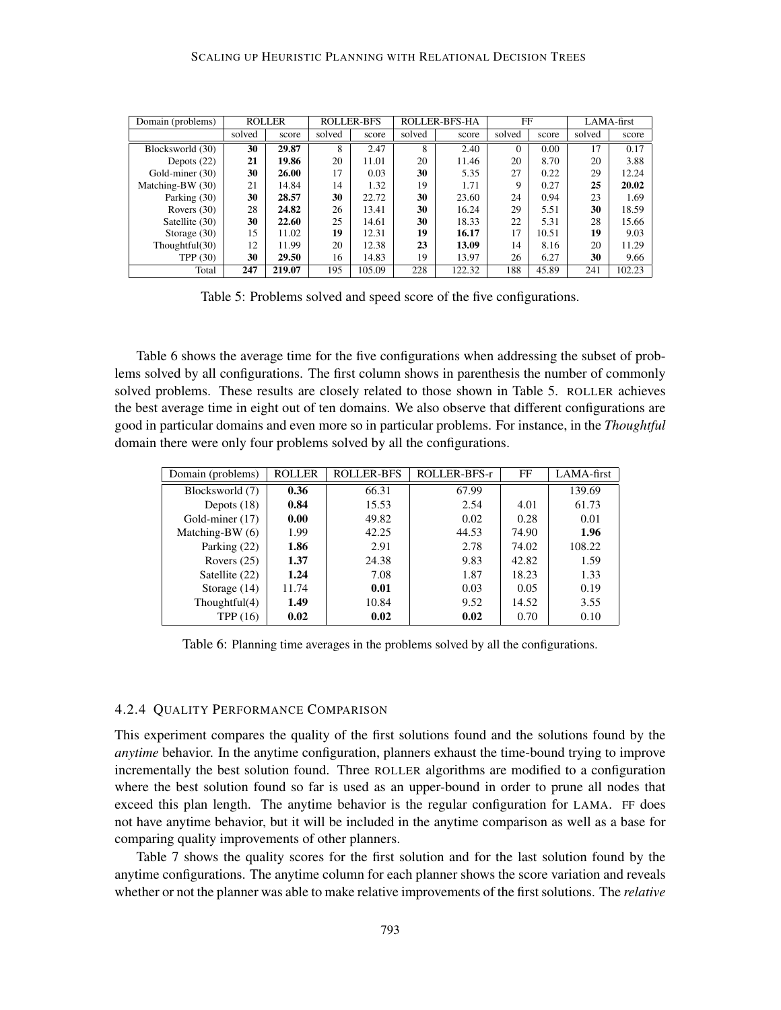| Domain (problems) | <b>ROLLER</b> |        | <b>ROLLER-BFS</b> |        | ROLLER-BFS-HA |        | FF       |       | LAMA-first |        |
|-------------------|---------------|--------|-------------------|--------|---------------|--------|----------|-------|------------|--------|
|                   | solved        | score  | solved            | score  | solved        | score  | solved   | score | solved     | score  |
| Blocksworld (30)  | 30            | 29.87  | 8                 | 2.47   | 8             | 2.40   | $\Omega$ | 0.00  | 17         | 0.17   |
| Depots $(22)$     | 21            | 19.86  | 20                | 11.01  | 20            | 11.46  | 20       | 8.70  | 20         | 3.88   |
| Gold-miner (30)   | 30            | 26.00  | 17                | 0.03   | 30            | 5.35   | 27       | 0.22  | 29         | 12.24  |
| Matching-BW (30)  | 21            | 14.84  | 14                | 1.32   | 19            | 1.71   | 9        | 0.27  | 25         | 20.02  |
| Parking (30)      | 30            | 28.57  | 30                | 22.72  | 30            | 23.60  | 24       | 0.94  | 23         | 1.69   |
| Rovers $(30)$     | 28            | 24.82  | 26                | 13.41  | 30            | 16.24  | 29       | 5.51  | 30         | 18.59  |
| Satellite (30)    | 30            | 22.60  | 25                | 14.61  | 30            | 18.33  | 22       | 5.31  | 28         | 15.66  |
| Storage $(30)$    | 15            | 11.02  | 19                | 12.31  | 19            | 16.17  | 17       | 10.51 | 19         | 9.03   |
| Thoughtful $(30)$ | 12            | 11.99  | 20                | 12.38  | 23            | 13.09  | 14       | 8.16  | 20         | 11.29  |
| <b>TPP</b> (30)   | 30            | 29.50  | 16                | 14.83  | 19            | 13.97  | 26       | 6.27  | 30         | 9.66   |
| Total             | 247           | 219.07 | 195               | 105.09 | 228           | 122.32 | 188      | 45.89 | 241        | 102.23 |

Table 5: Problems solved and speed score of the five configurations.

Table 6 shows the average time for the five configurations when addressing the subset of problems solved by all configurations. The first column shows in parenthesis the number of commonly solved problems. These results are closely related to those shown in Table 5. ROLLER achieves the best average time in eight out of ten domains. We also observe that different configurations are good in particular domains and even more so in particular problems. For instance, in the *Thoughtful* domain there were only four problems solved by all the configurations.

| Domain (problems) | <b>ROLLER</b> | <b>ROLLER-BFS</b> | ROLLER-BFS-r | FF    | LAMA-first |
|-------------------|---------------|-------------------|--------------|-------|------------|
| Blocksworld (7)   | 0.36          | 66.31             | 67.99        |       | 139.69     |
| Depots $(18)$     | 0.84          | 15.53             | 2.54         | 4.01  | 61.73      |
| Gold-miner (17)   | 0.00          | 49.82             | 0.02         | 0.28  | 0.01       |
| Matching-BW (6)   | 1.99          | 42.25             | 44.53        | 74.90 | 1.96       |
| Parking (22)      | 1.86          | 2.91              | 2.78         | 74.02 | 108.22     |
| Rovers $(25)$     | 1.37          | 24.38             | 9.83         | 42.82 | 1.59       |
| Satellite (22)    | 1.24          | 7.08              | 1.87         | 18.23 | 1.33       |
| Storage $(14)$    | 11.74         | 0.01              | 0.03         | 0.05  | 0.19       |
| Thoughtful $(4)$  | 1.49          | 10.84             | 9.52         | 14.52 | 3.55       |
| TPP (16)          | 0.02          | 0.02              | 0.02         | 0.70  | 0.10       |

Table 6: Planning time averages in the problems solved by all the configurations.

#### 4.2.4 QUALITY PERFORMANCE COMPARISON

This experiment compares the quality of the first solutions found and the solutions found by the *anytime* behavior. In the anytime configuration, planners exhaust the time-bound trying to improve incrementally the best solution found. Three ROLLER algorithms are modified to a configuration where the best solution found so far is used as an upper-bound in order to prune all nodes that exceed this plan length. The anytime behavior is the regular configuration for LAMA. FF does not have anytime behavior, but it will be included in the anytime comparison as well as a base for comparing quality improvements of other planners.

Table 7 shows the quality scores for the first solution and for the last solution found by the anytime configurations. The anytime column for each planner shows the score variation and reveals whether or not the planner was able to make relative improvements of the first solutions. The *relative*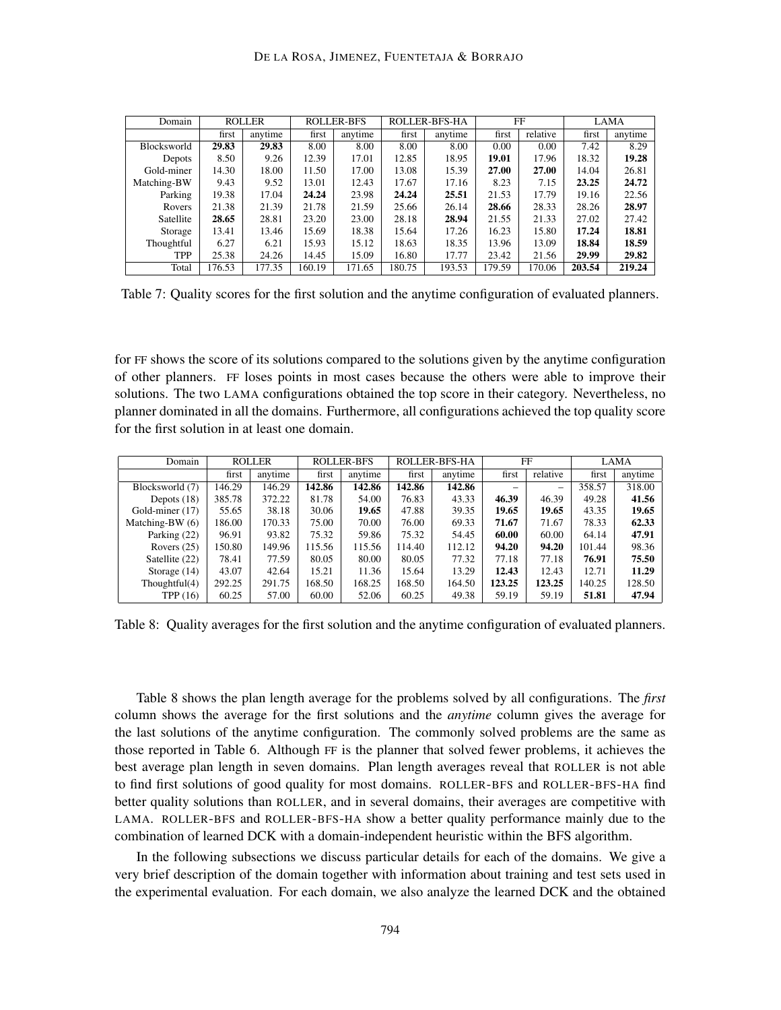| Domain      | <b>ROLLER</b> |         | <b>ROLLER-BFS</b> |         | ROLLER-BFS-HA |         | FF     |          | <b>LAMA</b> |         |
|-------------|---------------|---------|-------------------|---------|---------------|---------|--------|----------|-------------|---------|
|             | first         | anytime | first             | anytime | first         | anytime | first  | relative | first       | anytime |
| Blocksworld | 29.83         | 29.83   | 8.00              | 8.00    | 8.00          | 8.00    | 0.00   | 0.00     | 7.42        | 8.29    |
| Depots      | 8.50          | 9.26    | 12.39             | 17.01   | 12.85         | 18.95   | 19.01  | 17.96    | 18.32       | 19.28   |
| Gold-miner  | 14.30         | 18.00   | 11.50             | 17.00   | 13.08         | 15.39   | 27.00  | 27.00    | 14.04       | 26.81   |
| Matching-BW | 9.43          | 9.52    | 13.01             | 12.43   | 17.67         | 17.16   | 8.23   | 7.15     | 23.25       | 24.72   |
| Parking     | 19.38         | 17.04   | 24.24             | 23.98   | 24.24         | 25.51   | 21.53  | 17.79    | 19.16       | 22.56   |
| Rovers      | 21.38         | 21.39   | 21.78             | 21.59   | 25.66         | 26.14   | 28.66  | 28.33    | 28.26       | 28.97   |
| Satellite   | 28.65         | 28.81   | 23.20             | 23.00   | 28.18         | 28.94   | 21.55  | 21.33    | 27.02       | 27.42   |
| Storage     | 13.41         | 13.46   | 15.69             | 18.38   | 15.64         | 17.26   | 16.23  | 15.80    | 17.24       | 18.81   |
| Thoughtful  | 6.27          | 6.21    | 15.93             | 15.12   | 18.63         | 18.35   | 13.96  | 13.09    | 18.84       | 18.59   |
| <b>TPP</b>  | 25.38         | 24.26   | 14.45             | 15.09   | 16.80         | 17.77   | 23.42  | 21.56    | 29.99       | 29.82   |
| Total       | 176.53        | 177.35  | 160.19            | 171.65  | 180.75        | 193.53  | 179.59 | 170.06   | 203.54      | 219.24  |

Table 7: Quality scores for the first solution and the anytime configuration of evaluated planners.

for FF shows the score of its solutions compared to the solutions given by the anytime configuration of other planners. FF loses points in most cases because the others were able to improve their solutions. The two LAMA configurations obtained the top score in their category. Nevertheless, no planner dominated in all the domains. Furthermore, all configurations achieved the top quality score for the first solution in at least one domain.

| Domain            | <b>ROLLER</b> |         | <b>ROLLER-BFS</b> |         | ROLLER-BFS-HA |         | FF     |                          | LAMA   |         |
|-------------------|---------------|---------|-------------------|---------|---------------|---------|--------|--------------------------|--------|---------|
|                   | first         | anytime | first             | anytime | first         | anytime | first  | relative                 | first  | anvtime |
| Blocksworld (7)   | 146.29        | 146.29  | 142.86            | 142.86  | 142.86        | 142.86  |        | $\overline{\phantom{0}}$ | 358.57 | 318.00  |
| Depots $(18)$     | 385.78        | 372.22  | 81.78             | 54.00   | 76.83         | 43.33   | 46.39  | 46.39                    | 49.28  | 41.56   |
| Gold-miner (17)   | 55.65         | 38.18   | 30.06             | 19.65   | 47.88         | 39.35   | 19.65  | 19.65                    | 43.35  | 19.65   |
| Matching-BW $(6)$ | 186.00        | 170.33  | 75.00             | 70.00   | 76.00         | 69.33   | 71.67  | 71.67                    | 78.33  | 62.33   |
| Parking (22)      | 96.91         | 93.82   | 75.32             | 59.86   | 75.32         | 54.45   | 60.00  | 60.00                    | 64.14  | 47.91   |
| Rovers $(25)$     | 150.80        | 149.96  | 115.56            | 115.56  | 114.40        | 112.12  | 94.20  | 94.20                    | 101.44 | 98.36   |
| Satellite (22)    | 78.41         | 77.59   | 80.05             | 80.00   | 80.05         | 77.32   | 77.18  | 77.18                    | 76.91  | 75.50   |
| Storage $(14)$    | 43.07         | 42.64   | 15.21             | 11.36   | 15.64         | 13.29   | 12.43  | 12.43                    | 12.71  | 11.29   |
| Thoughtful $(4)$  | 292.25        | 291.75  | 168.50            | 168.25  | 168.50        | 164.50  | 123.25 | 123.25                   | 140.25 | 128.50  |
| TPP $(16)$        | 60.25         | 57.00   | 60.00             | 52.06   | 60.25         | 49.38   | 59.19  | 59.19                    | 51.81  | 47.94   |

Table 8: Quality averages for the first solution and the anytime configuration of evaluated planners.

Table 8 shows the plan length average for the problems solved by all configurations. The *first* column shows the average for the first solutions and the *anytime* column gives the average for the last solutions of the anytime configuration. The commonly solved problems are the same as those reported in Table 6. Although FF is the planner that solved fewer problems, it achieves the best average plan length in seven domains. Plan length averages reveal that ROLLER is not able to find first solutions of good quality for most domains. ROLLER-BFS and ROLLER-BFS-HA find better quality solutions than ROLLER, and in several domains, their averages are competitive with LAMA. ROLLER-BFS and ROLLER-BFS-HA show a better quality performance mainly due to the combination of learned DCK with a domain-independent heuristic within the BFS algorithm.

In the following subsections we discuss particular details for each of the domains. We give a very brief description of the domain together with information about training and test sets used in the experimental evaluation. For each domain, we also analyze the learned DCK and the obtained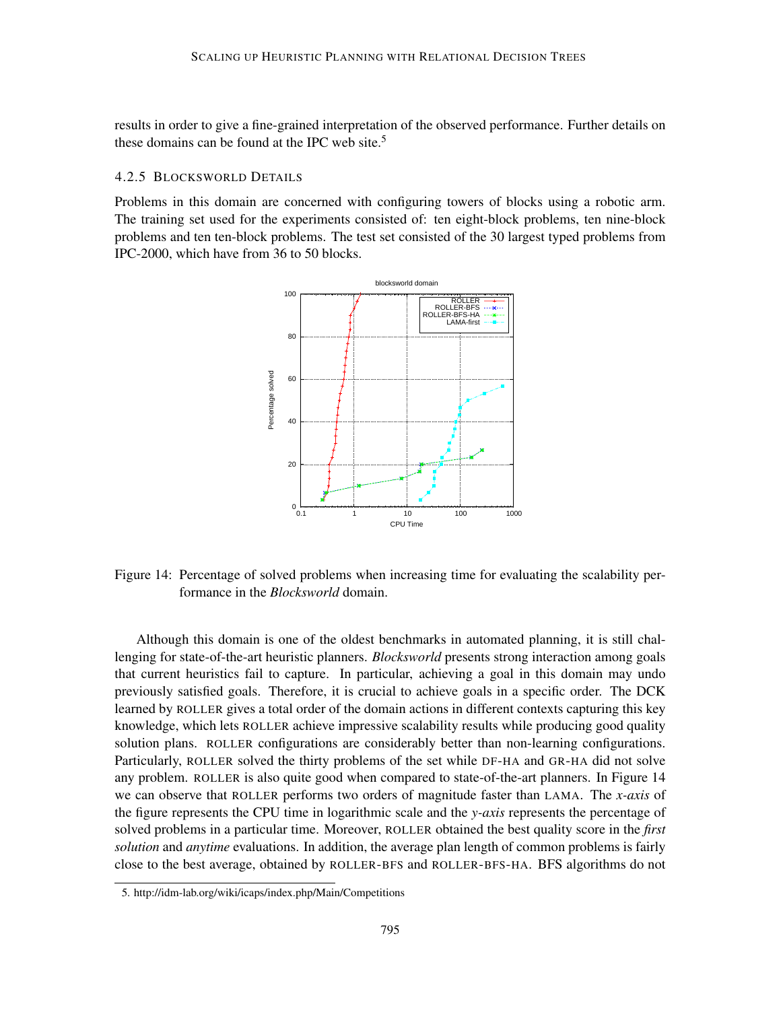results in order to give a fine-grained interpretation of the observed performance. Further details on these domains can be found at the IPC web site.<sup>5</sup>

### 4.2.5 BLOCKSWORLD DETAILS

Problems in this domain are concerned with configuring towers of blocks using a robotic arm. The training set used for the experiments consisted of: ten eight-block problems, ten nine-block problems and ten ten-block problems. The test set consisted of the 30 largest typed problems from IPC-2000, which have from 36 to 50 blocks.



Figure 14: Percentage of solved problems when increasing time for evaluating the scalability performance in the *Blocksworld* domain.

Although this domain is one of the oldest benchmarks in automated planning, it is still challenging for state-of-the-art heuristic planners. *Blocksworld* presents strong interaction among goals that current heuristics fail to capture. In particular, achieving a goal in this domain may undo previously satisfied goals. Therefore, it is crucial to achieve goals in a specific order. The DCK learned by ROLLER gives a total order of the domain actions in different contexts capturing this key knowledge, which lets ROLLER achieve impressive scalability results while producing good quality solution plans. ROLLER configurations are considerably better than non-learning configurations. Particularly, ROLLER solved the thirty problems of the set while DF-HA and GR-HA did not solve any problem. ROLLER is also quite good when compared to state-of-the-art planners. In Figure 14 we can observe that ROLLER performs two orders of magnitude faster than LAMA. The *x-axis* of the figure represents the CPU time in logarithmic scale and the *y-axis* represents the percentage of solved problems in a particular time. Moreover, ROLLER obtained the best quality score in the *first solution* and *anytime* evaluations. In addition, the average plan length of common problems is fairly close to the best average, obtained by ROLLER-BFS and ROLLER-BFS-HA. BFS algorithms do not

<sup>5.</sup> http://idm-lab.org/wiki/icaps/index.php/Main/Competitions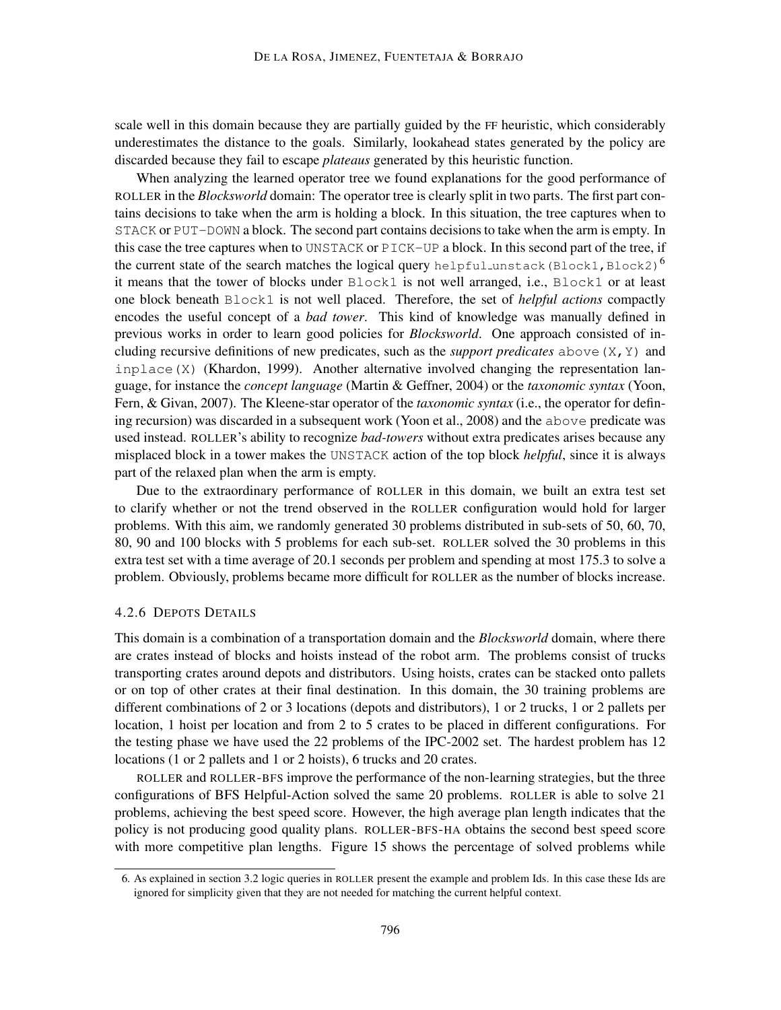scale well in this domain because they are partially guided by the FF heuristic, which considerably underestimates the distance to the goals. Similarly, lookahead states generated by the policy are discarded because they fail to escape *plateaus* generated by this heuristic function.

When analyzing the learned operator tree we found explanations for the good performance of ROLLER in the *Blocksworld* domain: The operator tree is clearly split in two parts. The first part contains decisions to take when the arm is holding a block. In this situation, the tree captures when to STACK or PUT-DOWN a block. The second part contains decisions to take when the arm is empty. In this case the tree captures when to UNSTACK or PICK-UP a block. In this second part of the tree, if the current state of the search matches the logical query helpful unstack (Block1, Block2)<sup>6</sup> it means that the tower of blocks under Block1 is not well arranged, i.e., Block1 or at least one block beneath Block1 is not well placed. Therefore, the set of *helpful actions* compactly encodes the useful concept of a *bad tower*. This kind of knowledge was manually defined in previous works in order to learn good policies for *Blocksworld*. One approach consisted of including recursive definitions of new predicates, such as the *support predicates* above  $(X, Y)$  and inplace(X) (Khardon, 1999). Another alternative involved changing the representation language, for instance the *concept language* (Martin & Geffner, 2004) or the *taxonomic syntax* (Yoon, Fern, & Givan, 2007). The Kleene-star operator of the *taxonomic syntax* (i.e., the operator for defining recursion) was discarded in a subsequent work (Yoon et al., 2008) and the above predicate was used instead. ROLLER's ability to recognize *bad-towers* without extra predicates arises because any misplaced block in a tower makes the UNSTACK action of the top block *helpful*, since it is always part of the relaxed plan when the arm is empty.

Due to the extraordinary performance of ROLLER in this domain, we built an extra test set to clarify whether or not the trend observed in the ROLLER configuration would hold for larger problems. With this aim, we randomly generated 30 problems distributed in sub-sets of 50, 60, 70, 80, 90 and 100 blocks with 5 problems for each sub-set. ROLLER solved the 30 problems in this extra test set with a time average of 20.1 seconds per problem and spending at most 175.3 to solve a problem. Obviously, problems became more difficult for ROLLER as the number of blocks increase.

#### 4.2.6 DEPOTS DETAILS

This domain is a combination of a transportation domain and the *Blocksworld* domain, where there are crates instead of blocks and hoists instead of the robot arm. The problems consist of trucks transporting crates around depots and distributors. Using hoists, crates can be stacked onto pallets or on top of other crates at their final destination. In this domain, the 30 training problems are different combinations of 2 or 3 locations (depots and distributors), 1 or 2 trucks, 1 or 2 pallets per location, 1 hoist per location and from 2 to 5 crates to be placed in different configurations. For the testing phase we have used the 22 problems of the IPC-2002 set. The hardest problem has 12 locations (1 or 2 pallets and 1 or 2 hoists), 6 trucks and 20 crates.

ROLLER and ROLLER-BFS improve the performance of the non-learning strategies, but the three configurations of BFS Helpful-Action solved the same 20 problems. ROLLER is able to solve 21 problems, achieving the best speed score. However, the high average plan length indicates that the policy is not producing good quality plans. ROLLER-BFS-HA obtains the second best speed score with more competitive plan lengths. Figure 15 shows the percentage of solved problems while

<sup>6.</sup> As explained in section 3.2 logic queries in ROLLER present the example and problem Ids. In this case these Ids are ignored for simplicity given that they are not needed for matching the current helpful context.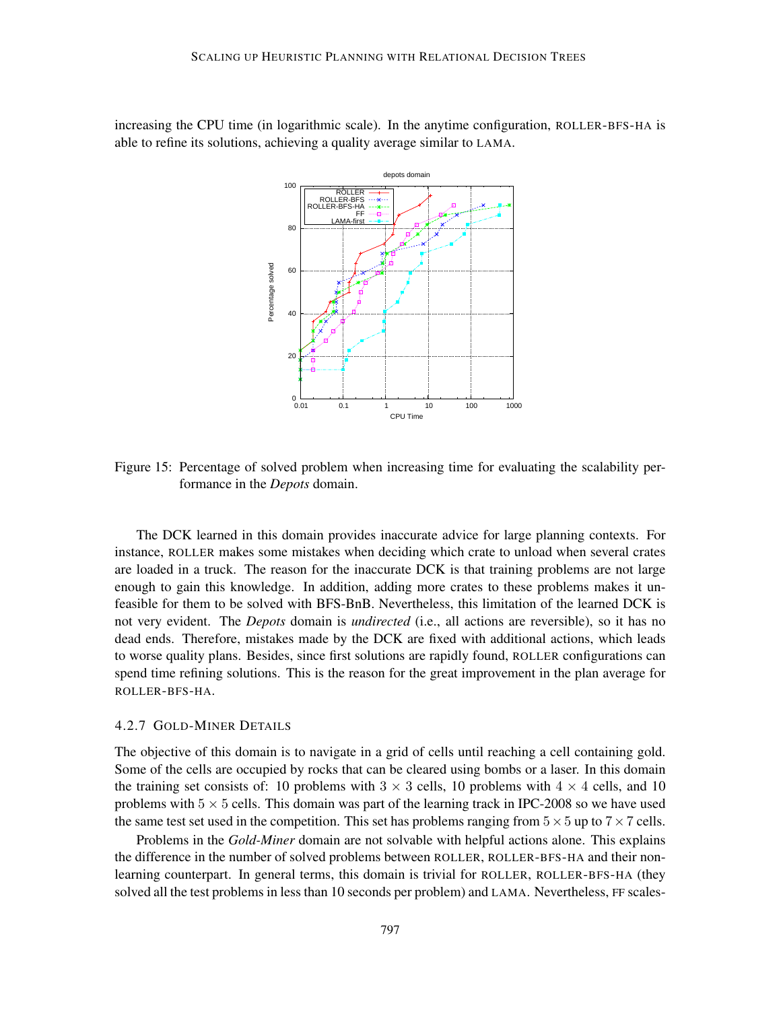increasing the CPU time (in logarithmic scale). In the anytime configuration, ROLLER-BFS-HA is able to refine its solutions, achieving a quality average similar to LAMA.



Figure 15: Percentage of solved problem when increasing time for evaluating the scalability performance in the *Depots* domain.

The DCK learned in this domain provides inaccurate advice for large planning contexts. For instance, ROLLER makes some mistakes when deciding which crate to unload when several crates are loaded in a truck. The reason for the inaccurate DCK is that training problems are not large enough to gain this knowledge. In addition, adding more crates to these problems makes it unfeasible for them to be solved with BFS-BnB. Nevertheless, this limitation of the learned DCK is not very evident. The *Depots* domain is *undirected* (i.e., all actions are reversible), so it has no dead ends. Therefore, mistakes made by the DCK are fixed with additional actions, which leads to worse quality plans. Besides, since first solutions are rapidly found, ROLLER configurations can spend time refining solutions. This is the reason for the great improvement in the plan average for ROLLER-BFS-HA.

#### 4.2.7 GOLD-MINER DETAILS

The objective of this domain is to navigate in a grid of cells until reaching a cell containing gold. Some of the cells are occupied by rocks that can be cleared using bombs or a laser. In this domain the training set consists of: 10 problems with  $3 \times 3$  cells, 10 problems with  $4 \times 4$  cells, and 10 problems with  $5 \times 5$  cells. This domain was part of the learning track in IPC-2008 so we have used the same test set used in the competition. This set has problems ranging from  $5 \times 5$  up to  $7 \times 7$  cells.

Problems in the *Gold-Miner* domain are not solvable with helpful actions alone. This explains the difference in the number of solved problems between ROLLER, ROLLER-BFS-HA and their nonlearning counterpart. In general terms, this domain is trivial for ROLLER, ROLLER-BFS-HA (they solved all the test problems in less than 10 seconds per problem) and LAMA. Nevertheless, FF scales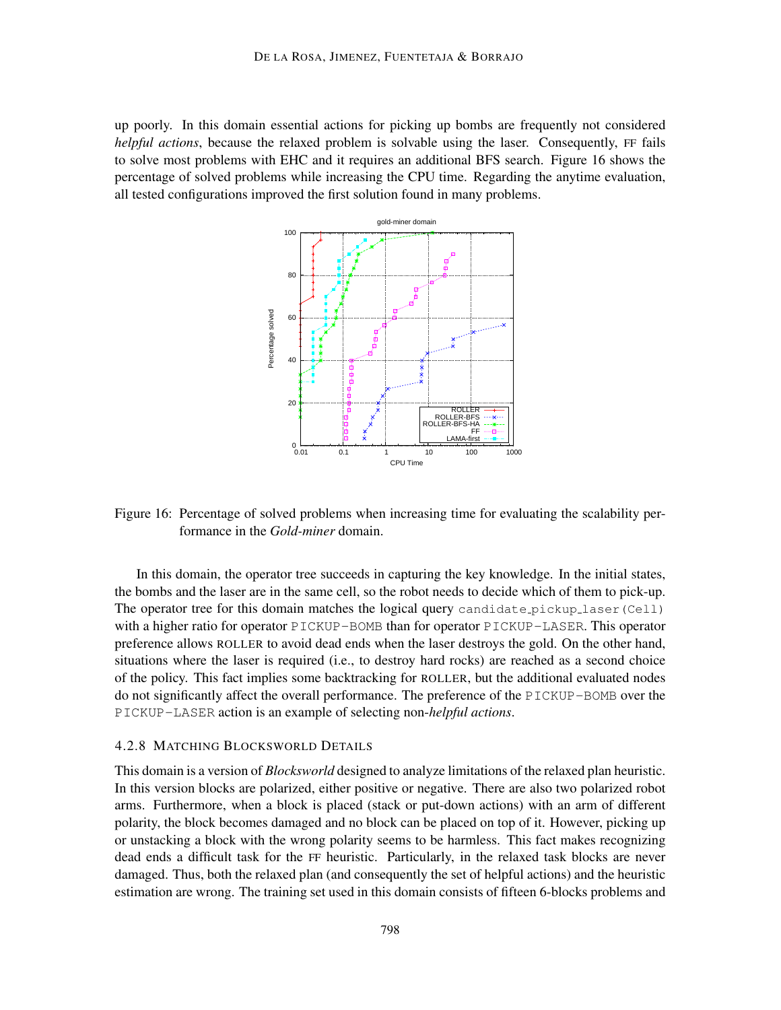up poorly. In this domain essential actions for picking up bombs are frequently not considered *helpful actions*, because the relaxed problem is solvable using the laser. Consequently, FF fails to solve most problems with EHC and it requires an additional BFS search. Figure 16 shows the percentage of solved problems while increasing the CPU time. Regarding the anytime evaluation, all tested configurations improved the first solution found in many problems.



Figure 16: Percentage of solved problems when increasing time for evaluating the scalability performance in the *Gold-miner* domain.

In this domain, the operator tree succeeds in capturing the key knowledge. In the initial states, the bombs and the laser are in the same cell, so the robot needs to decide which of them to pick-up. The operator tree for this domain matches the logical query candidate pickup laser (Cell) with a higher ratio for operator PICKUP-BOMB than for operator PICKUP-LASER. This operator preference allows ROLLER to avoid dead ends when the laser destroys the gold. On the other hand, situations where the laser is required (i.e., to destroy hard rocks) are reached as a second choice of the policy. This fact implies some backtracking for ROLLER, but the additional evaluated nodes do not significantly affect the overall performance. The preference of the PICKUP-BOMB over the PICKUP-LASER action is an example of selecting non-*helpful actions*.

#### 4.2.8 MATCHING BLOCKSWORLD DETAILS

This domain is a version of *Blocksworld* designed to analyze limitations of the relaxed plan heuristic. In this version blocks are polarized, either positive or negative. There are also two polarized robot arms. Furthermore, when a block is placed (stack or put-down actions) with an arm of different polarity, the block becomes damaged and no block can be placed on top of it. However, picking up or unstacking a block with the wrong polarity seems to be harmless. This fact makes recognizing dead ends a difficult task for the FF heuristic. Particularly, in the relaxed task blocks are never damaged. Thus, both the relaxed plan (and consequently the set of helpful actions) and the heuristic estimation are wrong. The training set used in this domain consists of fifteen 6-blocks problems and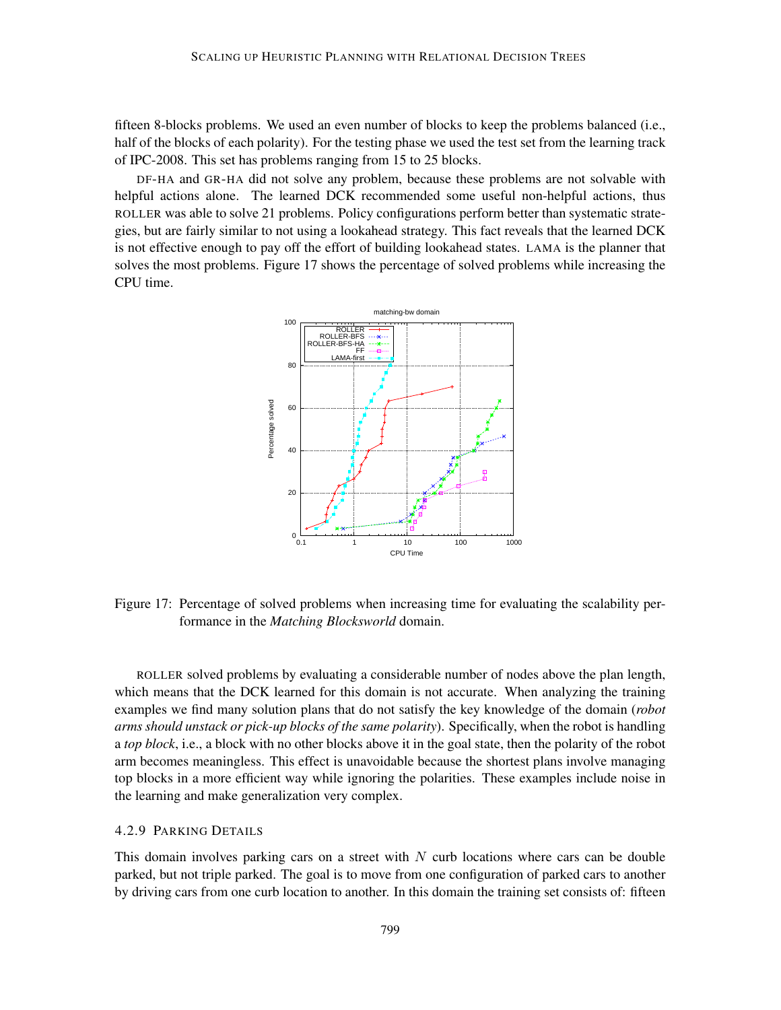fifteen 8-blocks problems. We used an even number of blocks to keep the problems balanced (i.e., half of the blocks of each polarity). For the testing phase we used the test set from the learning track of IPC-2008. This set has problems ranging from 15 to 25 blocks.

DF-HA and GR-HA did not solve any problem, because these problems are not solvable with helpful actions alone. The learned DCK recommended some useful non-helpful actions, thus ROLLER was able to solve 21 problems. Policy configurations perform better than systematic strategies, but are fairly similar to not using a lookahead strategy. This fact reveals that the learned DCK is not effective enough to pay off the effort of building lookahead states. LAMA is the planner that solves the most problems. Figure 17 shows the percentage of solved problems while increasing the CPU time.



Figure 17: Percentage of solved problems when increasing time for evaluating the scalability performance in the *Matching Blocksworld* domain.

ROLLER solved problems by evaluating a considerable number of nodes above the plan length, which means that the DCK learned for this domain is not accurate. When analyzing the training examples we find many solution plans that do not satisfy the key knowledge of the domain (*robot arms should unstack or pick-up blocks of the same polarity*). Specifically, when the robot is handling a *top block*, i.e., a block with no other blocks above it in the goal state, then the polarity of the robot arm becomes meaningless. This effect is unavoidable because the shortest plans involve managing top blocks in a more efficient way while ignoring the polarities. These examples include noise in the learning and make generalization very complex.

### 4.2.9 PARKING DETAILS

This domain involves parking cars on a street with  $N$  curb locations where cars can be double parked, but not triple parked. The goal is to move from one configuration of parked cars to another by driving cars from one curb location to another. In this domain the training set consists of: fifteen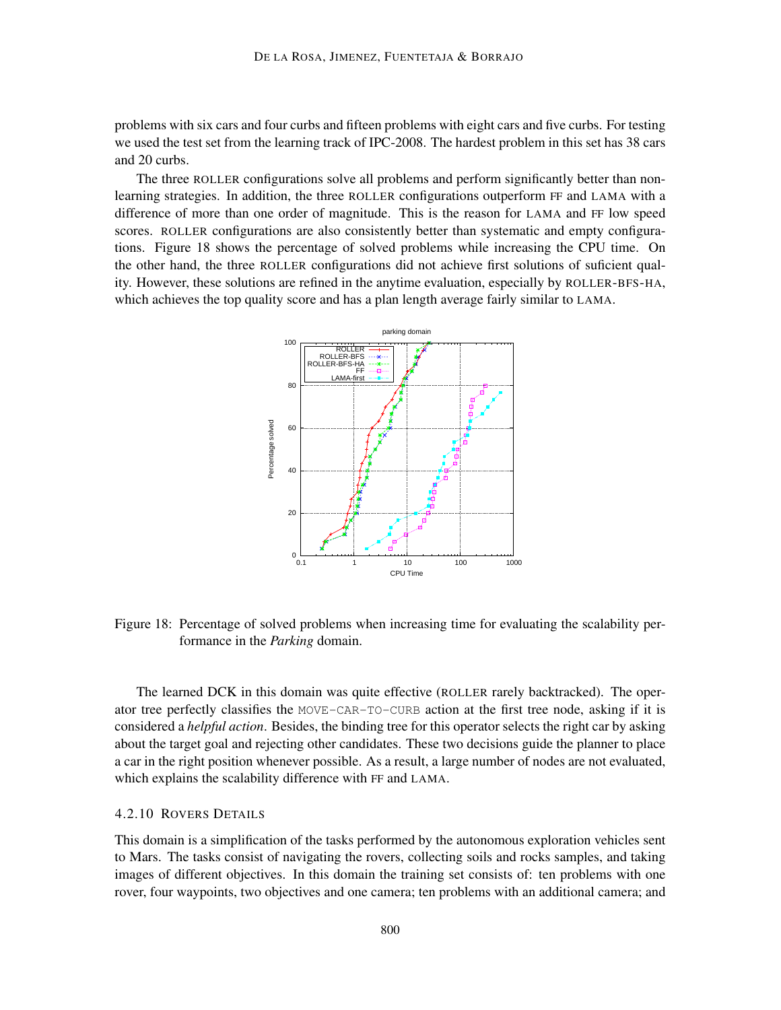problems with six cars and four curbs and fifteen problems with eight cars and five curbs. For testing we used the test set from the learning track of IPC-2008. The hardest problem in this set has 38 cars and 20 curbs.

The three ROLLER configurations solve all problems and perform significantly better than nonlearning strategies. In addition, the three ROLLER configurations outperform FF and LAMA with a difference of more than one order of magnitude. This is the reason for LAMA and FF low speed scores. ROLLER configurations are also consistently better than systematic and empty configurations. Figure 18 shows the percentage of solved problems while increasing the CPU time. On the other hand, the three ROLLER configurations did not achieve first solutions of suficient quality. However, these solutions are refined in the anytime evaluation, especially by ROLLER-BFS-HA, which achieves the top quality score and has a plan length average fairly similar to LAMA.



Figure 18: Percentage of solved problems when increasing time for evaluating the scalability performance in the *Parking* domain.

The learned DCK in this domain was quite effective (ROLLER rarely backtracked). The operator tree perfectly classifies the MOVE-CAR-TO-CURB action at the first tree node, asking if it is considered a *helpful action*. Besides, the binding tree for this operator selects the right car by asking about the target goal and rejecting other candidates. These two decisions guide the planner to place a car in the right position whenever possible. As a result, a large number of nodes are not evaluated, which explains the scalability difference with FF and LAMA.

## 4.2.10 ROVERS DETAILS

This domain is a simplification of the tasks performed by the autonomous exploration vehicles sent to Mars. The tasks consist of navigating the rovers, collecting soils and rocks samples, and taking images of different objectives. In this domain the training set consists of: ten problems with one rover, four waypoints, two objectives and one camera; ten problems with an additional camera; and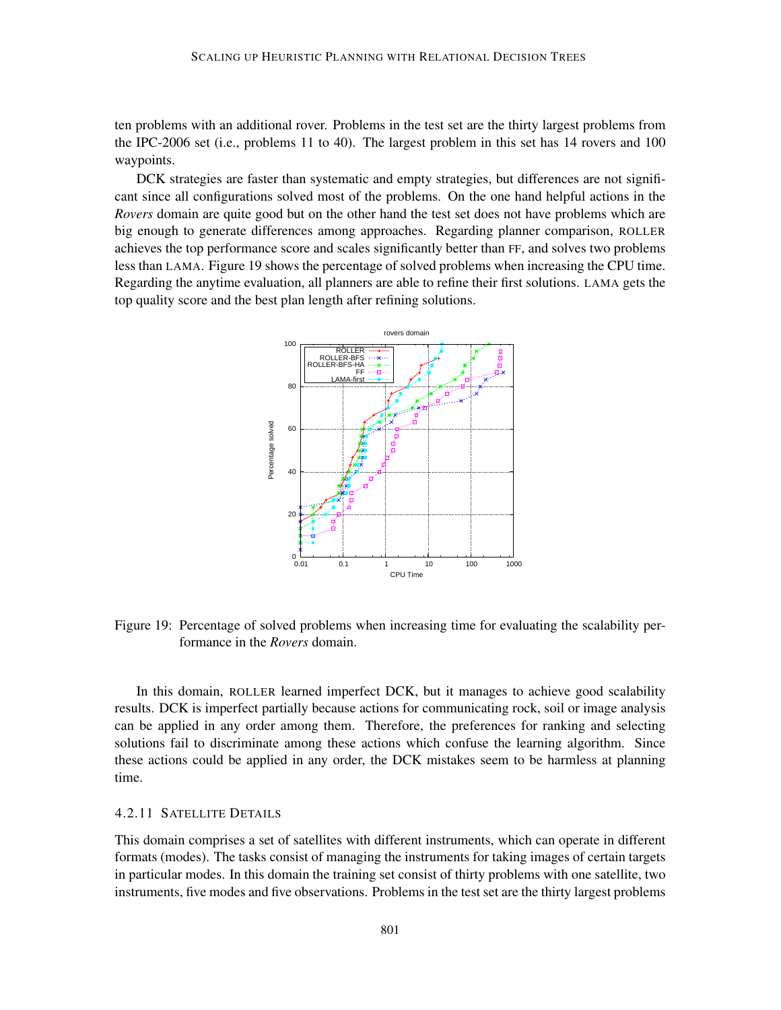ten problems with an additional rover. Problems in the test set are the thirty largest problems from the IPC-2006 set (i.e., problems 11 to 40). The largest problem in this set has 14 rovers and 100 waypoints.

DCK strategies are faster than systematic and empty strategies, but differences are not significant since all configurations solved most of the problems. On the one hand helpful actions in the *Rovers* domain are quite good but on the other hand the test set does not have problems which are big enough to generate differences among approaches. Regarding planner comparison, ROLLER achieves the top performance score and scales significantly better than FF, and solves two problems less than LAMA. Figure 19 shows the percentage of solved problems when increasing the CPU time. Regarding the anytime evaluation, all planners are able to refine their first solutions. LAMA gets the top quality score and the best plan length after refining solutions.



Figure 19: Percentage of solved problems when increasing time for evaluating the scalability performance in the *Rovers* domain.

In this domain, ROLLER learned imperfect DCK, but it manages to achieve good scalability results. DCK is imperfect partially because actions for communicating rock, soil or image analysis can be applied in any order among them. Therefore, the preferences for ranking and selecting solutions fail to discriminate among these actions which confuse the learning algorithm. Since these actions could be applied in any order, the DCK mistakes seem to be harmless at planning time.

## 4.2.11 SATELLITE DETAILS

This domain comprises a set of satellites with different instruments, which can operate in different formats (modes). The tasks consist of managing the instruments for taking images of certain targets in particular modes. In this domain the training set consist of thirty problems with one satellite, two instruments, five modes and five observations. Problems in the test set are the thirty largest problems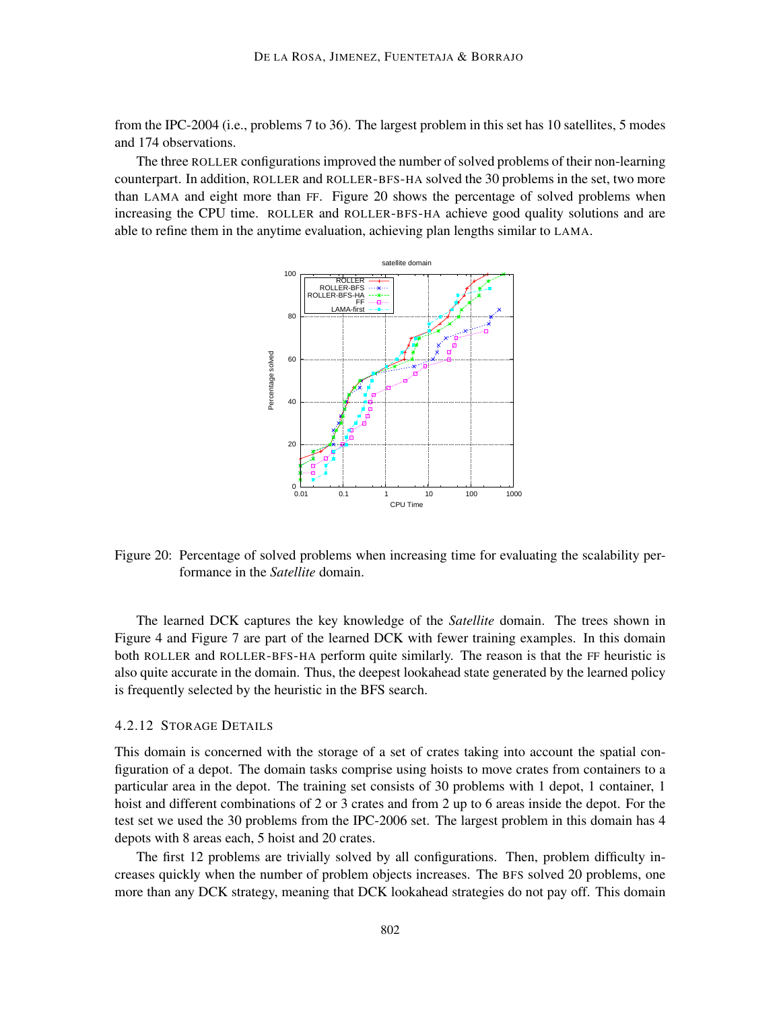from the IPC-2004 (i.e., problems 7 to 36). The largest problem in this set has 10 satellites, 5 modes and 174 observations.

The three ROLLER configurations improved the number of solved problems of their non-learning counterpart. In addition, ROLLER and ROLLER-BFS-HA solved the 30 problems in the set, two more than LAMA and eight more than FF. Figure 20 shows the percentage of solved problems when increasing the CPU time. ROLLER and ROLLER-BFS-HA achieve good quality solutions and are able to refine them in the anytime evaluation, achieving plan lengths similar to LAMA.



Figure 20: Percentage of solved problems when increasing time for evaluating the scalability performance in the *Satellite* domain.

The learned DCK captures the key knowledge of the *Satellite* domain. The trees shown in Figure 4 and Figure 7 are part of the learned DCK with fewer training examples. In this domain both ROLLER and ROLLER-BFS-HA perform quite similarly. The reason is that the FF heuristic is also quite accurate in the domain. Thus, the deepest lookahead state generated by the learned policy is frequently selected by the heuristic in the BFS search.

#### 4.2.12 STORAGE DETAILS

This domain is concerned with the storage of a set of crates taking into account the spatial configuration of a depot. The domain tasks comprise using hoists to move crates from containers to a particular area in the depot. The training set consists of 30 problems with 1 depot, 1 container, 1 hoist and different combinations of 2 or 3 crates and from 2 up to 6 areas inside the depot. For the test set we used the 30 problems from the IPC-2006 set. The largest problem in this domain has 4 depots with 8 areas each, 5 hoist and 20 crates.

The first 12 problems are trivially solved by all configurations. Then, problem difficulty increases quickly when the number of problem objects increases. The BFS solved 20 problems, one more than any DCK strategy, meaning that DCK lookahead strategies do not pay off. This domain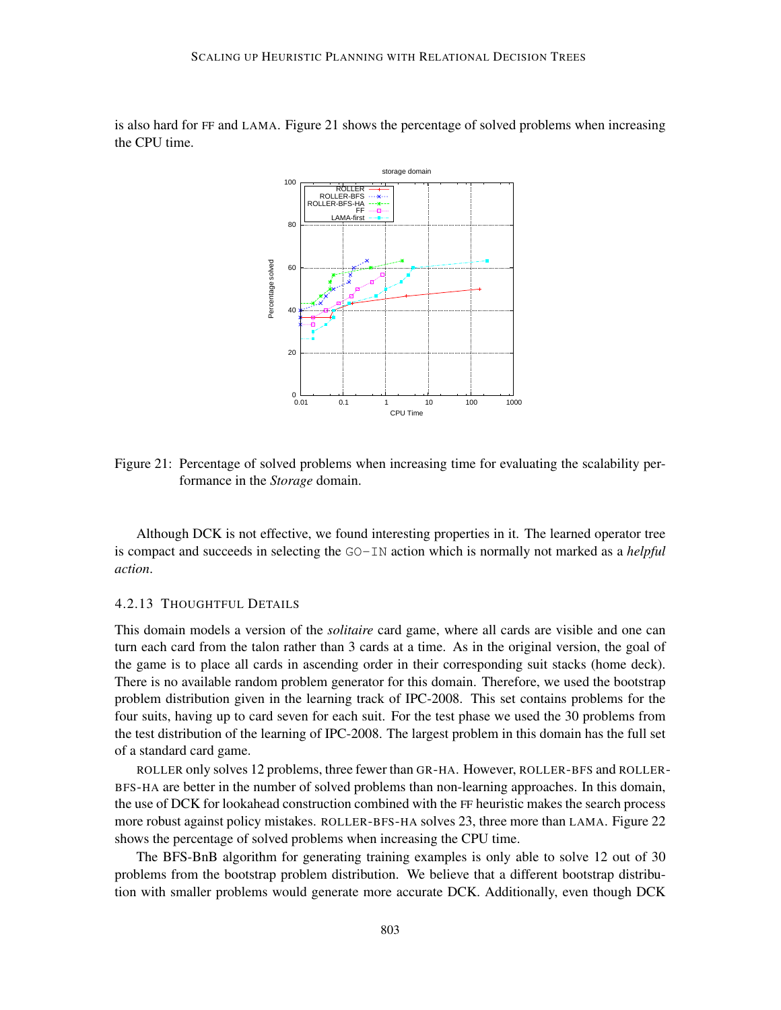is also hard for FF and LAMA. Figure 21 shows the percentage of solved problems when increasing the CPU time.



Figure 21: Percentage of solved problems when increasing time for evaluating the scalability performance in the *Storage* domain.

Although DCK is not effective, we found interesting properties in it. The learned operator tree is compact and succeeds in selecting the GO-IN action which is normally not marked as a *helpful action*.

### 4.2.13 THOUGHTFUL DETAILS

This domain models a version of the *solitaire* card game, where all cards are visible and one can turn each card from the talon rather than 3 cards at a time. As in the original version, the goal of the game is to place all cards in ascending order in their corresponding suit stacks (home deck). There is no available random problem generator for this domain. Therefore, we used the bootstrap problem distribution given in the learning track of IPC-2008. This set contains problems for the four suits, having up to card seven for each suit. For the test phase we used the 30 problems from the test distribution of the learning of IPC-2008. The largest problem in this domain has the full set of a standard card game.

ROLLER only solves 12 problems, three fewer than GR-HA. However, ROLLER-BFS and ROLLER-BFS-HA are better in the number of solved problems than non-learning approaches. In this domain, the use of DCK for lookahead construction combined with the FF heuristic makes the search process more robust against policy mistakes. ROLLER-BFS-HA solves 23, three more than LAMA. Figure 22 shows the percentage of solved problems when increasing the CPU time.

The BFS-BnB algorithm for generating training examples is only able to solve 12 out of 30 problems from the bootstrap problem distribution. We believe that a different bootstrap distribution with smaller problems would generate more accurate DCK. Additionally, even though DCK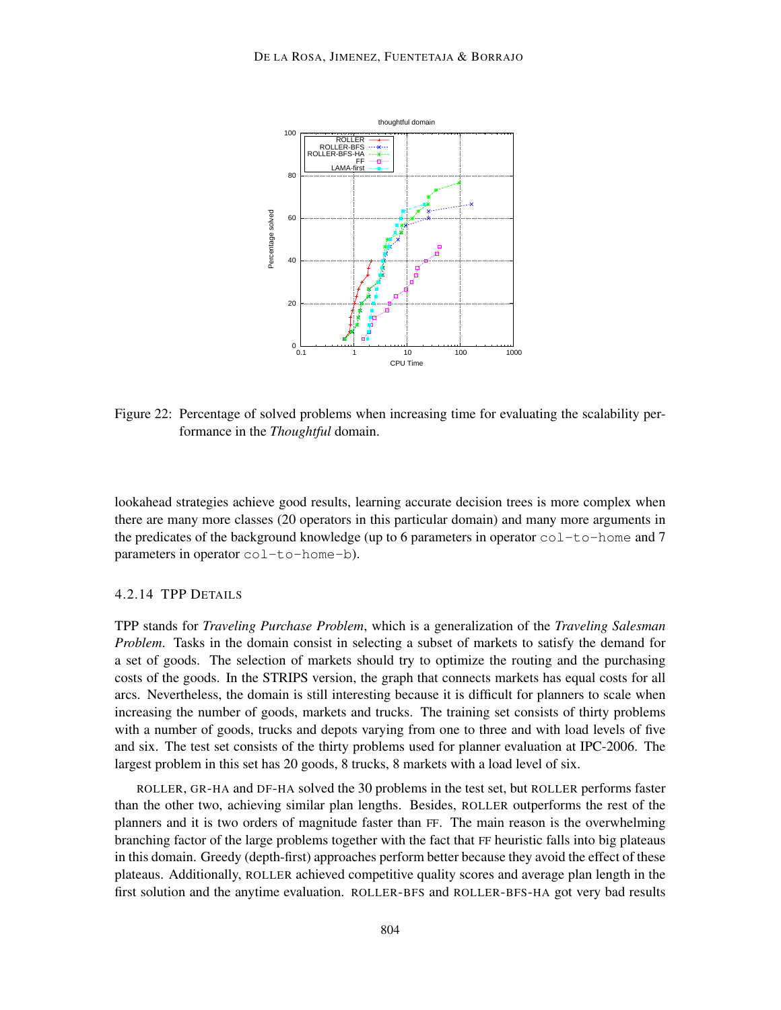

Figure 22: Percentage of solved problems when increasing time for evaluating the scalability performance in the *Thoughtful* domain.

lookahead strategies achieve good results, learning accurate decision trees is more complex when there are many more classes (20 operators in this particular domain) and many more arguments in the predicates of the background knowledge (up to 6 parameters in operator  $col-to-home$  and 7 parameters in operator col-to-home-b).

### 4.2.14 TPP DETAILS

TPP stands for *Traveling Purchase Problem*, which is a generalization of the *Traveling Salesman Problem*. Tasks in the domain consist in selecting a subset of markets to satisfy the demand for a set of goods. The selection of markets should try to optimize the routing and the purchasing costs of the goods. In the STRIPS version, the graph that connects markets has equal costs for all arcs. Nevertheless, the domain is still interesting because it is difficult for planners to scale when increasing the number of goods, markets and trucks. The training set consists of thirty problems with a number of goods, trucks and depots varying from one to three and with load levels of five and six. The test set consists of the thirty problems used for planner evaluation at IPC-2006. The largest problem in this set has 20 goods, 8 trucks, 8 markets with a load level of six.

ROLLER, GR-HA and DF-HA solved the 30 problems in the test set, but ROLLER performs faster than the other two, achieving similar plan lengths. Besides, ROLLER outperforms the rest of the planners and it is two orders of magnitude faster than FF. The main reason is the overwhelming branching factor of the large problems together with the fact that FF heuristic falls into big plateaus in this domain. Greedy (depth-first) approaches perform better because they avoid the effect of these plateaus. Additionally, ROLLER achieved competitive quality scores and average plan length in the first solution and the anytime evaluation. ROLLER-BFS and ROLLER-BFS-HA got very bad results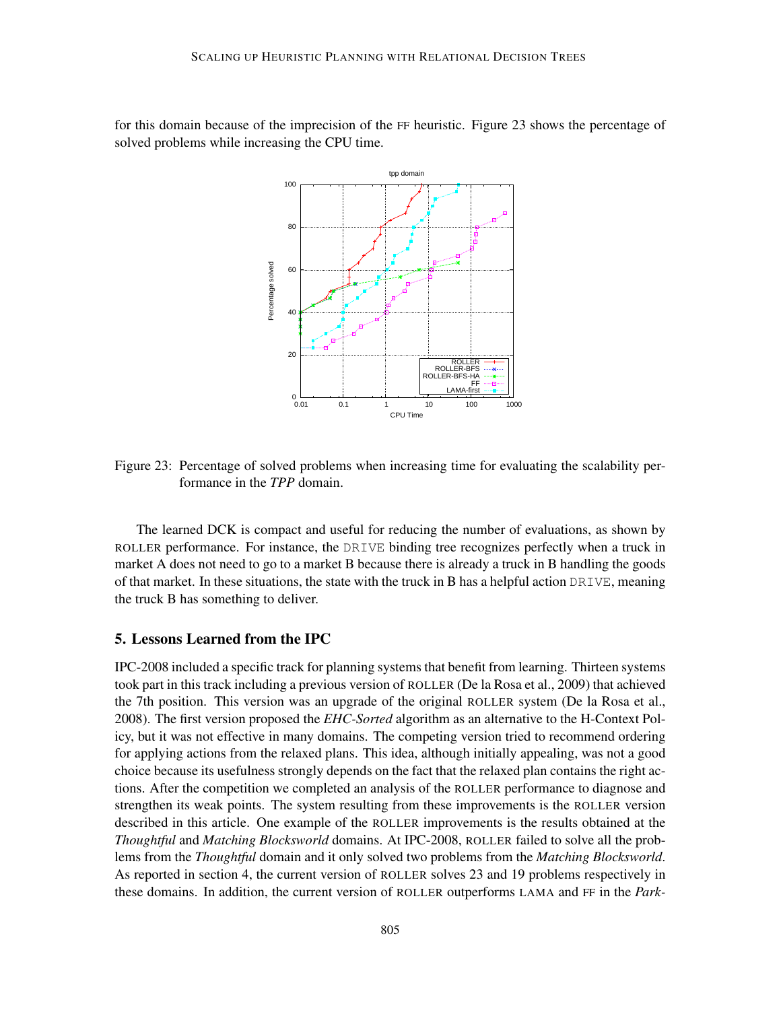for this domain because of the imprecision of the FF heuristic. Figure 23 shows the percentage of solved problems while increasing the CPU time.



Figure 23: Percentage of solved problems when increasing time for evaluating the scalability performance in the *TPP* domain.

The learned DCK is compact and useful for reducing the number of evaluations, as shown by ROLLER performance. For instance, the DRIVE binding tree recognizes perfectly when a truck in market A does not need to go to a market B because there is already a truck in B handling the goods of that market. In these situations, the state with the truck in B has a helpful action DRIVE, meaning the truck B has something to deliver.

## 5. Lessons Learned from the IPC

IPC-2008 included a specific track for planning systems that benefit from learning. Thirteen systems took part in this track including a previous version of ROLLER (De la Rosa et al., 2009) that achieved the 7th position. This version was an upgrade of the original ROLLER system (De la Rosa et al., 2008). The first version proposed the *EHC-Sorted* algorithm as an alternative to the H-Context Policy, but it was not effective in many domains. The competing version tried to recommend ordering for applying actions from the relaxed plans. This idea, although initially appealing, was not a good choice because its usefulness strongly depends on the fact that the relaxed plan contains the right actions. After the competition we completed an analysis of the ROLLER performance to diagnose and strengthen its weak points. The system resulting from these improvements is the ROLLER version described in this article. One example of the ROLLER improvements is the results obtained at the *Thoughtful* and *Matching Blocksworld* domains. At IPC-2008, ROLLER failed to solve all the problems from the *Thoughtful* domain and it only solved two problems from the *Matching Blocksworld*. As reported in section 4, the current version of ROLLER solves 23 and 19 problems respectively in these domains. In addition, the current version of ROLLER outperforms LAMA and FF in the *Park-*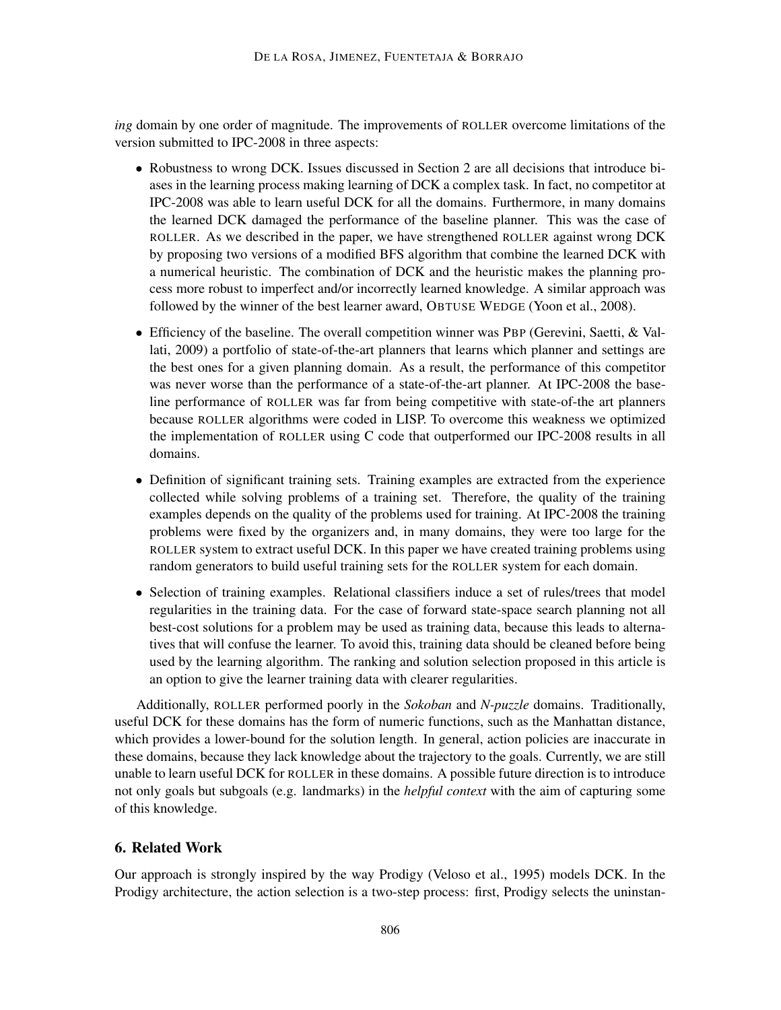*ing* domain by one order of magnitude. The improvements of ROLLER overcome limitations of the version submitted to IPC-2008 in three aspects:

- Robustness to wrong DCK. Issues discussed in Section 2 are all decisions that introduce biases in the learning process making learning of DCK a complex task. In fact, no competitor at IPC-2008 was able to learn useful DCK for all the domains. Furthermore, in many domains the learned DCK damaged the performance of the baseline planner. This was the case of ROLLER. As we described in the paper, we have strengthened ROLLER against wrong DCK by proposing two versions of a modified BFS algorithm that combine the learned DCK with a numerical heuristic. The combination of DCK and the heuristic makes the planning process more robust to imperfect and/or incorrectly learned knowledge. A similar approach was followed by the winner of the best learner award, OBTUSE WEDGE (Yoon et al., 2008).
- Efficiency of the baseline. The overall competition winner was PBP (Gerevini, Saetti, & Vallati, 2009) a portfolio of state-of-the-art planners that learns which planner and settings are the best ones for a given planning domain. As a result, the performance of this competitor was never worse than the performance of a state-of-the-art planner. At IPC-2008 the baseline performance of ROLLER was far from being competitive with state-of-the art planners because ROLLER algorithms were coded in LISP. To overcome this weakness we optimized the implementation of ROLLER using C code that outperformed our IPC-2008 results in all domains.
- Definition of significant training sets. Training examples are extracted from the experience collected while solving problems of a training set. Therefore, the quality of the training examples depends on the quality of the problems used for training. At IPC-2008 the training problems were fixed by the organizers and, in many domains, they were too large for the ROLLER system to extract useful DCK. In this paper we have created training problems using random generators to build useful training sets for the ROLLER system for each domain.
- Selection of training examples. Relational classifiers induce a set of rules/trees that model regularities in the training data. For the case of forward state-space search planning not all best-cost solutions for a problem may be used as training data, because this leads to alternatives that will confuse the learner. To avoid this, training data should be cleaned before being used by the learning algorithm. The ranking and solution selection proposed in this article is an option to give the learner training data with clearer regularities.

Additionally, ROLLER performed poorly in the *Sokoban* and *N-puzzle* domains. Traditionally, useful DCK for these domains has the form of numeric functions, such as the Manhattan distance, which provides a lower-bound for the solution length. In general, action policies are inaccurate in these domains, because they lack knowledge about the trajectory to the goals. Currently, we are still unable to learn useful DCK for ROLLER in these domains. A possible future direction is to introduce not only goals but subgoals (e.g. landmarks) in the *helpful context* with the aim of capturing some of this knowledge.

## 6. Related Work

Our approach is strongly inspired by the way Prodigy (Veloso et al., 1995) models DCK. In the Prodigy architecture, the action selection is a two-step process: first, Prodigy selects the uninstan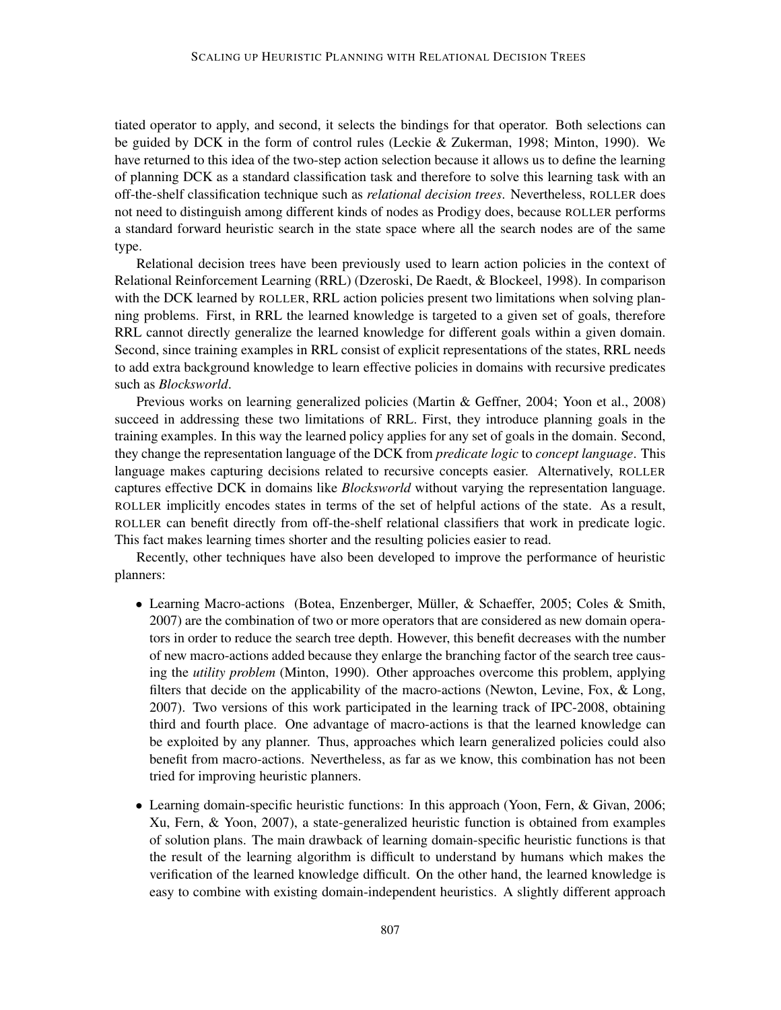tiated operator to apply, and second, it selects the bindings for that operator. Both selections can be guided by DCK in the form of control rules (Leckie & Zukerman, 1998; Minton, 1990). We have returned to this idea of the two-step action selection because it allows us to define the learning of planning DCK as a standard classification task and therefore to solve this learning task with an off-the-shelf classification technique such as *relational decision trees*. Nevertheless, ROLLER does not need to distinguish among different kinds of nodes as Prodigy does, because ROLLER performs a standard forward heuristic search in the state space where all the search nodes are of the same type.

Relational decision trees have been previously used to learn action policies in the context of Relational Reinforcement Learning (RRL) (Dzeroski, De Raedt, & Blockeel, 1998). In comparison with the DCK learned by ROLLER, RRL action policies present two limitations when solving planning problems. First, in RRL the learned knowledge is targeted to a given set of goals, therefore RRL cannot directly generalize the learned knowledge for different goals within a given domain. Second, since training examples in RRL consist of explicit representations of the states, RRL needs to add extra background knowledge to learn effective policies in domains with recursive predicates such as *Blocksworld*.

Previous works on learning generalized policies (Martin & Geffner, 2004; Yoon et al., 2008) succeed in addressing these two limitations of RRL. First, they introduce planning goals in the training examples. In this way the learned policy applies for any set of goals in the domain. Second, they change the representation language of the DCK from *predicate logic* to *concept language*. This language makes capturing decisions related to recursive concepts easier. Alternatively, ROLLER captures effective DCK in domains like *Blocksworld* without varying the representation language. ROLLER implicitly encodes states in terms of the set of helpful actions of the state. As a result, ROLLER can benefit directly from off-the-shelf relational classifiers that work in predicate logic. This fact makes learning times shorter and the resulting policies easier to read.

Recently, other techniques have also been developed to improve the performance of heuristic planners:

- Learning Macro-actions (Botea, Enzenberger, Müller, & Schaeffer, 2005; Coles & Smith, 2007) are the combination of two or more operators that are considered as new domain operators in order to reduce the search tree depth. However, this benefit decreases with the number of new macro-actions added because they enlarge the branching factor of the search tree causing the *utility problem* (Minton, 1990). Other approaches overcome this problem, applying filters that decide on the applicability of the macro-actions (Newton, Levine, Fox, & Long, 2007). Two versions of this work participated in the learning track of IPC-2008, obtaining third and fourth place. One advantage of macro-actions is that the learned knowledge can be exploited by any planner. Thus, approaches which learn generalized policies could also benefit from macro-actions. Nevertheless, as far as we know, this combination has not been tried for improving heuristic planners.
- Learning domain-specific heuristic functions: In this approach (Yoon, Fern, & Givan, 2006; Xu, Fern, & Yoon, 2007), a state-generalized heuristic function is obtained from examples of solution plans. The main drawback of learning domain-specific heuristic functions is that the result of the learning algorithm is difficult to understand by humans which makes the verification of the learned knowledge difficult. On the other hand, the learned knowledge is easy to combine with existing domain-independent heuristics. A slightly different approach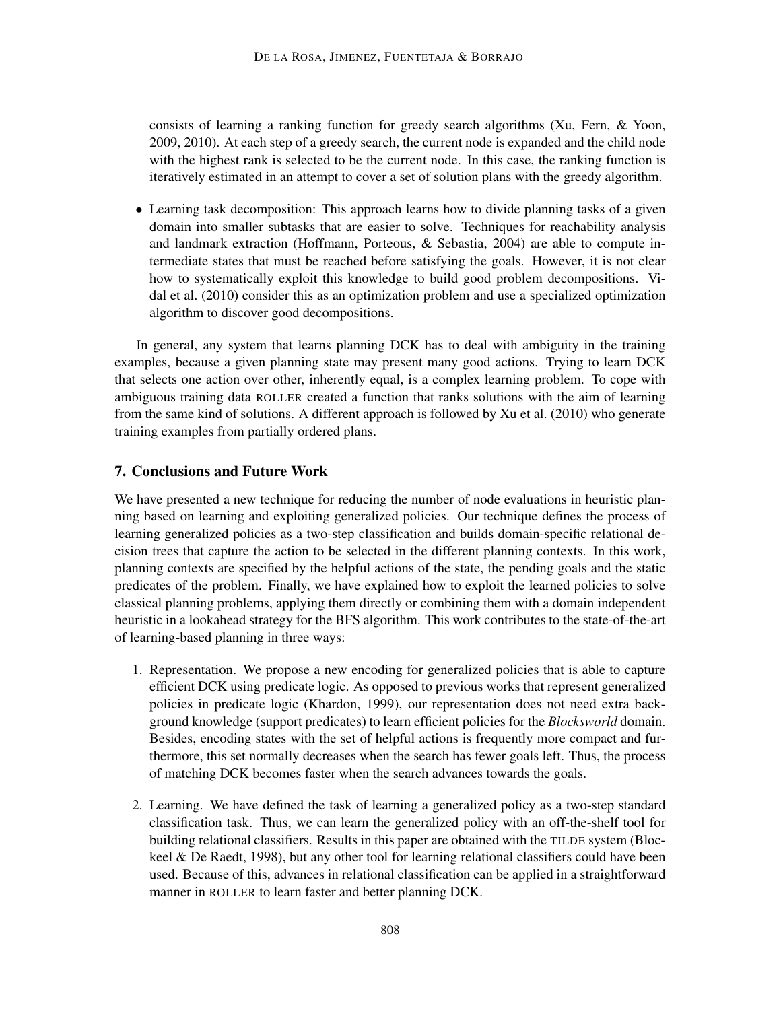consists of learning a ranking function for greedy search algorithms (Xu, Fern, & Yoon, 2009, 2010). At each step of a greedy search, the current node is expanded and the child node with the highest rank is selected to be the current node. In this case, the ranking function is iteratively estimated in an attempt to cover a set of solution plans with the greedy algorithm.

• Learning task decomposition: This approach learns how to divide planning tasks of a given domain into smaller subtasks that are easier to solve. Techniques for reachability analysis and landmark extraction (Hoffmann, Porteous, & Sebastia, 2004) are able to compute intermediate states that must be reached before satisfying the goals. However, it is not clear how to systematically exploit this knowledge to build good problem decompositions. Vidal et al. (2010) consider this as an optimization problem and use a specialized optimization algorithm to discover good decompositions.

In general, any system that learns planning DCK has to deal with ambiguity in the training examples, because a given planning state may present many good actions. Trying to learn DCK that selects one action over other, inherently equal, is a complex learning problem. To cope with ambiguous training data ROLLER created a function that ranks solutions with the aim of learning from the same kind of solutions. A different approach is followed by Xu et al. (2010) who generate training examples from partially ordered plans.

## 7. Conclusions and Future Work

We have presented a new technique for reducing the number of node evaluations in heuristic planning based on learning and exploiting generalized policies. Our technique defines the process of learning generalized policies as a two-step classification and builds domain-specific relational decision trees that capture the action to be selected in the different planning contexts. In this work, planning contexts are specified by the helpful actions of the state, the pending goals and the static predicates of the problem. Finally, we have explained how to exploit the learned policies to solve classical planning problems, applying them directly or combining them with a domain independent heuristic in a lookahead strategy for the BFS algorithm. This work contributes to the state-of-the-art of learning-based planning in three ways:

- 1. Representation. We propose a new encoding for generalized policies that is able to capture efficient DCK using predicate logic. As opposed to previous works that represent generalized policies in predicate logic (Khardon, 1999), our representation does not need extra background knowledge (support predicates) to learn efficient policies for the *Blocksworld* domain. Besides, encoding states with the set of helpful actions is frequently more compact and furthermore, this set normally decreases when the search has fewer goals left. Thus, the process of matching DCK becomes faster when the search advances towards the goals.
- 2. Learning. We have defined the task of learning a generalized policy as a two-step standard classification task. Thus, we can learn the generalized policy with an off-the-shelf tool for building relational classifiers. Results in this paper are obtained with the TILDE system (Blockeel & De Raedt, 1998), but any other tool for learning relational classifiers could have been used. Because of this, advances in relational classification can be applied in a straightforward manner in ROLLER to learn faster and better planning DCK.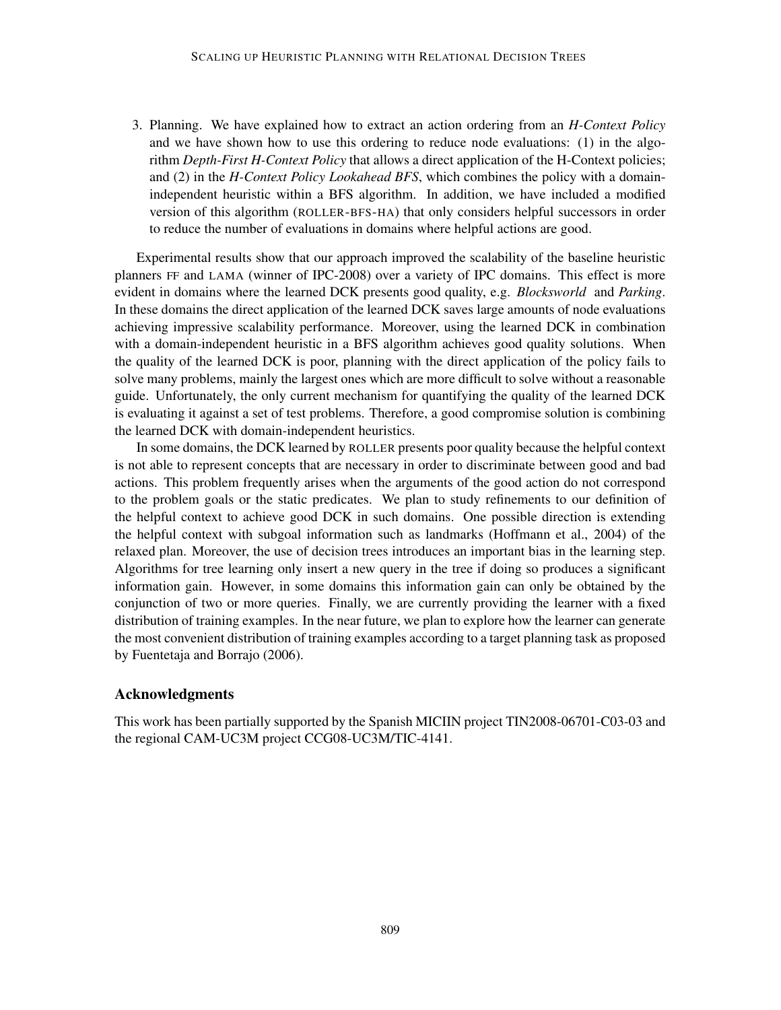3. Planning. We have explained how to extract an action ordering from an *H-Context Policy* and we have shown how to use this ordering to reduce node evaluations: (1) in the algorithm *Depth-First H-Context Policy* that allows a direct application of the H-Context policies; and (2) in the *H-Context Policy Lookahead BFS*, which combines the policy with a domainindependent heuristic within a BFS algorithm. In addition, we have included a modified version of this algorithm (ROLLER-BFS-HA) that only considers helpful successors in order to reduce the number of evaluations in domains where helpful actions are good.

Experimental results show that our approach improved the scalability of the baseline heuristic planners FF and LAMA (winner of IPC-2008) over a variety of IPC domains. This effect is more evident in domains where the learned DCK presents good quality, e.g. *Blocksworld* and *Parking*. In these domains the direct application of the learned DCK saves large amounts of node evaluations achieving impressive scalability performance. Moreover, using the learned DCK in combination with a domain-independent heuristic in a BFS algorithm achieves good quality solutions. When the quality of the learned DCK is poor, planning with the direct application of the policy fails to solve many problems, mainly the largest ones which are more difficult to solve without a reasonable guide. Unfortunately, the only current mechanism for quantifying the quality of the learned DCK is evaluating it against a set of test problems. Therefore, a good compromise solution is combining the learned DCK with domain-independent heuristics.

In some domains, the DCK learned by ROLLER presents poor quality because the helpful context is not able to represent concepts that are necessary in order to discriminate between good and bad actions. This problem frequently arises when the arguments of the good action do not correspond to the problem goals or the static predicates. We plan to study refinements to our definition of the helpful context to achieve good DCK in such domains. One possible direction is extending the helpful context with subgoal information such as landmarks (Hoffmann et al., 2004) of the relaxed plan. Moreover, the use of decision trees introduces an important bias in the learning step. Algorithms for tree learning only insert a new query in the tree if doing so produces a significant information gain. However, in some domains this information gain can only be obtained by the conjunction of two or more queries. Finally, we are currently providing the learner with a fixed distribution of training examples. In the near future, we plan to explore how the learner can generate the most convenient distribution of training examples according to a target planning task as proposed by Fuentetaja and Borrajo (2006).

## Acknowledgments

This work has been partially supported by the Spanish MICIIN project TIN2008-06701-C03-03 and the regional CAM-UC3M project CCG08-UC3M/TIC-4141.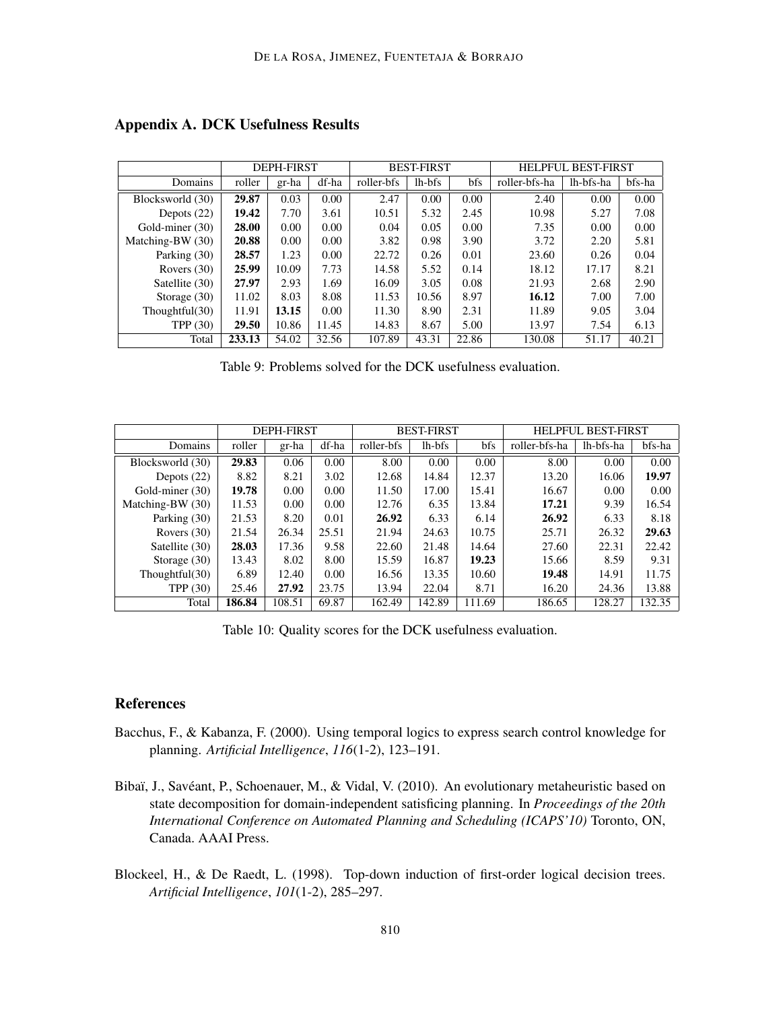|                   | <b>DEPH-FIRST</b> |       |       | <b>BEST-FIRST</b> |        |       | <b>HELPFUL BEST-FIRST</b> |           |        |
|-------------------|-------------------|-------|-------|-------------------|--------|-------|---------------------------|-----------|--------|
| Domains           | roller            | gr-ha | df-ha | roller-bfs        | lh-bfs | bfs   | roller-bfs-ha             | lh-bfs-ha | bfs-ha |
| Blocksworld (30)  | 29.87             | 0.03  | 0.00  | 2.47              | 0.00   | 0.00  | 2.40                      | 0.00      | 0.00   |
| Depots $(22)$     | 19.42             | 7.70  | 3.61  | 10.51             | 5.32   | 2.45  | 10.98                     | 5.27      | 7.08   |
| Gold-miner (30)   | 28.00             | 0.00  | 0.00  | 0.04              | 0.05   | 0.00  | 7.35                      | 0.00      | 0.00   |
| Matching-BW (30)  | 20.88             | 0.00  | 0.00  | 3.82              | 0.98   | 3.90  | 3.72                      | 2.20      | 5.81   |
| Parking (30)      | 28.57             | 1.23  | 0.00  | 22.72             | 0.26   | 0.01  | 23.60                     | 0.26      | 0.04   |
| Rovers $(30)$     | 25.99             | 10.09 | 7.73  | 14.58             | 5.52   | 0.14  | 18.12                     | 17.17     | 8.21   |
| Satellite (30)    | 27.97             | 2.93  | 1.69  | 16.09             | 3.05   | 0.08  | 21.93                     | 2.68      | 2.90   |
| Storage $(30)$    | 11.02             | 8.03  | 8.08  | 11.53             | 10.56  | 8.97  | 16.12                     | 7.00      | 7.00   |
| Thoughtful $(30)$ | 11.91             | 13.15 | 0.00  | 11.30             | 8.90   | 2.31  | 11.89                     | 9.05      | 3.04   |
| TPP $(30)$        | 29.50             | 10.86 | 11.45 | 14.83             | 8.67   | 5.00  | 13.97                     | 7.54      | 6.13   |
| Total             | 233.13            | 54.02 | 32.56 | 107.89            | 43.31  | 22.86 | 130.08                    | 51.17     | 40.21  |

# Appendix A. DCK Usefulness Results

Table 9: Problems solved for the DCK usefulness evaluation.

|                  | <b>DEPH-FIRST</b> |        |       |            | <b>BEST-FIRST</b> |        | <b>HELPFUL BEST-FIRST</b> |           |        |
|------------------|-------------------|--------|-------|------------|-------------------|--------|---------------------------|-----------|--------|
| Domains          | roller            | gr-ha  | df-ha | roller-bfs | lh-bfs            | bfs    | roller-bfs-ha             | lh-bfs-ha | bfs-ha |
| Blocksworld (30) | 29.83             | 0.06   | 0.00  | 8.00       | 0.00              | 0.00   | 8.00                      | 0.00      | 0.00   |
| Depots $(22)$    | 8.82              | 8.21   | 3.02  | 12.68      | 14.84             | 12.37  | 13.20                     | 16.06     | 19.97  |
| Gold-miner (30)  | 19.78             | 0.00   | 0.00  | 11.50      | 17.00             | 15.41  | 16.67                     | 0.00      | 0.00   |
| Matching-BW (30) | 11.53             | 0.00   | 0.00  | 12.76      | 6.35              | 13.84  | 17.21                     | 9.39      | 16.54  |
| Parking (30)     | 21.53             | 8.20   | 0.01  | 26.92      | 6.33              | 6.14   | 26.92                     | 6.33      | 8.18   |
| Rovers $(30)$    | 21.54             | 26.34  | 25.51 | 21.94      | 24.63             | 10.75  | 25.71                     | 26.32     | 29.63  |
| Satellite (30)   | 28.03             | 17.36  | 9.58  | 22.60      | 21.48             | 14.64  | 27.60                     | 22.31     | 22.42  |
| Storage $(30)$   | 13.43             | 8.02   | 8.00  | 15.59      | 16.87             | 19.23  | 15.66                     | 8.59      | 9.31   |
| Though full (30) | 6.89              | 12.40  | 0.00  | 16.56      | 13.35             | 10.60  | 19.48                     | 14.91     | 11.75  |
| <b>TPP</b> (30)  | 25.46             | 27.92  | 23.75 | 13.94      | 22.04             | 8.71   | 16.20                     | 24.36     | 13.88  |
| Total            | 186.84            | 108.51 | 69.87 | 162.49     | 142.89            | 111.69 | 186.65                    | 128.27    | 132.35 |

Table 10: Quality scores for the DCK usefulness evaluation.

## References

- Bacchus, F., & Kabanza, F. (2000). Using temporal logics to express search control knowledge for planning. *Artificial Intelligence*, *116*(1-2), 123–191.
- Bibaï, J., Savéant, P., Schoenauer, M., & Vidal, V. (2010). An evolutionary metaheuristic based on state decomposition for domain-independent satisficing planning. In *Proceedings of the 20th International Conference on Automated Planning and Scheduling (ICAPS'10)* Toronto, ON, Canada. AAAI Press.
- Blockeel, H., & De Raedt, L. (1998). Top-down induction of first-order logical decision trees. *Artificial Intelligence*, *101*(1-2), 285–297.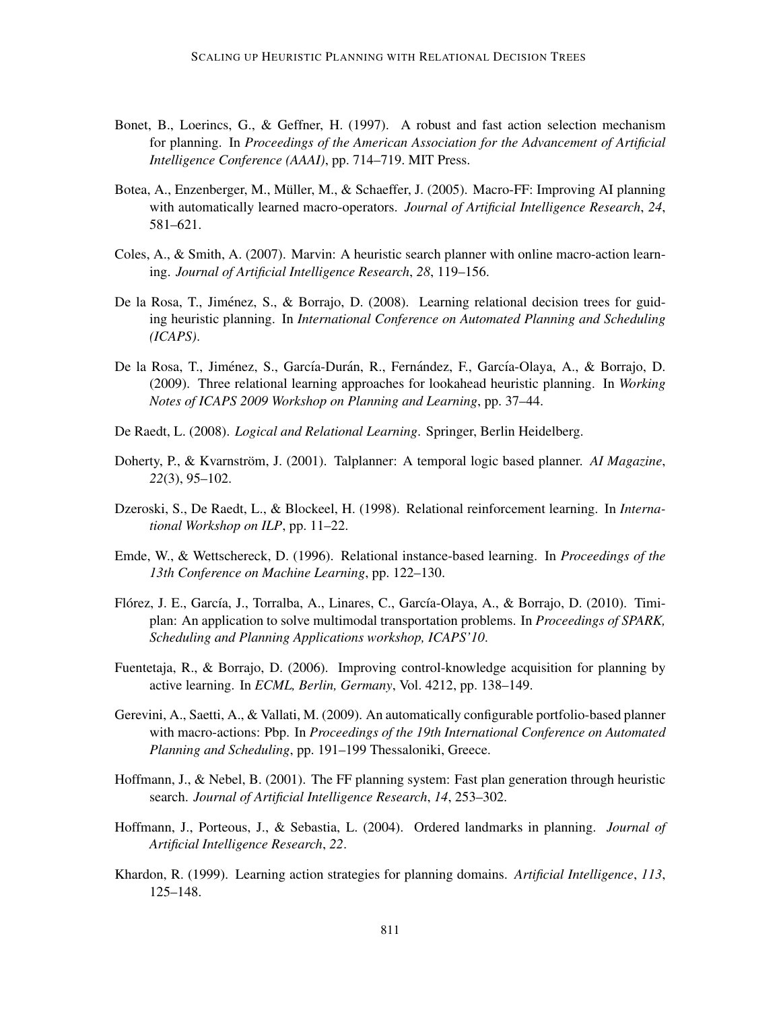- Bonet, B., Loerincs, G., & Geffner, H. (1997). A robust and fast action selection mechanism for planning. In *Proceedings of the American Association for the Advancement of Artificial Intelligence Conference (AAAI)*, pp. 714–719. MIT Press.
- Botea, A., Enzenberger, M., Müller, M., & Schaeffer, J. (2005). Macro-FF: Improving AI planning with automatically learned macro-operators. *Journal of Artificial Intelligence Research*, *24*, 581–621.
- Coles, A., & Smith, A. (2007). Marvin: A heuristic search planner with online macro-action learning. *Journal of Artificial Intelligence Research*, *28*, 119–156.
- De la Rosa, T., Jiménez, S., & Borrajo, D. (2008). Learning relational decision trees for guiding heuristic planning. In *International Conference on Automated Planning and Scheduling (ICAPS)*.
- De la Rosa, T., Jiménez, S., García-Durán, R., Fernández, F., García-Olaya, A., & Borrajo, D. (2009). Three relational learning approaches for lookahead heuristic planning. In *Working Notes of ICAPS 2009 Workshop on Planning and Learning*, pp. 37–44.
- De Raedt, L. (2008). *Logical and Relational Learning*. Springer, Berlin Heidelberg.
- Doherty, P., & Kvarnström, J. (2001). Talplanner: A temporal logic based planner. AI Magazine, *22*(3), 95–102.
- Dzeroski, S., De Raedt, L., & Blockeel, H. (1998). Relational reinforcement learning. In *International Workshop on ILP*, pp. 11–22.
- Emde, W., & Wettschereck, D. (1996). Relational instance-based learning. In *Proceedings of the 13th Conference on Machine Learning*, pp. 122–130.
- Flórez, J. E., García, J., Torralba, A., Linares, C., García-Olaya, A., & Borrajo, D. (2010). Timiplan: An application to solve multimodal transportation problems. In *Proceedings of SPARK, Scheduling and Planning Applications workshop, ICAPS'10*.
- Fuentetaja, R., & Borrajo, D. (2006). Improving control-knowledge acquisition for planning by active learning. In *ECML, Berlin, Germany*, Vol. 4212, pp. 138–149.
- Gerevini, A., Saetti, A., & Vallati, M. (2009). An automatically configurable portfolio-based planner with macro-actions: Pbp. In *Proceedings of the 19th International Conference on Automated Planning and Scheduling*, pp. 191–199 Thessaloniki, Greece.
- Hoffmann, J., & Nebel, B. (2001). The FF planning system: Fast plan generation through heuristic search. *Journal of Artificial Intelligence Research*, *14*, 253–302.
- Hoffmann, J., Porteous, J., & Sebastia, L. (2004). Ordered landmarks in planning. *Journal of Artificial Intelligence Research*, *22*.
- Khardon, R. (1999). Learning action strategies for planning domains. *Artificial Intelligence*, *113*, 125–148.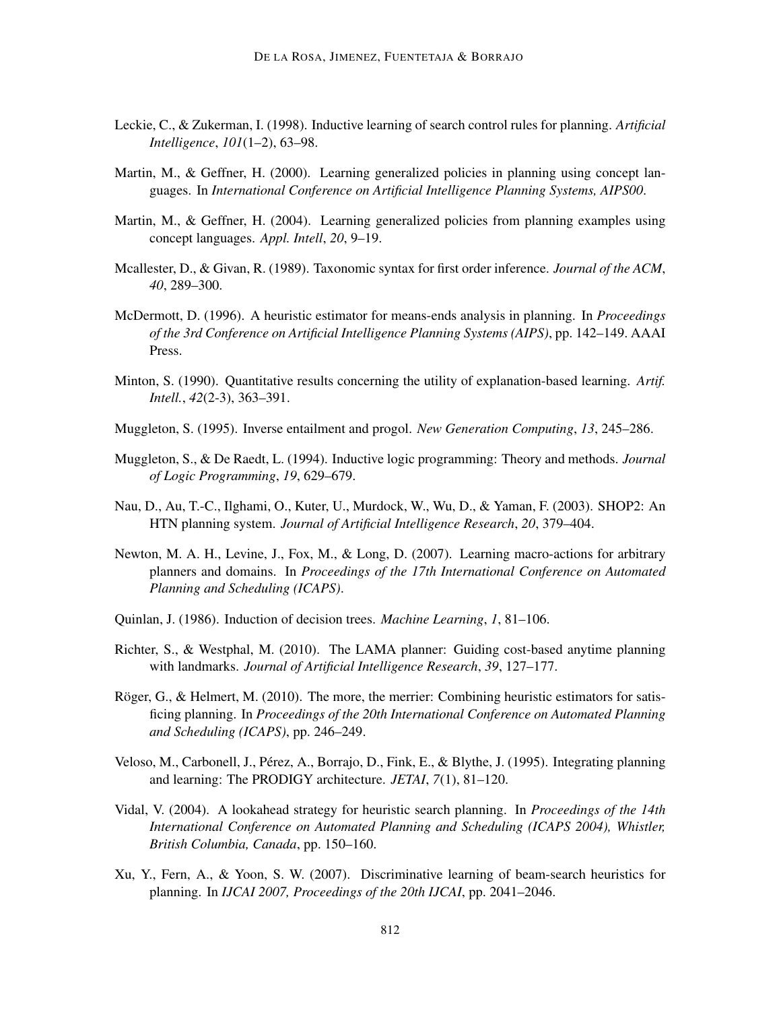- Leckie, C., & Zukerman, I. (1998). Inductive learning of search control rules for planning. *Artificial Intelligence*, *101*(1–2), 63–98.
- Martin, M., & Geffner, H. (2000). Learning generalized policies in planning using concept languages. In *International Conference on Artificial Intelligence Planning Systems, AIPS00*.
- Martin, M., & Geffner, H. (2004). Learning generalized policies from planning examples using concept languages. *Appl. Intell*, *20*, 9–19.
- Mcallester, D., & Givan, R. (1989). Taxonomic syntax for first order inference. *Journal of the ACM*, *40*, 289–300.
- McDermott, D. (1996). A heuristic estimator for means-ends analysis in planning. In *Proceedings of the 3rd Conference on Artificial Intelligence Planning Systems (AIPS)*, pp. 142–149. AAAI Press.
- Minton, S. (1990). Quantitative results concerning the utility of explanation-based learning. *Artif. Intell.*, *42*(2-3), 363–391.
- Muggleton, S. (1995). Inverse entailment and progol. *New Generation Computing*, *13*, 245–286.
- Muggleton, S., & De Raedt, L. (1994). Inductive logic programming: Theory and methods. *Journal of Logic Programming*, *19*, 629–679.
- Nau, D., Au, T.-C., Ilghami, O., Kuter, U., Murdock, W., Wu, D., & Yaman, F. (2003). SHOP2: An HTN planning system. *Journal of Artificial Intelligence Research*, *20*, 379–404.
- Newton, M. A. H., Levine, J., Fox, M., & Long, D. (2007). Learning macro-actions for arbitrary planners and domains. In *Proceedings of the 17th International Conference on Automated Planning and Scheduling (ICAPS)*.
- Quinlan, J. (1986). Induction of decision trees. *Machine Learning*, *1*, 81–106.
- Richter, S., & Westphal, M. (2010). The LAMA planner: Guiding cost-based anytime planning with landmarks. *Journal of Artificial Intelligence Research*, *39*, 127–177.
- Röger, G., & Helmert, M.  $(2010)$ . The more, the merrier: Combining heuristic estimators for satisficing planning. In *Proceedings of the 20th International Conference on Automated Planning and Scheduling (ICAPS)*, pp. 246–249.
- Veloso, M., Carbonell, J., Perez, A., Borrajo, D., Fink, E., & Blythe, J. (1995). Integrating planning ´ and learning: The PRODIGY architecture. *JETAI*, *7*(1), 81–120.
- Vidal, V. (2004). A lookahead strategy for heuristic search planning. In *Proceedings of the 14th International Conference on Automated Planning and Scheduling (ICAPS 2004), Whistler, British Columbia, Canada*, pp. 150–160.
- Xu, Y., Fern, A., & Yoon, S. W. (2007). Discriminative learning of beam-search heuristics for planning. In *IJCAI 2007, Proceedings of the 20th IJCAI*, pp. 2041–2046.